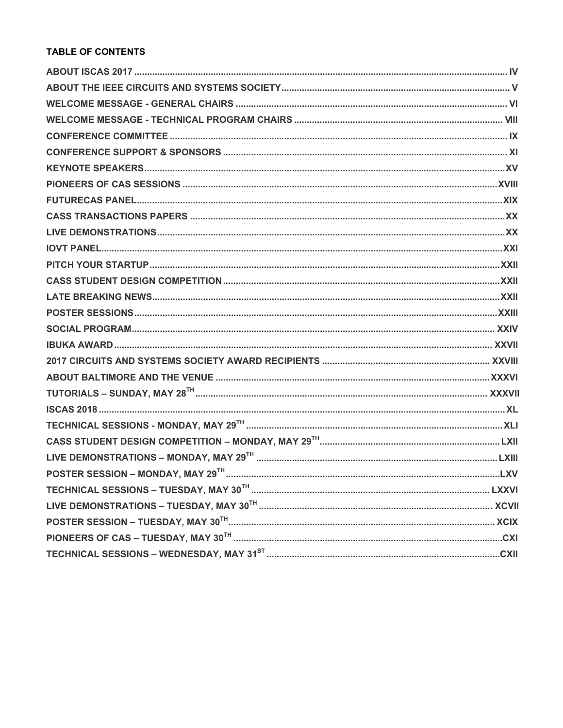## **TABLE OF CONTENTS**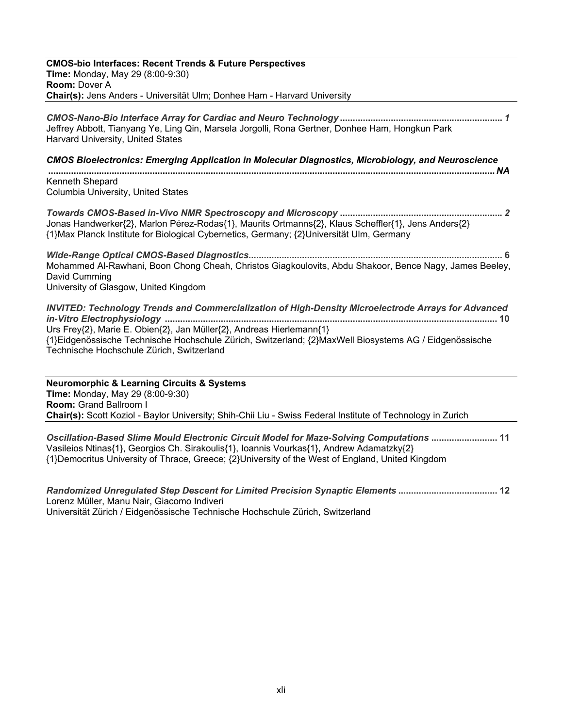| <b>CMOS-bio Interfaces: Recent Trends &amp; Future Perspectives</b><br><b>Time: Monday, May 29 (8:00-9:30)</b>                                                                                                                                                                                                                            |
|-------------------------------------------------------------------------------------------------------------------------------------------------------------------------------------------------------------------------------------------------------------------------------------------------------------------------------------------|
| Room: Dover A                                                                                                                                                                                                                                                                                                                             |
| Chair(s): Jens Anders - Universität Ulm; Donhee Ham - Harvard University                                                                                                                                                                                                                                                                  |
| Jeffrey Abbott, Tianyang Ye, Ling Qin, Marsela Jorgolli, Rona Gertner, Donhee Ham, Hongkun Park<br>Harvard University, United States                                                                                                                                                                                                      |
| <b>CMOS Bioelectronics: Emerging Application in Molecular Diagnostics, Microbiology, and Neuroscience</b>                                                                                                                                                                                                                                 |
| Kenneth Shepard<br>Columbia University, United States                                                                                                                                                                                                                                                                                     |
| Jonas Handwerker{2}, Marlon Pérez-Rodas{1}, Maurits Ortmanns{2}, Klaus Scheffler{1}, Jens Anders{2}<br>{1}Max Planck Institute for Biological Cybernetics, Germany; {2}Universität Ulm, Germany                                                                                                                                           |
| Mohammed Al-Rawhani, Boon Chong Cheah, Christos Giagkoulovits, Abdu Shakoor, Bence Nagy, James Beeley,<br>David Cumming<br>University of Glasgow, United Kingdom                                                                                                                                                                          |
| <b>INVITED: Technology Trends and Commercialization of High-Density Microelectrode Arrays for Advanced</b><br>Urs Frey{2}, Marie E. Obien{2}, Jan Müller{2}, Andreas Hierlemann{1}<br>{1}Eidgenössische Technische Hochschule Zürich, Switzerland; {2}MaxWell Biosystems AG / Eidgenössische<br>Technische Hochschule Zürich, Switzerland |
| <b>Neuromorphic &amp; Learning Circuits &amp; Systems</b><br>Time: Monday, May 29 (8:00-9:30)<br>Room: Grand Ballroom I<br>Chair(s): Scott Koziol - Baylor University; Shih-Chii Liu - Swiss Federal Institute of Technology in Zurich                                                                                                    |
| Oscillation-Based Slime Mould Electronic Circuit Model for Maze-Solving Computations  11<br>Vasileios Ntinas{1}, Georgios Ch. Sirakoulis{1}, Ioannis Vourkas{1}, Andrew Adamatzky{2}<br>{1}Democritus University of Thrace, Greece; {2}University of the West of England, United Kingdom                                                  |

*Randomized Unregulated Step Descent for Limited Precision Synaptic Elements*  Lorenz Müller, Manu Nair, Giacomo Indiveri Universität Zürich / Eidgenössische Technische Hochschule Zürich, Switzerland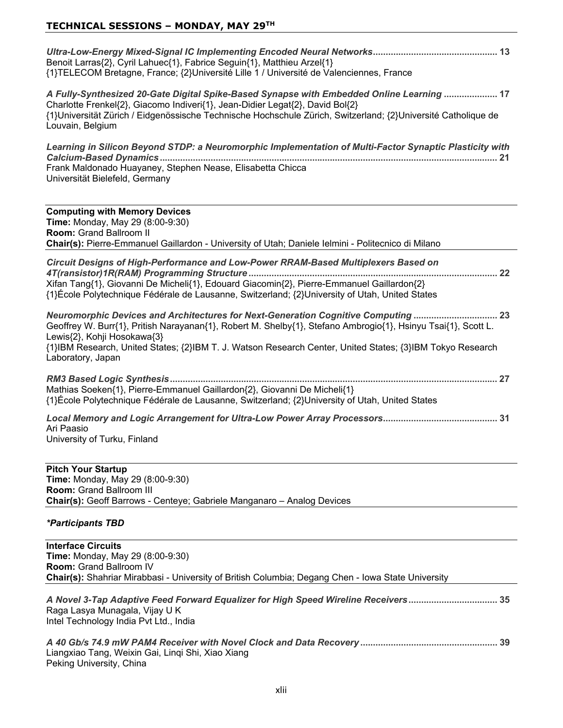| Benoit Larras{2}, Cyril Lahuec{1}, Fabrice Seguin{1}, Matthieu Arzel{1}<br>{1}TELECOM Bretagne, France; {2}Université Lille 1 / Université de Valenciennes, France                                                                                                                                                                                                   |
|----------------------------------------------------------------------------------------------------------------------------------------------------------------------------------------------------------------------------------------------------------------------------------------------------------------------------------------------------------------------|
| A Fully-Synthesized 20-Gate Digital Spike-Based Synapse with Embedded Online Learning  17<br>Charlotte Frenkel{2}, Giacomo Indiveri{1}, Jean-Didier Legat{2}, David Bol{2}<br>{1}Universität Zürich / Eidgenössische Technische Hochschule Zürich, Switzerland; {2}Université Catholique de<br>Louvain, Belgium                                                      |
| Learning in Silicon Beyond STDP: a Neuromorphic Implementation of Multi-Factor Synaptic Plasticity with<br>Frank Maldonado Huayaney, Stephen Nease, Elisabetta Chicca<br>Universität Bielefeld, Germany                                                                                                                                                              |
| <b>Computing with Memory Devices</b><br>Time: Monday, May 29 (8:00-9:30)<br>Room: Grand Ballroom II<br>Chair(s): Pierre-Emmanuel Gaillardon - University of Utah; Daniele lelmini - Politecnico di Milano                                                                                                                                                            |
| Circuit Designs of High-Performance and Low-Power RRAM-Based Multiplexers Based on<br>Xifan Tang{1}, Giovanni De Micheli{1}, Edouard Giacomin{2}, Pierre-Emmanuel Gaillardon{2}<br>{1}École Polytechnique Fédérale de Lausanne, Switzerland; {2}University of Utah, United States                                                                                    |
| Neuromorphic Devices and Architectures for Next-Generation Cognitive Computing  23<br>Geoffrey W. Burr{1}, Pritish Narayanan{1}, Robert M. Shelby{1}, Stefano Ambrogio{1}, Hsinyu Tsai{1}, Scott L.<br>Lewis{2}, Kohji Hosokawa{3}<br>{1}IBM Research, United States; {2}IBM T. J. Watson Research Center, United States; {3}IBM Tokyo Research<br>Laboratory, Japan |
| Mathias Soeken{1}, Pierre-Emmanuel Gaillardon{2}, Giovanni De Micheli{1}<br>{1}École Polytechnique Fédérale de Lausanne, Switzerland; {2}University of Utah, United States                                                                                                                                                                                           |
| Ari Paasio<br>University of Turku, Finland                                                                                                                                                                                                                                                                                                                           |
| <b>Pitch Your Startup</b><br>Time: Monday, May 29 (8:00-9:30)<br><b>Room: Grand Ballroom III</b><br>Chair(s): Geoff Barrows - Centeye; Gabriele Manganaro - Analog Devices                                                                                                                                                                                           |
| <i><b>*Participants TBD</b></i>                                                                                                                                                                                                                                                                                                                                      |
| <b>Interface Circuits</b><br>Time: Monday, May 29 (8:00-9:30)                                                                                                                                                                                                                                                                                                        |

**Room:** Grand Ballroom IV **Chair(s):** Shahriar Mirabbasi - University of British Columbia; Degang Chen - Iowa State University *A Novel 3-Tap Adaptive Feed Forward Equalizer for High Speed Wireline Receivers* Raga Lasya Munagala, Vijay U K

Intel Technology India Pvt Ltd., India

*A 40 Gb/s 74.9 mW PAM4 Receiver with Novel Clock and Data Recovery*  Liangxiao Tang, Weixin Gai, Linqi Shi, Xiao Xiang Peking University, China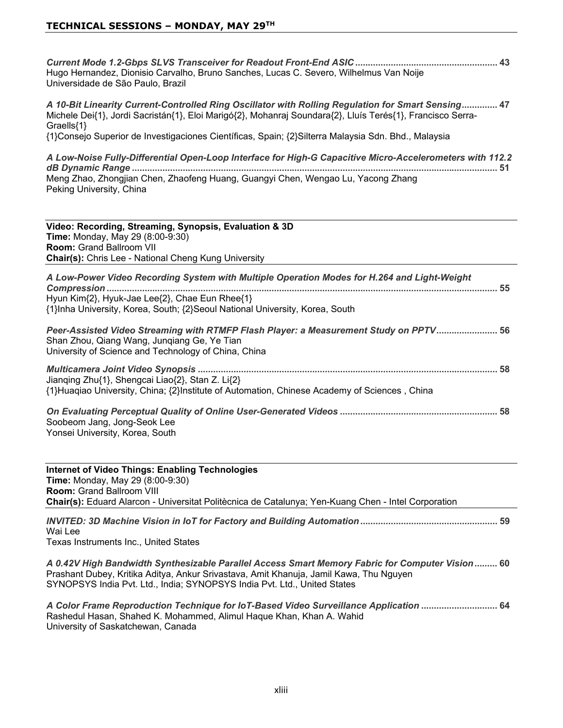*Current Mode 1.2-Gbps SLVS Transceiver for Readout Front-End ASIC*  Hugo Hernandez, Dionisio Carvalho, Bruno Sanches, Lucas C. Severo, Wilhelmus Van Noije Universidade de São Paulo, Brazil

*A 10-Bit Linearity Current-Controlled Ring Oscillator with Rolling Regulation for Smart Sensing* Michele Dei{1}, Jordi Sacristán{1}, Eloi Marigó{2}, Mohanraj Soundara{2}, Lluís Terés{1}, Francisco Serra- $G$ raells $\{1\}$ 

{1}Consejo Superior de Investigaciones Científicas, Spain; {2}Silterra Malaysia Sdn. Bhd., Malaysia

*A Low-Noise Fully-Differential Open-Loop Interface for High-G Capacitive Micro-Accelerometers with 112.2 dB Dynamic Range*  Meng Zhao, Zhongjian Chen, Zhaofeng Huang, Guangyi Chen, Wengao Lu, Yacong Zhang Peking University, China

Video: Recording, Streaming, Synopsis, Evaluation & 3D **Time:** Monday, May 29 (8:00-9:30) **Room: Grand Ballroom VII Chair(s):** Chris Lee - National Cheng Kung University

| A Low-Power Video Recording System with Multiple Operation Modes for H.264 and Light-Weight                                    |  |
|--------------------------------------------------------------------------------------------------------------------------------|--|
| Hyun Kim{2}, Hyuk-Jae Lee{2}, Chae Eun Rhee{1}<br>{1}Inha University, Korea, South; {2}Seoul National University, Korea, South |  |
| Peer-Assisted Video Streaming with RTMFP Flash Player: a Measurement Study on PPTV 56                                          |  |

Shan Zhou, Qiang Wang, Jungiang Ge, Ye Tian University of Science and Technology of China, China

| Jianging Zhu{1}, Shengcai Liao{2}, Stan Z. Li{2}                                             |  |
|----------------------------------------------------------------------------------------------|--|
| {1}Huaqiao University, China; {2}Institute of Automation, Chinese Academy of Sciences, China |  |

*On Evaluating Perceptual Quality of Online User-Generated Videos*  Soobeom Jang, Jong-Seok Lee Yonsei University, Korea, South

**Internet of Video Things: Enabling Technologies Time:** Monday, May 29 (8:00-9:30) **Room: Grand Ballroom VIII Chair(s):** Eduard Alarcon - Universitat Politècnica de Catalunya; Yen-Kuang Chen - Intel Corporation *INVITED: 3D Machine Vision in IoT for Factory and Building Automation*

Wai Lee Texas Instruments Inc., United States

*A 0.42V High Bandwidth Synthesizable Parallel Access Smart Memory Fabric for Computer Vision* Prashant Dubey, Kritika Aditya, Ankur Srivastava, Amit Khanuja, Jamil Kawa, Thu Nguyen SYNOPSYS India Pvt. Ltd., India; SYNOPSYS India Pvt. Ltd., United States

*A Color Frame Reproduction Technique for IoT-Based Video Surveillance Application*  Rashedul Hasan, Shahed K. Mohammed, Alimul Haque Khan, Khan A. Wahid University of Saskatchewan, Canada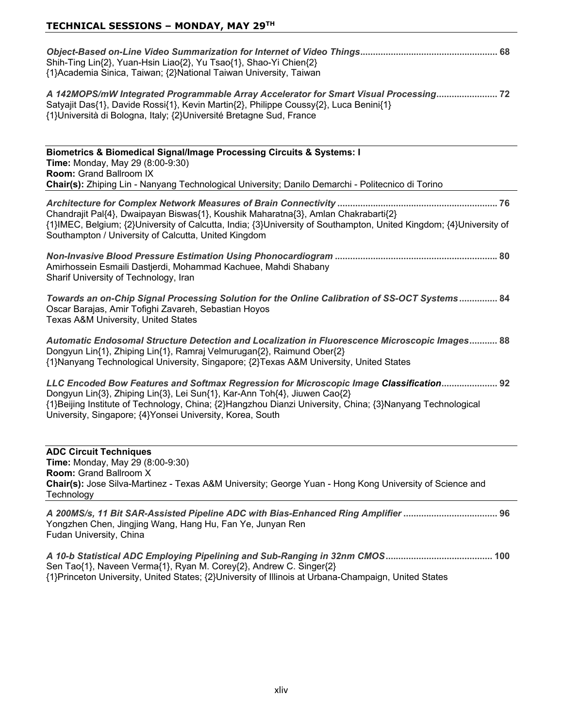| Shih-Ting Lin{2}, Yuan-Hsin Liao{2}, Yu Tsao{1}, Shao-Yi Chien{2}<br>{1}Academia Sinica, Taiwan; {2}National Taiwan University, Taiwan<br>A 142MOPS/mW Integrated Programmable Array Accelerator for Smart Visual Processing 72<br>Satyajit Das{1}, Davide Rossi{1}, Kevin Martin{2}, Philippe Coussy{2}, Luca Benini{1}<br>{1}Università di Bologna, Italy; {2}Université Bretagne Sud, France |
|-------------------------------------------------------------------------------------------------------------------------------------------------------------------------------------------------------------------------------------------------------------------------------------------------------------------------------------------------------------------------------------------------|
| <b>Biometrics &amp; Biomedical Signal/Image Processing Circuits &amp; Systems: I</b><br><b>Time: Monday, May 29 (8:00-9:30)</b><br>Room: Grand Ballroom IX<br>Chair(s): Zhiping Lin - Nanyang Technological University; Danilo Demarchi - Politecnico di Torino                                                                                                                                 |
| Chandrajit Pal{4}, Dwaipayan Biswas{1}, Koushik Maharatna{3}, Amlan Chakrabarti{2}<br>{1}IMEC, Belgium; {2}University of Calcutta, India; {3}University of Southampton, United Kingdom; {4}University of<br>Southampton / University of Calcutta, United Kingdom                                                                                                                                |
| Amirhossein Esmaili Dastjerdi, Mohammad Kachuee, Mahdi Shabany<br>Sharif University of Technology, Iran                                                                                                                                                                                                                                                                                         |
| Towards an on-Chip Signal Processing Solution for the Online Calibration of SS-OCT Systems 84<br>Oscar Barajas, Amir Tofighi Zavareh, Sebastian Hoyos<br>Texas A&M University, United States                                                                                                                                                                                                    |
| Automatic Endosomal Structure Detection and Localization in Fluorescence Microscopic Images 88<br>Dongyun Lin{1}, Zhiping Lin{1}, Ramraj Velmurugan{2}, Raimund Ober{2}<br>{1}Nanyang Technological University, Singapore; {2}Texas A&M University, United States                                                                                                                               |
| 192 LLC Encoded Bow Features and Softmax Regression for Microscopic Image Classification 92<br>Dongyun Lin{3}, Zhiping Lin{3}, Lei Sun{1}, Kar-Ann Toh{4}, Jiuwen Cao{2}<br>{1}Beijing Institute of Technology, China; {2}Hangzhou Dianzi University, China; {3}Nanyang Technological<br>University, Singapore; {4} Yonsei University, Korea, South                                             |
| <b>ADC Circuit Techniques</b><br>Time: Monday, May 29 (8:00-9:30)<br><b>Room: Grand Ballroom X</b><br>Chair(s): Jose Silva-Martinez - Texas A&M University; George Yuan - Hong Kong University of Science and<br>Technology                                                                                                                                                                     |
| A 200MS/s, 11 Bit SAR-Assisted Pipeline ADC with Bias-Enhanced Ring Amplifier  96<br>Yongzhen Chen, Jingjing Wang, Hang Hu, Fan Ye, Junyan Ren<br>Fudan University, China                                                                                                                                                                                                                       |

*A 10-b Statistical ADC Employing Pipelining and Sub-Ranging in 32nm CMOS* Sen Tao{1}, Naveen Verma{1}, Ryan M. Corey{2}, Andrew C. Singer{2} {1}Princeton University, United States; {2}University of Illinois at Urbana-Champaign, United States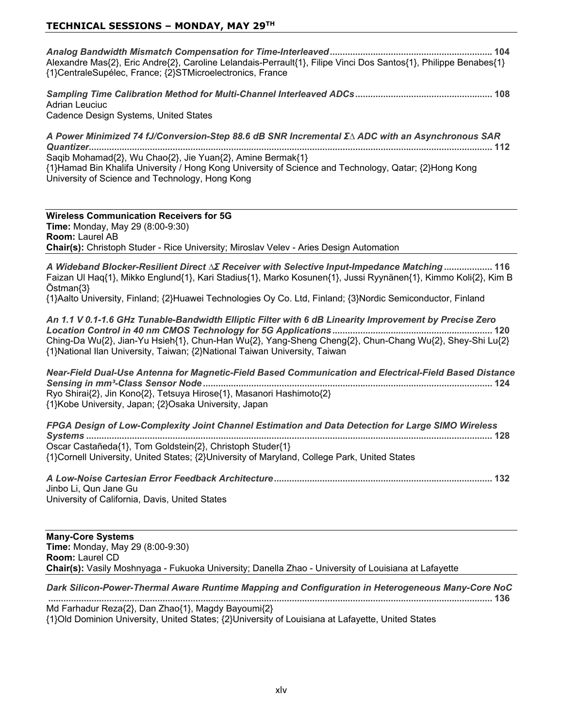*Analog Bandwidth Mismatch Compensation for Time-Interleaved* Alexandre Mas{2}, Eric Andre{2}, Caroline Lelandais-Perrault{1}, Filipe Vinci Dos Santos{1}, Philippe Benabes{1} {1}CentraleSupélec, France; {2}STMicroelectronics, France

*Sampling Time Calibration Method for Multi-Channel Interleaved ADCs* Adrian Leuciuc Cadence Design Systems, United States

A Power Minimized 74 fJ/Conversion-Step 88.6 dB SNR Incremental ΣΔ ADC with an Asynchronous SAR *Quantizer* Saqib Mohamad{2}, Wu Chao{2}, Jie Yuan{2}, Amine Bermak{1} {1}Hamad Bin Khalifa University / Hong Kong University of Science and Technology, Qatar; {2}Hong Kong University of Science and Technology, Hong Kong.

**Wireless Communication Receivers for 5G Time:** Monday, May 29 (8:00-9:30) **Room: Laurel AB Chair(s):** Christoph Studer - Rice University; Miroslav Velev - Aries Design Automation

*A Wideband Blocker-Resilient Direct* ∆*Σ* Receiver with Selective Input-Impedance Matching **.................** 116 Faizan Ul Haq{1}, Mikko Englund{1}, Kari Stadius{1}, Marko Kosunen{1}, Jussi Ryynänen{1}, Kimmo Koli{2}, Kim B  $Östman\{3\}$ 

{1}Aalto University, Finland; {2}Huawei Technologies Oy Co. Ltd, Finland; {3}Nordic Semiconductor, Finland

*An 1.1 V 0.1-1.6 GHz Tunable-Bandwidth Elliptic Filter with 6 dB Linearity Improvement by Precise Zero Location Control in 40 nm CMOS Technology for 5G Applications* Ching-Da Wu{2}, Jian-Yu Hsieh{1}, Chun-Han Wu{2}, Yang-Sheng Cheng{2}, Chun-Chang Wu{2}, Shey-Shi Lu{2} {1}National Ilan University, Taiwan; {2}National Taiwan University, Taiwan

*Near-Field Dual-Use Antenna for Magnetic-Field Based Communication and Electrical-Field Based Distance Sensing in mm³-Class Sensor Node*  Ryo Shirai{2}, Jin Kono{2}, Tetsuya Hirose{1}, Masanori Hashimoto{2} {1}Kobe University, Japan; {2}Osaka University, Japan

*FPGA Design of Low-Complexity Joint Channel Estimation and Data Detection for Large SIMO Wireless Systems*  Oscar Castañeda{1}, Tom Goldstein{2}, Christoph Studer{1} {1}Cornell University, United States; {2}University of Maryland, College Park, United States

*A Low-Noise Cartesian Error Feedback Architecture* Jinbo Li, Qun Jane Gu University of California, Davis, United States

**Many-Core Systems Time:** Monday, May 29 (8:00-9:30) **Room: Laurel CD Chair(s):** Vasily Moshnyaga - Fukuoka University; Danella Zhao - University of Louisiana at Lafayette

*Dark Silicon-Power-Thermal Aware Runtime Mapping and Configuration in Heterogeneous Many-Core NoC*

 Md Farhadur Reza $\{2\}$ , Dan Zhao $\{1\}$ , Magdy Bayoumi $\{2\}$ {1}Old Dominion University, United States; {2}University of Louisiana at Lafayette, United States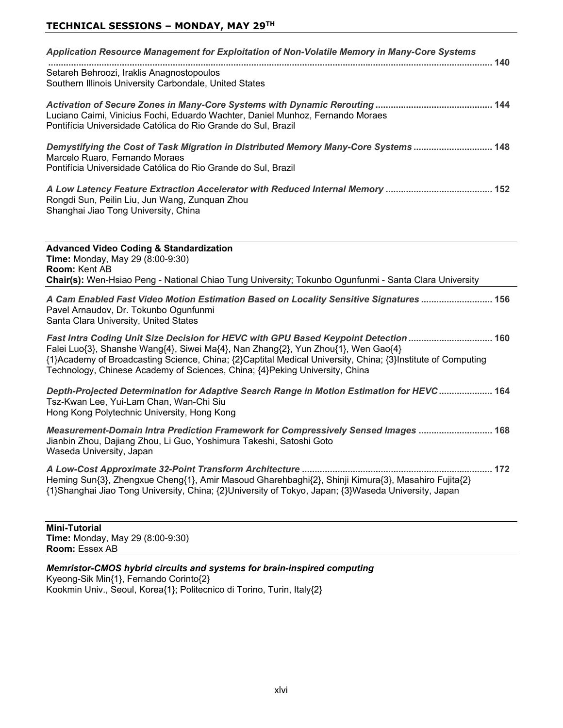| Application Resource Management for Exploitation of Non-Volatile Memory in Many-Core Systems                                                                                            | 140 |
|-----------------------------------------------------------------------------------------------------------------------------------------------------------------------------------------|-----|
| Setareh Behroozi, Iraklis Anagnostopoulos<br>Southern Illinois University Carbondale, United States                                                                                     |     |
| Luciano Caimi, Vinicius Fochi, Eduardo Wachter, Daniel Munhoz, Fernando Moraes<br>Pontifícia Universidade Católica do Rio Grande do Sul, Brazil                                         |     |
| Demystifying the Cost of Task Migration in Distributed Memory Many-Core Systems  148<br>Marcelo Ruaro, Fernando Moraes<br>Pontifícia Universidade Católica do Rio Grande do Sul. Brazil |     |
| Rongdi Sun, Peilin Liu, Jun Wang, Zunguan Zhou<br>Shanghai Jiao Tong University, China                                                                                                  |     |
|                                                                                                                                                                                         |     |

**Advanced Video Coding & Standardization Time:** Monday, May 29 (8:00-9:30) **Room: Kent AB Chair(s):** Wen-Hsiao Peng - National Chiao Tung University; Tokunbo Ogunfunmi - Santa Clara University

*A Cam Enabled Fast Video Motion Estimation Based on Locality Sensitive Signatures*  Pavel Arnaudov, Dr. Tokunbo Ogunfunmi Santa Clara University, United States

*Fast Intra Coding Unit Size Decision for HEVC with GPU Based Keypoint Detection*  Falei Luo{3}, Shanshe Wang{4}, Siwei Ma{4}, Nan Zhang{2}, Yun Zhou{1}, Wen Gao{4} {1}Academy of Broadcasting Science, China; {2}Captital Medical University, China; {3}Institute of Computing Technology, Chinese Academy of Sciences, China; {4}Peking University, China

*Depth-Projected Determination for Adaptive Search Range in Motion Estimation for HEVC*  Tsz-Kwan Lee, Yui-Lam Chan, Wan-Chi Siu Hong Kong Polytechnic University, Hong Kong.

*Measurement-Domain Intra Prediction Framework for Compressively Sensed Images*  Jianbin Zhou, Dajiang Zhou, Li Guo, Yoshimura Takeshi, Satoshi Goto Waseda University, Japan

*A Low-Cost Approximate 32-Point Transform Architecture*  Heming Sun{3}, Zhengxue Cheng{1}, Amir Masoud Gharehbaghi{2}, Shinji Kimura{3}, Masahiro Fujita{2} {1}Shanghai Jiao Tong University, China; {2}University of Tokyo, Japan; {3}Waseda University, Japan

**Mini-Tutorial Time:** Monday, May 29 (8:00-9:30) **Room: Essex AB** 

*Memristor-CMOS hybrid circuits and systems for brain-inspired computing* Kyeong-Sik Min{1}, Fernando Corinto{2} Kookmin Univ., Seoul, Korea{1}; Politecnico di Torino, Turin, Italy{2}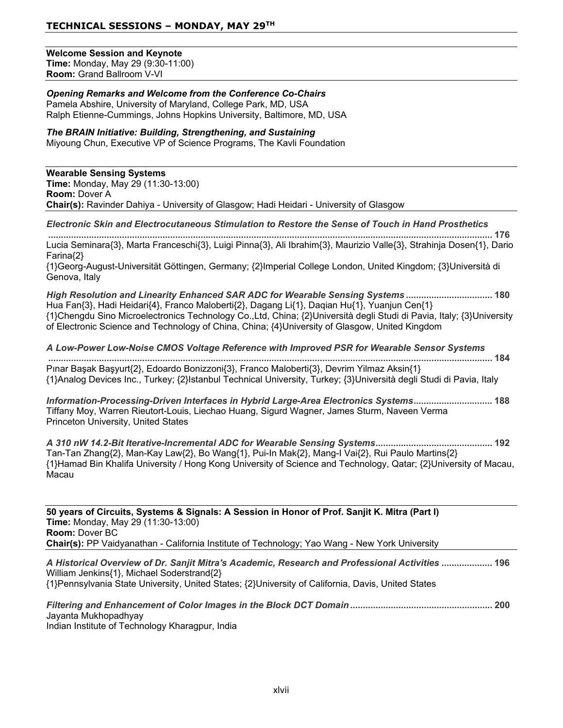#### **Welcome Session and Kevnote**

**Time:** Monday, May 29 (9:30-11:00) **Room:** Grand Ballroom V-VI

#### *Opening Remarks and Welcome from the Conference Co-Chairs* Pamela Abshire, University of Maryland, College Park, MD, USA Ralph Etienne-Cummings, Johns Hopkins University, Baltimore, MD, USA

*The BRAIN Initiative: Building, Strengthening, and Sustaining* Mivoung Chun, Executive VP of Science Programs. The Kavli Foundation

**Wearable Sensing Systems Time:** Monday, May 29 (11:30-13:00) **Room: Dover A Chair(s):** Ravinder Dahiya - University of Glasgow; Hadi Heidari - University of Glasgow

#### *Electronic Skin and Electrocutaneous Stimulation to Restore the Sense of Touch in Hand Prosthetics*

 Lucia Seminara{3}, Marta Franceschi{3}, Luigi Pinna{3}, Ali Ibrahim{3}, Maurizio Valle{3}, Strahinja Dosen{1}, Dario  $Farina\$ 2\}  $\{1\}$ Georg-August-Universität Göttingen, Germany;  $\{2\}$ Imperial College London, United Kingdom;  $\{3\}$ Università di Genova, Italy

*High Resolution and Linearity Enhanced SAR ADC for Wearable Sensing Systems*  Hua Fan{3}, Hadi Heidari{4}, Franco Maloberti{2}, Dagang Li{1}, Daqian Hu{1}, Yuanjun Cen{1} {1}Chengdu Sino Microelectronics Technology Co.,Ltd, China; {2}Università degli Studi di Pavia, Italy; {3}University of Electronic Science and Technology of China, China; {4}University of Glasgow, United Kingdom

*A Low-Power Low-Noise CMOS Voltage Reference with Improved PSR for Wearable Sensor Systems*  Pinar Başak Başyurt{2}, Edoardo Bonizzoni{3}, Franco Maloberti{3}, Devrim Yilmaz Aksin{1} {1}Analog Devices Inc., Turkey; {2}Istanbul Technical University, Turkey; {3}Università degli Studi di Pavia, Italy

*Information-Processing-Driven Interfaces in Hybrid Large-Area Electronics Systems* Tiffany Moy, Warren Rieutort-Louis, Liechao Huang, Sigurd Wagner, James Sturm, Naveen Verma Princeton University, United States

*A 310 nW 14.2-Bit Iterative-Incremental ADC for Wearable Sensing Systems* Tan-Tan Zhang{2}, Man-Kay Law{2}, Bo Wang{1}, Pui-In Mak{2}, Mang-I Vai{2}, Rui Paulo Martins{2} {1}Hamad Bin Khalifa University / Hong Kong University of Science and Technology, Qatar; {2}University of Macau, Macau

50 years of Circuits, Systems & Signals: A Session in Honor of Prof. Sanjit K. Mitra (Part I) **Time: Monday, May 29 (11:30-13:00) Room: Dover BC Chair(s):** PP Vaidyanathan - California Institute of Technology; Yao Wang - New York University

*A Historical Overview of Dr. Sanjit Mitra's Academic, Research and Professional Activities*  William Jenkins{1}, Michael Soderstrand{2} {1}Pennsylvania State University, United States; {2}University of California, Davis, United States

*Filtering and Enhancement of Color Images in the Block DCT Domain* Jayanta Mukhopadhyay

Indian Institute of Technology Kharagpur, India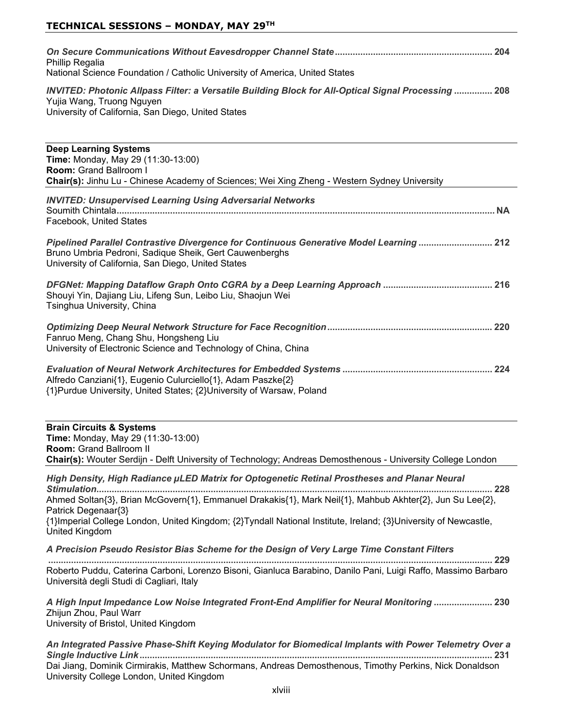| Phillip Regalia<br>National Science Foundation / Catholic University of America, United States                                                                                         |  |
|----------------------------------------------------------------------------------------------------------------------------------------------------------------------------------------|--|
| INVITED: Photonic Allpass Filter: a Versatile Building Block for All-Optical Signal Processing  208<br>Yujia Wang, Truong Nguyen<br>University of California, San Diego, United States |  |
| <b>Deep Learning Systems</b><br>$T_{\text{max}}$ , Mendey, Mey, 00 (44.00 40.00)                                                                                                       |  |

| <b>Time: Monday, May 29 (11:30-13:00)</b><br>Room: Grand Ballroom I<br>Chair(s): Jinhu Lu - Chinese Academy of Sciences; Wei Xing Zheng - Western Sydney University                                     |
|---------------------------------------------------------------------------------------------------------------------------------------------------------------------------------------------------------|
| <b>INVITED: Unsupervised Learning Using Adversarial Networks</b><br>Facebook, United States                                                                                                             |
| Pipelined Parallel Contrastive Divergence for Continuous Generative Model Learning  212<br>Bruno Umbria Pedroni, Sadique Sheik, Gert Cauwenberghs<br>University of California, San Diego, United States |
| Shouyi Yin, Dajiang Liu, Lifeng Sun, Leibo Liu, Shaojun Wei<br>Tsinghua University, China                                                                                                               |
| Fanruo Meng, Chang Shu, Hongsheng Liu<br>University of Electronic Science and Technology of China, China                                                                                                |
| Alfredo Canziani{1}, Eugenio Culurciello{1}, Adam Paszke{2}<br>{1} Purdue University, United States; {2} University of Warsaw, Poland                                                                   |
| <b>Brain Circuits &amp; Systems</b><br><b>Time: Monday, May 29 (11:30-13:00)</b>                                                                                                                        |

**Room:** Grand Ballroom II

**Chair(s):** Wouter Serdijn - Delft University of Technology; Andreas Demosthenous - University College London

*High Density, High Radiance LED Matrix for Optogenetic Retinal Prostheses and Planar Neural Stimulation* Ahmed Soltan{3}, Brian McGovern{1}, Emmanuel Drakakis{1}, Mark Neil{1}, Mahbub Akhter{2}, Jun Su Lee{2}, Patrick Degenaar{3}  $\{1\}$ Imperial College London, United Kingdom;  $\{2\}$ Tyndall National Institute, Ireland;  $\{3\}$ University of Newcastle, United Kingdom

*A Precision Pseudo Resistor Bias Scheme for the Design of Very Large Time Constant Filters*

 Roberto Puddu, Caterina Carboni, Lorenzo Bisoni, Gianluca Barabino, Danilo Pani, Luigi Raffo, Massimo Barbaro Università degli Studi di Cagliari, Italy

*A High Input Impedance Low Noise Integrated Front-End Amplifier for Neural Monitoring*  Zhijun Zhou, Paul Warr University of Bristol, United Kingdom

*An Integrated Passive Phase-Shift Keying Modulator for Biomedical Implants with Power Telemetry Over a Single Inductive Link* Dai Jiang, Dominik Cirmirakis, Matthew Schormans, Andreas Demosthenous, Timothy Perkins, Nick Donaldson University College London, United Kingdom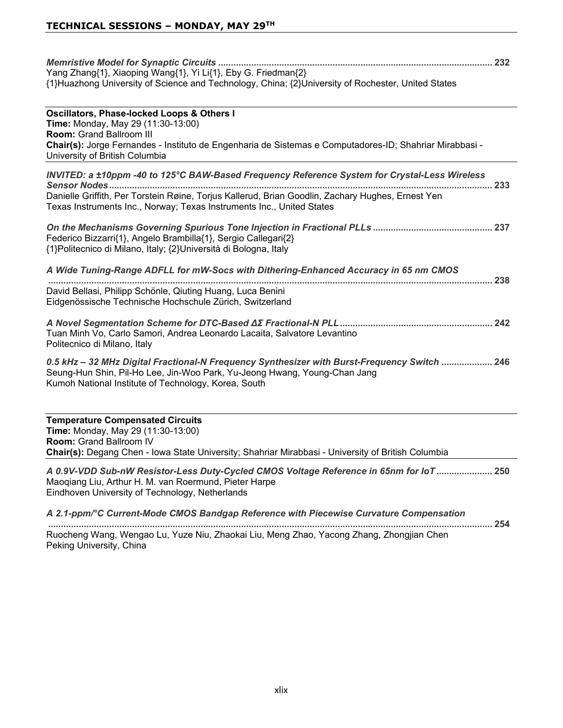| Yang Zhang{1}, Xiaoping Wang{1}, Yi Li{1}, Eby G. Friedman{2}<br>{1}Huazhong University of Science and Technology, China; {2}University of Rochester, United States                                                                                                         |  |
|-----------------------------------------------------------------------------------------------------------------------------------------------------------------------------------------------------------------------------------------------------------------------------|--|
| Oscillators, Phase-locked Loops & Others I<br>Time: Monday, May 29 (11:30-13:00)<br>Room: Grand Ballroom III<br>Chair(s): Jorge Fernandes - Instituto de Engenharia de Sistemas e Computadores-ID; Shahriar Mirabbasi -<br>University of British Columbia                   |  |
| INVITED: a ±10ppm -40 to 125°C BAW-Based Frequency Reference System for Crystal-Less Wireless<br>Danielle Griffith, Per Torstein Røine, Torjus Kallerud, Brian Goodlin, Zachary Hughes, Ernest Yen<br>Texas Instruments Inc., Norway; Texas Instruments Inc., United States |  |
| Federico Bizzarri{1}, Angelo Brambilla{1}, Sergio Callegari{2}<br>{1}Politecnico di Milano, Italy; {2}Università di Bologna, Italy                                                                                                                                          |  |
| A Wide Tuning-Range ADFLL for mW-Socs with Dithering-Enhanced Accuracy in 65 nm CMOS                                                                                                                                                                                        |  |
| David Bellasi, Philipp Schönle, Qiuting Huang, Luca Benini<br>Eidgenössische Technische Hochschule Zürich, Switzerland                                                                                                                                                      |  |
| Tuan Minh Vo, Carlo Samori, Andrea Leonardo Lacaita, Salvatore Levantino<br>Politecnico di Milano, Italy                                                                                                                                                                    |  |
| 0.5 kHz - 32 MHz Digital Fractional-N Frequency Synthesizer with Burst-Frequency Switch  246<br>Seung-Hun Shin, Pil-Ho Lee, Jin-Woo Park, Yu-Jeong Hwang, Young-Chan Jang<br>Kumoh National Institute of Technology, Korea, South                                           |  |
| <b>Temperature Compensated Circuits</b><br>Time: Monday, May 29 (11:30-13:00)<br>Room: Grand Ballroom IV<br>Chair(s): Degang Chen - Iowa State University; Shahriar Mirabbasi - University of British Columbia                                                              |  |
| A 0.9V-VDD Sub-nW Resistor-Less Duty-Cycled CMOS Voltage Reference in 65nm for loT 250<br>Maoqiang Liu, Arthur H. M. van Roermund, Pieter Harpe<br>Eindhoven University of Technology, Netherlands                                                                          |  |
| A 2.1-ppm/°C Current-Mode CMOS Bandgap Reference with Piecewise Curvature Compensation                                                                                                                                                                                      |  |

 Ruocheng Wang, Wengao Lu, Yuze Niu, Zhaokai Liu, Meng Zhao, Yacong Zhang, Zhongjian Chen Peking University, China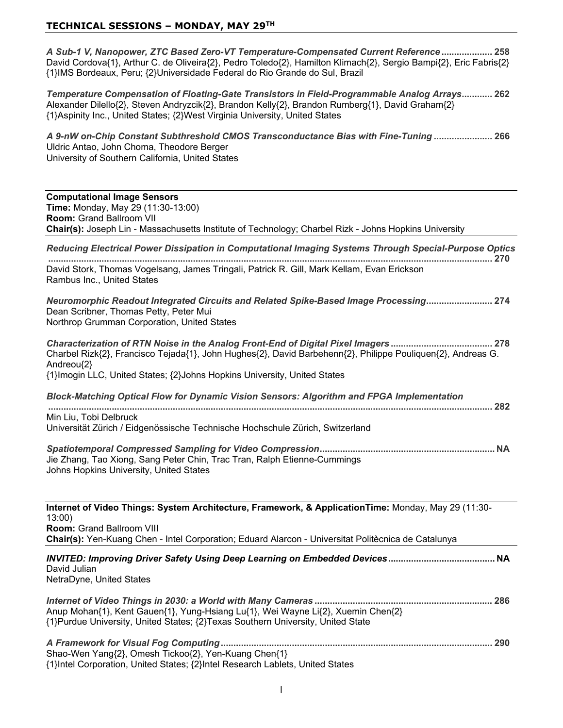*A Sub-1 V, Nanopower, ZTC Based Zero-VT Temperature-Compensated Current Reference*  David Cordova{1}, Arthur C. de Oliveira{2}, Pedro Toledo{2}, Hamilton Klimach{2}, Sergio Bampi{2}, Eric Fabris{2} {1}IMS Bordeaux, Peru; {2}Universidade Federal do Rio Grande do Sul, Brazil

*Temperature Compensation of Floating-Gate Transistors in Field-Programmable Analog Arrays* Alexander Dilello{2}, Steven Andryzcik{2}, Brandon Kelly{2}, Brandon Rumberg{1}, David Graham{2} {1}Aspinity Inc., United States; {2}West Virginia University, United States

*A 9-nW on-Chip Constant Subthreshold CMOS Transconductance Bias with Fine-Tuning*  Uldric Antao, John Choma, Theodore Berger University of Southern California, United States

#### **Computational Image Sensors Time:** Monday, May 29 (11:30-13:00) **Room: Grand Ballroom VII Chair(s):** Joseph Lin - Massachusetts Institute of Technology; Charbel Rizk - Johns Hopkins University

*Reducing Electrical Power Dissipation in Computational Imaging Systems Through Special-Purpose Optics*

 David Stork, Thomas Vogelsang, James Tringali, Patrick R. Gill, Mark Kellam, Evan Erickson Rambus Inc., United States

*Neuromorphic Readout Integrated Circuits and Related Spike-Based Image Processing* Dean Scribner, Thomas Petty, Peter Mui Northrop Grumman Corporation, United States

*Characterization of RTN Noise in the Analog Front-End of Digital Pixel Imagers*  Charbel Rizk{2}, Francisco Tejada{1}, John Hughes{2}, David Barbehenn{2}, Philippe Pouliquen{2}, Andreas G. Andreou{2} {1}Imogin LLC, United States; {2}Johns Hopkins University, United States

*Block-Matching Optical Flow for Dynamic Vision Sensors: Algorithm and FPGA Implementation*

 Min Liu. Tobi Delbruck

Universität Zürich / Eidgenössische Technische Hochschule Zürich, Switzerland

*Spatiotemporal Compressed Sampling for Video Compression* **1\$** Jie Zhang, Tao Xiong, Sang Peter Chin, Trac Tran, Ralph Etienne-Cummings Johns Hopkins University, United States

**Internet of Video Things: System Architecture, Framework, & ApplicationTime: Monday, May 29 (11:30-** $13:00$ **Room: Grand Ballroom VIII Chair(s):** Yen-Kuang Chen - Intel Corporation; Eduard Alarcon - Universitat Politècnica de Catalunya

*INVITED: Improving Driver Safety Using Deep Learning on Embedded Devices* **1\$** David Julian NetraDyne, United States

*Internet of Video Things in 2030: a World with Many Cameras*  Anup Mohan{1}, Kent Gauen{1}, Yung-Hsiang Lu{1}, Wei Wayne Li{2}, Xuemin Chen{2} {1}Purdue University, United States; {2}Texas Southern University, United State

*A Framework for Visual Fog Computing* Shao-Wen Yang{2}, Omesh Tickoo{2}, Yen-Kuang Chen{1} {1}Intel Corporation, United States; {2}Intel Research Lablets, United States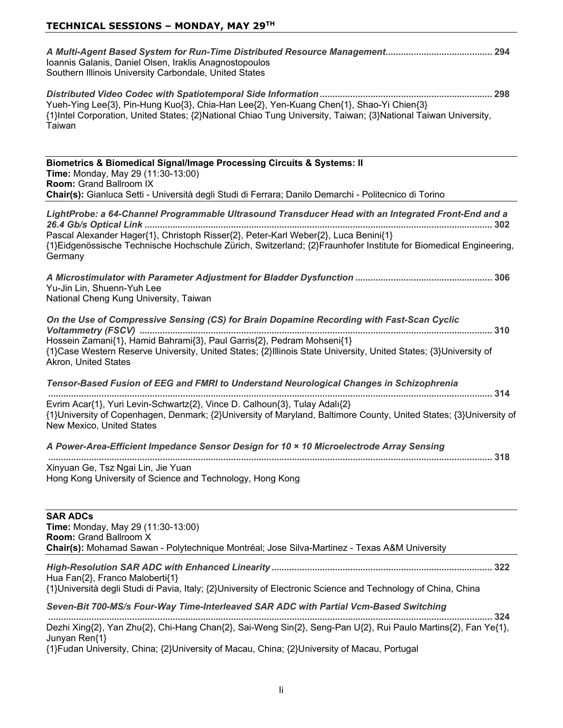| Ioannis Galanis, Daniel Olsen, Iraklis Anagnostopoulos<br>Southern Illinois University Carbondale, United States                                                                                                                                                                                                          |
|---------------------------------------------------------------------------------------------------------------------------------------------------------------------------------------------------------------------------------------------------------------------------------------------------------------------------|
| Yueh-Ying Lee{3}, Pin-Hung Kuo{3}, Chia-Han Lee{2}, Yen-Kuang Chen{1}, Shao-Yi Chien{3}<br>{1}Intel Corporation, United States; {2}National Chiao Tung University, Taiwan; {3}National Taiwan University,<br>Taiwan                                                                                                       |
| Biometrics & Biomedical Signal/Image Processing Circuits & Systems: II<br>Time: Monday, May 29 (11:30-13:00)<br>Room: Grand Ballroom IX<br>Chair(s): Gianluca Setti - Università degli Studi di Ferrara; Danilo Demarchi - Politecnico di Torino                                                                          |
| LightProbe: a 64-Channel Programmable Ultrasound Transducer Head with an Integrated Front-End and a<br>Pascal Alexander Hager{1}, Christoph Risser{2}, Peter-Karl Weber{2}, Luca Benini{1}<br>{1}Eidgenössische Technische Hochschule Zürich, Switzerland; {2}Fraunhofer Institute for Biomedical Engineering,<br>Germany |
| Yu-Jin Lin, Shuenn-Yuh Lee<br>National Cheng Kung University, Taiwan                                                                                                                                                                                                                                                      |
| On the Use of Compressive Sensing (CS) for Brain Dopamine Recording with Fast-Scan Cyclic<br>Hossein Zamani{1}, Hamid Bahrami{3}, Paul Garris{2}, Pedram Mohseni{1}<br>{1}Case Western Reserve University, United States; {2}Illinois State University, United States; {3}University of<br>Akron, United States           |
| Tensor-Based Fusion of EEG and FMRI to Understand Neurological Changes in Schizophrenia<br>Evrim Acar{1}, Yuri Levin-Schwartz{2}, Vince D. Calhoun{3}, Tulay Adalı{2}<br>{1}University of Copenhagen, Denmark; {2}University of Maryland, Baltimore County, United States; {3}University of<br>New Mexico, United States  |
| A Power-Area-Efficient Impedance Sensor Design for 10 x 10 Microelectrode Array Sensing                                                                                                                                                                                                                                   |
| Xinyuan Ge, Tsz Ngai Lin, Jie Yuan<br>Hong Kong University of Science and Technology, Hong Kong                                                                                                                                                                                                                           |
| <b>SAR ADCs</b><br>Time: Monday, May 29 (11:30-13:00)<br><b>Room: Grand Ballroom X</b><br>Chair(s): Mohamad Sawan - Polytechnique Montréal; Jose Silva-Martinez - Texas A&M University                                                                                                                                    |
| Hua Fan{2}, Franco Maloberti{1}<br>{1}Università degli Studi di Pavia, Italy; {2}University of Electronic Science and Technology of China, China                                                                                                                                                                          |
| Seven-Bit 700-MS/s Four-Way Time-Interleaved SAR ADC with Partial Vcm-Based Switching                                                                                                                                                                                                                                     |
| 324<br>Dezhi Xing{2}, Yan Zhu{2}, Chi-Hang Chan{2}, Sai-Weng Sin{2}, Seng-Pan U{2}, Rui Paulo Martins{2}, Fan Ye{1},                                                                                                                                                                                                      |

Junyan Ren $\{1\}$ {1}Fudan University, China; {2}University of Macau, China; {2}University of Macau, Portugal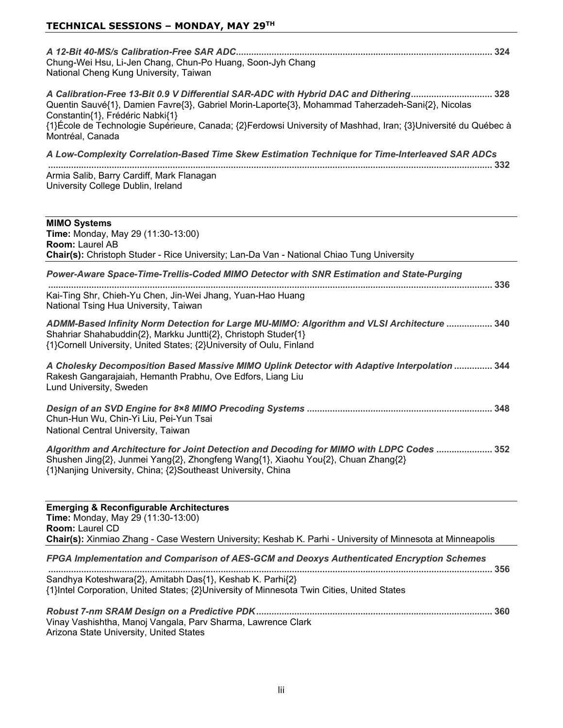| Chung-Wei Hsu, Li-Jen Chang, Chun-Po Huang, Soon-Jyh Chang<br>National Cheng Kung University, Taiwan                                                                                                                                                                                                                                                                  |
|-----------------------------------------------------------------------------------------------------------------------------------------------------------------------------------------------------------------------------------------------------------------------------------------------------------------------------------------------------------------------|
| A Calibration-Free 13-Bit 0.9 V Differential SAR-ADC with Hybrid DAC and Dithering 328<br>Quentin Sauvé{1}, Damien Favre{3}, Gabriel Morin-Laporte{3}, Mohammad Taherzadeh-Sani{2}, Nicolas<br>Constantin{1}, Frédéric Nabki{1}<br>{1}École de Technologie Supérieure, Canada; {2}Ferdowsi University of Mashhad, Iran; {3}Université du Québec à<br>Montréal, Canada |
| A Low-Complexity Correlation-Based Time Skew Estimation Technique for Time-Interleaved SAR ADCs<br>Armia Salib, Barry Cardiff, Mark Flanagan<br>University College Dublin, Ireland                                                                                                                                                                                    |
| <b>MIMO Systems</b><br>Time: Monday, May 29 (11:30-13:00)<br><b>Room: Laurel AB</b>                                                                                                                                                                                                                                                                                   |
| Chair(s): Christoph Studer - Rice University; Lan-Da Van - National Chiao Tung University                                                                                                                                                                                                                                                                             |
| Power-Aware Space-Time-Trellis-Coded MIMO Detector with SNR Estimation and State-Purging<br>Kai-Ting Shr, Chieh-Yu Chen, Jin-Wei Jhang, Yuan-Hao Huang<br>National Tsing Hua University, Taiwan                                                                                                                                                                       |
| ADMM-Based Infinity Norm Detection for Large MU-MIMO: Algorithm and VLSI Architecture  340<br>Shahriar Shahabuddin{2}, Markku Juntti{2}, Christoph Studer{1}<br>{1}Cornell University, United States; {2}University of Oulu, Finland                                                                                                                                  |
| A Cholesky Decomposition Based Massive MIMO Uplink Detector with Adaptive Interpolation  344<br>Rakesh Gangarajaiah, Hemanth Prabhu, Ove Edfors, Liang Liu<br>Lund University, Sweden                                                                                                                                                                                 |

*Algorithm and Architecture for Joint Detection and Decoding for MIMO with LDPC Codes*  Shushen Jing{2}, Junmei Yang{2}, Zhongfeng Wang{1}, Xiaohu You{2}, Chuan Zhang{2} {1}Nanjing University, China; {2}Southeast University, China

| <b>Emerging &amp; Reconfigurable Architectures</b>                                                                                                      |     |
|---------------------------------------------------------------------------------------------------------------------------------------------------------|-----|
| <b>Time: Monday, May 29 (11:30-13:00)</b>                                                                                                               |     |
| <b>Room: Laurel CD</b>                                                                                                                                  |     |
| Chair(s): Xinmiao Zhang - Case Western University; Keshab K. Parhi - University of Minnesota at Minneapolis                                             |     |
| FPGA Implementation and Comparison of AES-GCM and Deoxys Authenticated Encryption Schemes                                                               | 356 |
| Sandhya Koteshwara{2}, Amitabh Das{1}, Keshab K. Parhi{2}<br>{1}Intel Corporation, United States; {2}University of Minnesota Twin Cities, United States |     |
| Vinay Vashishtha, Manoj Vangala, Parv Sharma, Lawrence Clark<br>Arizona State University, United States                                                 | 360 |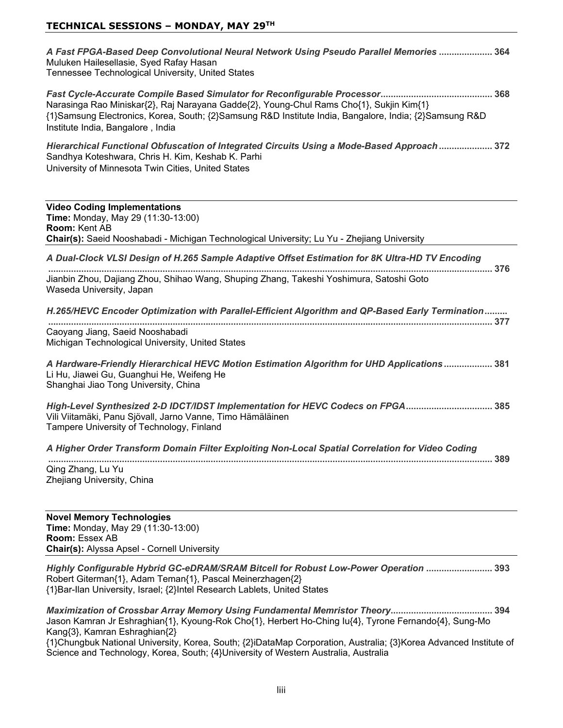| A Fast FPGA-Based Deep Convolutional Neural Network Using Pseudo Parallel Memories  364 |  |
|-----------------------------------------------------------------------------------------|--|
| Muluken Hailesellasie, Syed Rafay Hasan                                                 |  |
| Tennessee Technological University, United States                                       |  |
|                                                                                         |  |

*Fast Cycle-Accurate Compile Based Simulator for Reconfigurable Processor* Narasinga Rao Miniskar{2}, Raj Narayana Gadde{2}, Young-Chul Rams Cho{1}, Sukjin Kim{1} {1}Samsung Electronics, Korea, South; {2}Samsung R&D Institute India, Bangalore, India; {2}Samsung R&D Institute India, Bangalore, India

*Hierarchical Functional Obfuscation of Integrated Circuits Using a Mode-Based Approach*  Sandhya Koteshwara, Chris H. Kim, Keshab K. Parhi University of Minnesota Twin Cities, United States

| <b>Video Coding Implementations</b><br>Time: Monday, May 29 (11:30-13:00)<br><b>Room: Kent AB</b><br>Chair(s): Saeid Nooshabadi - Michigan Technological University; Lu Yu - Zhejiang University                              |
|-------------------------------------------------------------------------------------------------------------------------------------------------------------------------------------------------------------------------------|
| A Dual-Clock VLSI Design of H.265 Sample Adaptive Offset Estimation for 8K Ultra-HD TV Encoding<br>376<br>Jianbin Zhou, Dajiang Zhou, Shihao Wang, Shuping Zhang, Takeshi Yoshimura, Satoshi Goto<br>Waseda University, Japan |
| H.265/HEVC Encoder Optimization with Parallel-Efficient Algorithm and QP-Based Early Termination                                                                                                                              |
| Caoyang Jiang, Saeid Nooshabadi<br>Michigan Technological University, United States                                                                                                                                           |
| A Hardware-Friendly Hierarchical HEVC Motion Estimation Algorithm for UHD Applications 381<br>Li Hu, Jiawei Gu, Guanghui He, Weifeng He<br>Shanghai Jiao Tong University, China                                               |
| High-Level Synthesized 2-D IDCT/IDST Implementation for HEVC Codecs on FPGA 385<br>Vili Viitamäki, Panu Sjövall, Jarno Vanne, Timo Hämäläinen<br>Tampere University of Technology, Finland                                    |
| A Higher Order Transform Domain Filter Exploiting Non-Local Spatial Correlation for Video Coding<br>389                                                                                                                       |
| Qing Zhang, Lu Yu<br>Zhejiang University, China                                                                                                                                                                               |

**Novel Memory Technologies Time:** Monday, May 29 (11:30-13:00) **Room: Essex AB Chair(s):** Alyssa Apsel - Cornell University

*Highly Configurable Hybrid GC-eDRAM/SRAM Bitcell for Robust Low-Power Operation*  Robert Giterman{1}, Adam Teman{1}, Pascal Meinerzhagen{2} {1}Bar-Ilan University, Israel; {2}Intel Research Lablets, United States

*Maximization of Crossbar Array Memory Using Fundamental Memristor Theory* Jason Kamran Jr Eshraghian{1}, Kyoung-Rok Cho{1}, Herbert Ho-Ching Iu{4}, Tyrone Fernando{4}, Sung-Mo Kang{3}, Kamran Eshraghian{2}

{1}Chungbuk National University, Korea, South; {2}iDataMap Corporation, Australia; {3}Korea Advanced Institute of Science and Technology, Korea, South; {4}University of Western Australia, Australia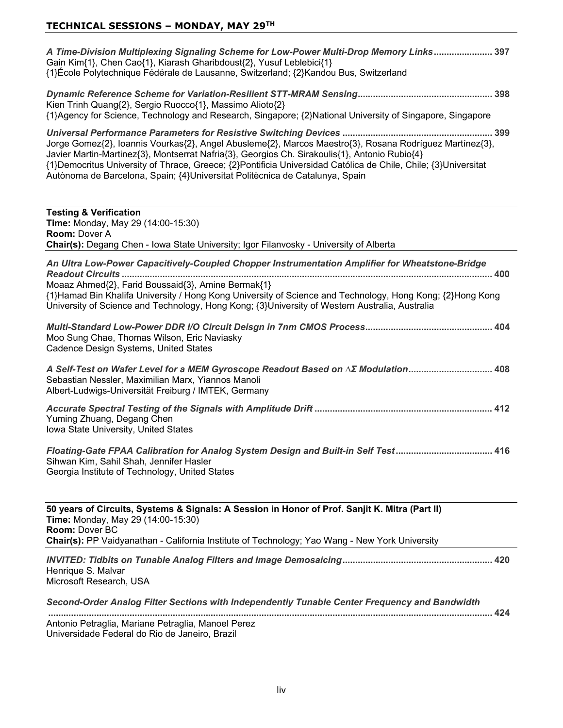| A Time-Division Multiplexing Signaling Scheme for Low-Power Multi-Drop Memory Links 397<br>Gain Kim{1}, Chen Cao{1}, Kiarash Gharibdoust{2}, Yusuf Leblebici{1}<br>{1}École Polytechnique Fédérale de Lausanne, Switzerland; {2}Kandou Bus, Switzerland                                                                                                                                                    |
|------------------------------------------------------------------------------------------------------------------------------------------------------------------------------------------------------------------------------------------------------------------------------------------------------------------------------------------------------------------------------------------------------------|
| Kien Trinh Quang{2}, Sergio Ruocco{1}, Massimo Alioto{2}<br>{1}Agency for Science, Technology and Research, Singapore; {2}National University of Singapore, Singapore                                                                                                                                                                                                                                      |
| Jorge Gomez{2}, Ioannis Vourkas{2}, Angel Abusleme{2}, Marcos Maestro{3}, Rosana Rodríguez Martínez{3},<br>Javier Martin-Martinez{3}, Montserrat Nafria{3}, Georgios Ch. Sirakoulis{1}, Antonio Rubio{4}<br>{1}Democritus University of Thrace, Greece; {2}Pontificia Universidad Católica de Chile, Chile; {3}Universitat<br>Autònoma de Barcelona, Spain; {4}Universitat Politècnica de Catalunya, Spain |
| <b>Testing &amp; Verification</b><br>Time: Monday, May 29 (14:00-15:30)<br><b>Room: Dover A</b><br>Chair(s): Degang Chen - Iowa State University; Igor Filanvosky - University of Alberta                                                                                                                                                                                                                  |
| An Ultra Low-Power Capacitively-Coupled Chopper Instrumentation Amplifier for Wheatstone-Bridge                                                                                                                                                                                                                                                                                                            |
| Moaaz Ahmed{2}, Farid Boussaid{3}, Amine Bermak{1}<br>{1}Hamad Bin Khalifa University / Hong Kong University of Science and Technology, Hong Kong; {2}Hong Kong<br>University of Science and Technology, Hong Kong; {3}University of Western Australia, Australia                                                                                                                                          |
| Moo Sung Chae, Thomas Wilson, Eric Naviasky<br>Cadence Design Systems, United States                                                                                                                                                                                                                                                                                                                       |
| A Self-Test on Wafer Level for a MEM Gyroscope Readout Based on ∆Σ Modulation 408<br>Sebastian Nessler, Maximilian Marx, Yiannos Manoli<br>Albert-Ludwigs-Universität Freiburg / IMTEK, Germany                                                                                                                                                                                                            |
| Yuming Zhuang, Degang Chen<br>Iowa State University, United States                                                                                                                                                                                                                                                                                                                                         |
| Floating-Gate FPAA Calibration for Analog System Design and Built-in Self Test 416<br>Sihwan Kim, Sahil Shah, Jennifer Hasler<br>Georgia Institute of Technology, United States                                                                                                                                                                                                                            |
| 50 years of Circuits, Systems & Signals: A Session in Honor of Prof. Sanjit K. Mitra (Part II)<br>Time: Monday, May 29 (14:00-15:30)<br>Room: Dover BC<br>Chair(s): PP Vaidyanathan - California Institute of Technology; Yao Wang - New York University                                                                                                                                                   |
| Henrique S. Malvar<br>Microsoft Research, USA                                                                                                                                                                                                                                                                                                                                                              |
| Second-Order Analog Filter Sections with Independently Tunable Center Frequency and Bandwidth                                                                                                                                                                                                                                                                                                              |
| Antonio Petraglia, Mariane Petraglia, Manoel Perez                                                                                                                                                                                                                                                                                                                                                         |

Universidade Federal do Rio de Janeiro, Brazil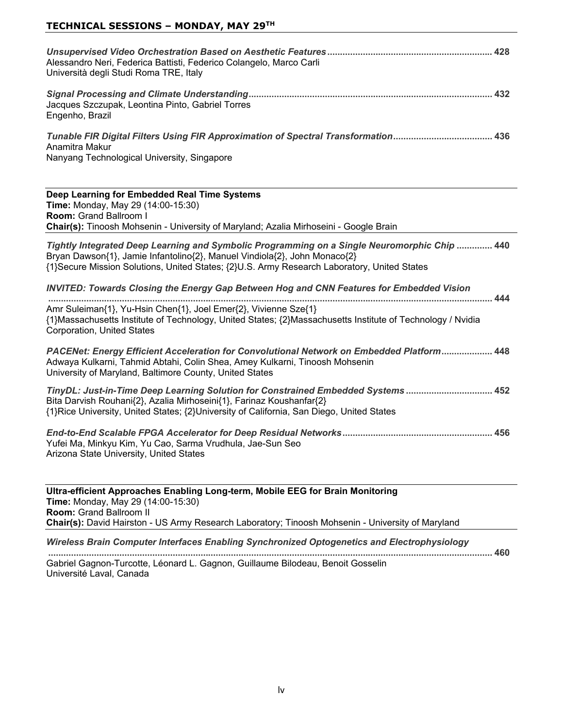| Alessandro Neri, Federica Battisti, Federico Colangelo, Marco Carli<br>Università degli Studi Roma TRE, Italy                                                                                                                                                            |
|--------------------------------------------------------------------------------------------------------------------------------------------------------------------------------------------------------------------------------------------------------------------------|
| Jacques Szczupak, Leontina Pinto, Gabriel Torres<br>Engenho, Brazil                                                                                                                                                                                                      |
| Tunable FIR Digital Filters Using FIR Approximation of Spectral Transformation 436<br>Anamitra Makur<br>Nanyang Technological University, Singapore                                                                                                                      |
| Deep Learning for Embedded Real Time Systems<br>Time: Monday, May 29 (14:00-15:30)<br>Room: Grand Ballroom I<br>Chair(s): Tinoosh Mohsenin - University of Maryland; Azalia Mirhoseini - Google Brain                                                                    |
| Tightly Integrated Deep Learning and Symbolic Programming on a Single Neuromorphic Chip  440<br>Bryan Dawson{1}, Jamie Infantolino{2}, Manuel Vindiola{2}, John Monaco{2}<br>{1}Secure Mission Solutions, United States; {2}U.S. Army Research Laboratory, United States |
| <b>INVITED: Towards Closing the Energy Gap Between Hog and CNN Features for Embedded Vision</b>                                                                                                                                                                          |
| Amr Suleiman{1}, Yu-Hsin Chen{1}, Joel Emer{2}, Vivienne Sze{1}<br>{1}Massachusetts Institute of Technology, United States; {2}Massachusetts Institute of Technology / Nvidia<br><b>Corporation, United States</b>                                                       |
| PACENet: Energy Efficient Acceleration for Convolutional Network on Embedded Platform 448<br>Adwaya Kulkarni, Tahmid Abtahi, Colin Shea, Amey Kulkarni, Tinoosh Mohsenin<br>University of Maryland, Baltimore County, United States                                      |
| TinyDL: Just-in-Time Deep Learning Solution for Constrained Embedded Systems 452<br>Bita Darvish Rouhani{2}, Azalia Mirhoseini{1}, Farinaz Koushanfar{2}<br>{1}Rice University, United States; {2}University of California, San Diego, United States                     |
| Yufei Ma, Minkyu Kim, Yu Cao, Sarma Vrudhula, Jae-Sun Seo<br>Arizona State University, United States                                                                                                                                                                     |
| Ultra-efficient Approaches Enabling Long-term, Mobile EEG for Brain Monitoring<br>Time: Monday, May 29 (14:00-15:30)<br>Room: Grand Ballroom II                                                                                                                          |
| Chair(s): David Hairston - US Army Research Laboratory; Tinoosh Mohsenin - University of Maryland<br>Wireless Brain Computer Interfaces Enabling Synchronized Optogenetics and Electrophysiology                                                                         |
|                                                                                                                                                                                                                                                                          |

 Gabriel Gagnon-Turcotte, Léonard L. Gagnon, Guillaume Bilodeau, Benoit Gosselin

Université Laval, Canada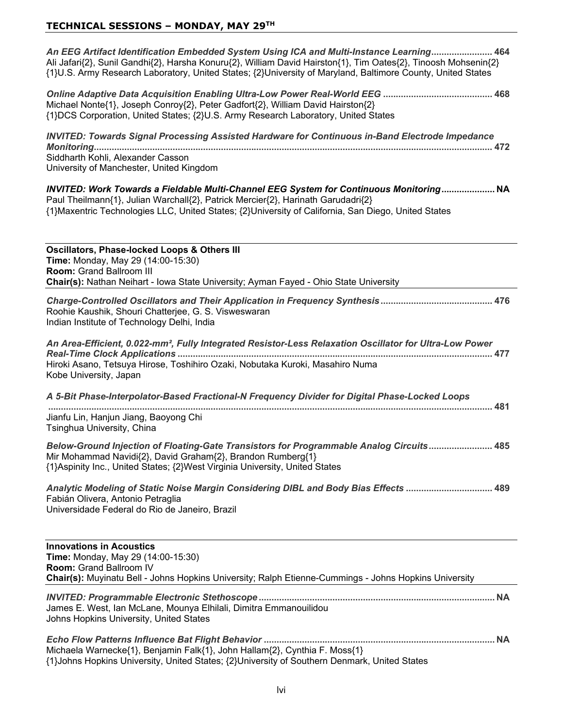| An EEG Artifact Identification Embedded System Using ICA and Multi-Instance Learning 464<br>Ali Jafari{2}, Sunil Gandhi{2}, Harsha Konuru{2}, William David Hairston{1}, Tim Oates{2}, Tinoosh Mohsenin{2}<br>{1}U.S. Army Research Laboratory, United States; {2}University of Maryland, Baltimore County, United States |
|---------------------------------------------------------------------------------------------------------------------------------------------------------------------------------------------------------------------------------------------------------------------------------------------------------------------------|
| Michael Nonte{1}, Joseph Conroy{2}, Peter Gadfort{2}, William David Hairston{2}<br>{1}DCS Corporation, United States; {2}U.S. Army Research Laboratory, United States                                                                                                                                                     |
| <b>INVITED: Towards Signal Processing Assisted Hardware for Continuous in-Band Electrode Impedance</b><br>Siddharth Kohli, Alexander Casson<br>University of Manchester, United Kingdom                                                                                                                                   |
| INVITED: Work Towards a Fieldable Multi-Channel EEG System for Continuous Monitoring NA<br>Paul Theilmann{1}, Julian Warchall{2}, Patrick Mercier{2}, Harinath Garudadri{2}<br>{1}Maxentric Technologies LLC, United States; {2}University of California, San Diego, United States                                        |
| <b>Oscillators, Phase-locked Loops &amp; Others III</b><br>Time: Monday, May 29 (14:00-15:30)<br><b>Room: Grand Ballroom III</b><br>Chair(s): Nathan Neihart - Iowa State University; Ayman Fayed - Ohio State University                                                                                                 |
| Roohie Kaushik, Shouri Chatterjee, G. S. Visweswaran<br>Indian Institute of Technology Delhi, India                                                                                                                                                                                                                       |
| An Area-Efficient, 0.022-mm <sup>2</sup> , Fully Integrated Resistor-Less Relaxation Oscillator for Ultra-Low Power<br>Hiroki Asano, Tetsuya Hirose, Toshihiro Ozaki, Nobutaka Kuroki, Masahiro Numa<br>Kobe University, Japan                                                                                            |
| A 5-Bit Phase-Interpolator-Based Fractional-N Frequency Divider for Digital Phase-Locked Loops                                                                                                                                                                                                                            |
| Jianfu Lin, Hanjun Jiang, Baoyong Chi<br>Tsinghua University, China                                                                                                                                                                                                                                                       |
| Below-Ground Injection of Floating-Gate Transistors for Programmable Analog Circuits 485<br>Mir Mohammad Navidi{2}, David Graham{2}, Brandon Rumberg{1}<br>{1}Aspinity Inc., United States; {2}West Virginia University, United States                                                                                    |
| Analytic Modeling of Static Noise Margin Considering DIBL and Body Bias Effects  489<br>Fabián Olivera, Antonio Petraglia<br>Universidade Federal do Rio de Janeiro, Brazil                                                                                                                                               |
| <b>Innovations in Acoustics</b><br><b>Time: Monday, May 29 (14:00-15:30)</b><br>Room: Grand Ballroom IV<br>Chair(s): Muyinatu Bell - Johns Hopkins University; Ralph Etienne-Cummings - Johns Hopkins University                                                                                                          |
| James E. West, Ian McLane, Mounya Elhilali, Dimitra Emmanouilidou<br>Johns Hopkins University, United States                                                                                                                                                                                                              |
| Michaela Warnecke{1}, Benjamin Falk{1}, John Hallam{2}, Cynthia F. Moss{1}                                                                                                                                                                                                                                                |

{1}Johns Hopkins University, United States; {2}University of Southern Denmark, United States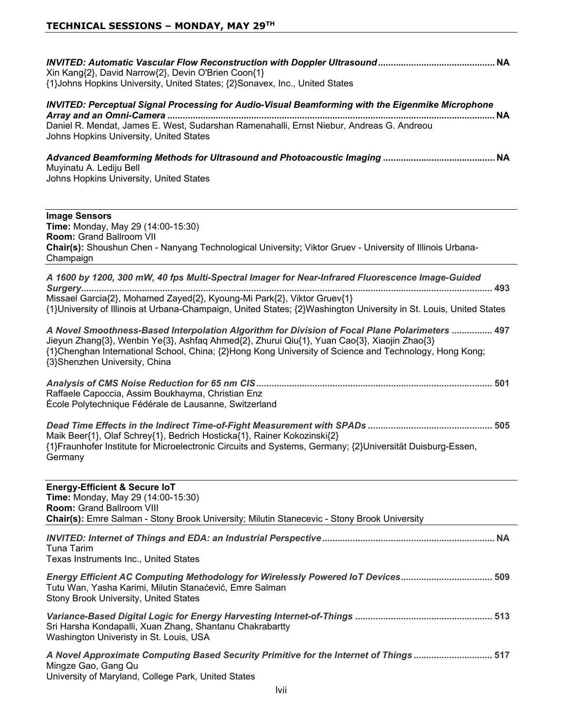| Xin Kang{2}, David Narrow{2}, Devin O'Brien Coon{1}<br>{1}Johns Hopkins University, United States; {2}Sonavex, Inc., United States                                                                                                                                                                                                       |
|------------------------------------------------------------------------------------------------------------------------------------------------------------------------------------------------------------------------------------------------------------------------------------------------------------------------------------------|
| <b>INVITED: Perceptual Signal Processing for Audio-Visual Beamforming with the Eigenmike Microphone</b><br>Daniel R. Mendat, James E. West, Sudarshan Ramenahalli, Ernst Niebur, Andreas G. Andreou<br>Johns Hopkins University, United States                                                                                           |
| Muyinatu A. Lediju Bell<br>Johns Hopkins University, United States                                                                                                                                                                                                                                                                       |
| <b>Image Sensors</b><br>Time: Monday, May 29 (14:00-15:30)<br>Room: Grand Ballroom VII<br>Chair(s): Shoushun Chen - Nanyang Technological University; Viktor Gruev - University of Illinois Urbana-<br>Champaign                                                                                                                         |
| A 1600 by 1200, 300 mW, 40 fps Multi-Spectral Imager for Near-Infrared Fluorescence Image-Guided<br>Missael Garcia{2}, Mohamed Zayed{2}, Kyoung-Mi Park{2}, Viktor Gruev{1}<br>{1}University of Illinois at Urbana-Champaign, United States; {2}Washington University in St. Louis, United States                                        |
| A Novel Smoothness-Based Interpolation Algorithm for Division of Focal Plane Polarimeters  497<br>Jieyun Zhang{3}, Wenbin Ye{3}, Ashfaq Ahmed{2}, Zhurui Qiu{1}, Yuan Cao{3}, Xiaojin Zhao{3}<br>{1}Chenghan International School, China; {2}Hong Kong University of Science and Technology, Hong Kong;<br>{3}Shenzhen University, China |
| Raffaele Capoccia, Assim Boukhayma, Christian Enz<br>École Polytechnique Fédérale de Lausanne, Switzerland                                                                                                                                                                                                                               |
| Maik Beer{1}, Olaf Schrey{1}, Bedrich Hosticka{1}, Rainer Kokozinski{2}<br>{1}Fraunhofer Institute for Microelectronic Circuits and Systems, Germany; {2}Universität Duisburg-Essen,<br>Germany                                                                                                                                          |
| <b>Energy-Efficient &amp; Secure IoT</b><br>Time: Monday, May 29 (14:00-15:30)<br><b>Room: Grand Ballroom VIII</b><br>Chair(s): Emre Salman - Stony Brook University; Milutin Stanecevic - Stony Brook University                                                                                                                        |
| Tuna Tarim<br>Texas Instruments Inc., United States                                                                                                                                                                                                                                                                                      |
| Energy Efficient AC Computing Methodology for Wirelessly Powered IoT Devices 509<br>Tutu Wan, Yasha Karimi, Milutin Stanaćević, Emre Salman<br>Stony Brook University, United States                                                                                                                                                     |
| Sri Harsha Kondapalli, Xuan Zhang, Shantanu Chakrabartty<br>Washington Univeristy in St. Louis, USA                                                                                                                                                                                                                                      |
| A Novel Approximate Computing Based Security Primitive for the Internet of Things 517<br>Mingze Gao, Gang Qu<br>University of Maryland, College Park, United States                                                                                                                                                                      |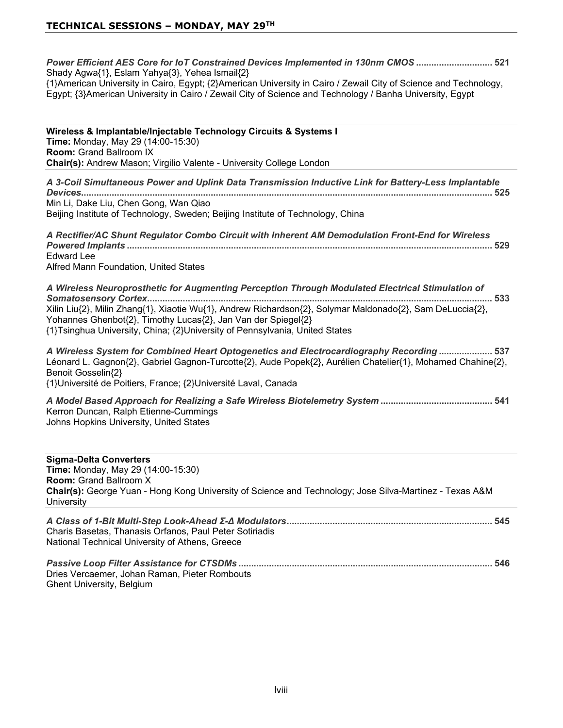*Power Efficient AES Core for IoT Constrained Devices Implemented in 130nm CMOS*  Shady Agwa $\{1\}$ , Eslam Yahya $\{3\}$ , Yehea Ismail $\{2\}$ {1}American University in Cairo, Egypt; {2}American University in Cairo / Zewail City of Science and Technology, Egypt;  $\{3\}$ American University in Cairo / Zewail City of Science and Technology / Banha University, Egypt

Wireless & Implantable/Injectable Technology Circuits & Systems I **Time:** Monday, May 29 (14:00-15:30) **Room: Grand Ballroom IX Chair(s):** Andrew Mason; Virgilio Valente - University College London

*A 3-Coil Simultaneous Power and Uplink Data Transmission Inductive Link for Battery-Less Implantable Devices* Min Li, Dake Liu, Chen Gong, Wan Qiao Beijing Institute of Technology, Sweden; Beijing Institute of Technology, China

*A Rectifier/AC Shunt Regulator Combo Circuit with Inherent AM Demodulation Front-End for Wireless Powered Implants*  Fdward Lee Alfred Mann Foundation, United States

*A Wireless Neuroprosthetic for Augmenting Perception Through Modulated Electrical Stimulation of Somatosensory Cortex* Xilin Liu{2}, Milin Zhang{1}, Xiaotie Wu{1}, Andrew Richardson{2}, Solymar Maldonado{2}, Sam DeLuccia{2}, Yohannes Ghenbot{2}, Timothy Lucas{2}, Jan Van der Spiegel{2} {1}Tsinghua University, China; {2}University of Pennsylvania, United States

*A Wireless System for Combined Heart Optogenetics and Electrocardiography Recording*  Léonard L. Gagnon{2}, Gabriel Gagnon-Turcotte{2}, Aude Popek{2}, Aurélien Chatelier{1}, Mohamed Chahine{2}, Benoit Gosselin{2} {1}Université de Poitiers, France; {2}Université Laval, Canada

*A Model Based Approach for Realizing a Safe Wireless Biotelemetry System*  Kerron Duncan, Ralph Etienne-Cummings Johns Hopkins University, United States

**Sigma-Delta Converters Time:** Monday, May 29 (14:00-15:30) **Room: Grand Ballroom X Chair(s):** George Yuan - Hong Kong University of Science and Technology; Jose Silva-Martinez - Texas A&M University

| Charis Basetas, Thanasis Orfanos, Paul Peter Sotiriadis |       |
|---------------------------------------------------------|-------|
| National Technical University of Athens, Greece         |       |
|                                                         | . 546 |

Dries Vercaemer, Johan Raman, Pieter Rombouts Ghent University, Belgium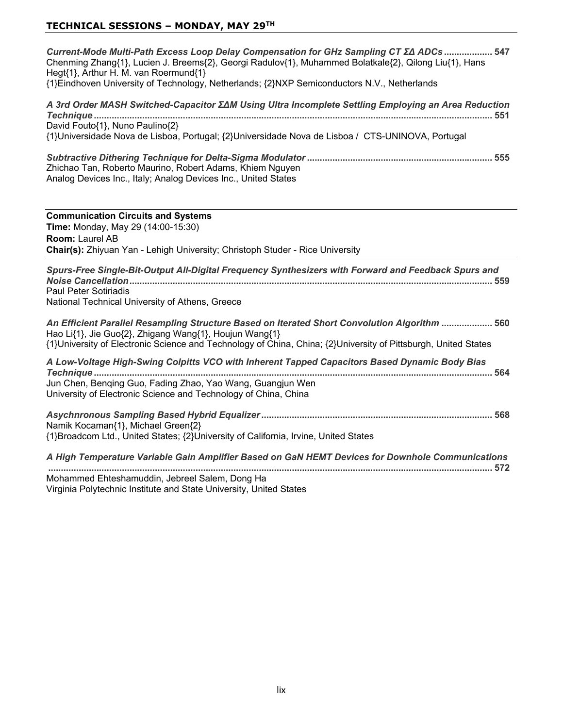| Current-Mode Multi-Path Excess Loop Delay Compensation for GHz Sampling CT ∑∆ ADCs  547<br>Chenming Zhang{1}, Lucien J. Breems{2}, Georgi Radulov{1}, Muhammed Bolatkale{2}, Qilong Liu{1}, Hans<br>Hegt{1}, Arthur H. M. van Roermund{1}<br>{1}Eindhoven University of Technology, Netherlands; {2}NXP Semiconductors N.V., Netherlands |
|------------------------------------------------------------------------------------------------------------------------------------------------------------------------------------------------------------------------------------------------------------------------------------------------------------------------------------------|
| A 3rd Order MASH Switched-Capacitor ΣΔM Using Ultra Incomplete Settling Employing an Area Reduction<br>David Fouto{1}, Nuno Paulino{2}<br>{1}Universidade Nova de Lisboa, Portugal; {2}Universidade Nova de Lisboa / CTS-UNINOVA, Portugal                                                                                               |
| Zhichao Tan, Roberto Maurino, Robert Adams, Khiem Nguyen<br>Analog Devices Inc., Italy; Analog Devices Inc., United States                                                                                                                                                                                                               |
| <b>Communication Circuits and Systems</b><br>Time: Monday, May 29 (14:00-15:30)<br>Room: Laurel AB<br>Chair(s): Zhiyuan Yan - Lehigh University; Christoph Studer - Rice University                                                                                                                                                      |
| Spurs-Free Single-Bit-Output All-Digital Frequency Synthesizers with Forward and Feedback Spurs and<br><b>Paul Peter Sotiriadis</b><br>National Technical University of Athens, Greece                                                                                                                                                   |
| An Efficient Parallel Resampling Structure Based on Iterated Short Convolution Algorithm  560<br>Hao Li{1}, Jie Guo{2}, Zhigang Wang{1}, Houjun Wang{1}<br>{1}University of Electronic Science and Technology of China, China; {2}University of Pittsburgh, United States                                                                |
| A Low-Voltage High-Swing Colpitts VCO with Inherent Tapped Capacitors Based Dynamic Body Bias<br>Jun Chen, Benqing Guo, Fading Zhao, Yao Wang, Guangjun Wen<br>University of Electronic Science and Technology of China, China                                                                                                           |
| Namik Kocaman{1}, Michael Green{2}<br>{1}Broadcom Ltd., United States; {2}University of California, Irvine, United States                                                                                                                                                                                                                |
| A High Temperature Variable Gain Amplifier Based on GaN HEMT Devices for Downhole Communications<br>Mohammed Ehteshamuddin, Jebreel Salem, Dong Ha<br>Virginia Polytechnic Institute and State University, United States                                                                                                                 |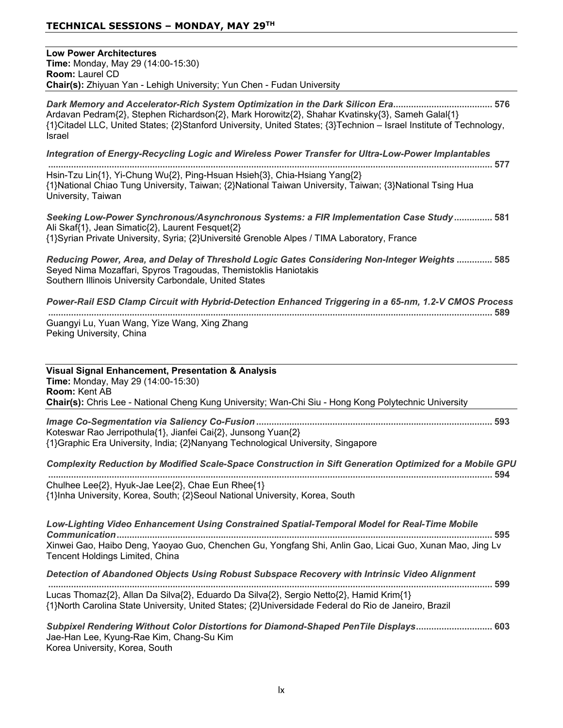**Low Power Architectures Time:** Monday, May 29 (14:00-15:30) **Room: Laurel CD Chair(s):** Zhiyuan Yan - Lehigh University; Yun Chen - Fudan University

**Dark Memory and Accelerator-Rich System Optimization in the Dark Silicon Era <u>manual manual</u> mess and 576** Ardavan Pedram{2}, Stephen Richardson{2}, Mark Horowitz{2}, Shahar Kvatinsky{3}, Sameh Galal{1} {1}Citadel LLC, United States; {2}Stanford University, United States; {3}Technion - Israel Institute of Technology, **Israel** 

*Integration of Energy-Recycling Logic and Wireless Power Transfer for Ultra-Low-Power Implantables*

 Hsin-Tzu Lin{1}, Yi-Chung Wu{2}, Ping-Hsuan Hsieh{3}, Chia-Hsiang Yang{2} {1}National Chiao Tung University, Taiwan; {2}National Taiwan University, Taiwan; {3}National Tsing Hua University, Taiwan

Seeking Low-Power Synchronous/Asynchronous Systems: a FIR Implementation Case Study ............... 581 Ali Skaf{1}, Jean Simatic{2}, Laurent Fesquet{2} {1}Syrian Private University, Syria; {2}Université Grenoble Alpes / TIMA Laboratory, France

*Reducing Power, Area, and Delay of Threshold Logic Gates Considering Non-Integer Weights*  Seyed Nima Mozaffari, Spyros Tragoudas, Themistoklis Haniotakis Southern Illinois University Carbondale, United States

*Power-Rail ESD Clamp Circuit with Hybrid-Detection Enhanced Triggering in a 65-nm, 1.2-V CMOS Process*

 Guangyi Lu, Yuan Wang, Yize Wang, Xing Zhang Peking University, China

| <b>Visual Signal Enhancement, Presentation &amp; Analysis</b><br><b>Time: Monday, May 29 (14:00-15:30)</b><br><b>Room: Kent AB</b><br>Chair(s): Chris Lee - National Cheng Kung University; Wan-Chi Siu - Hong Kong Polytechnic University                                                      |
|-------------------------------------------------------------------------------------------------------------------------------------------------------------------------------------------------------------------------------------------------------------------------------------------------|
| Koteswar Rao Jerripothula{1}, Jianfei Cai{2}, Junsong Yuan{2}<br>{1}Graphic Era University, India; {2}Nanyang Technological University, Singapore                                                                                                                                               |
| Complexity Reduction by Modified Scale-Space Construction in Sift Generation Optimized for a Mobile GPU                                                                                                                                                                                         |
| Chulhee Lee{2}, Hyuk-Jae Lee{2}, Chae Eun Rhee{1}<br>{1}Inha University, Korea, South; {2}Seoul National University, Korea, South                                                                                                                                                               |
| Low-Lighting Video Enhancement Using Constrained Spatial-Temporal Model for Real-Time Mobile<br>Xinwei Gao, Haibo Deng, Yaoyao Guo, Chenchen Gu, Yongfang Shi, Anlin Gao, Licai Guo, Xunan Mao, Jing Lv                                                                                         |
| Tencent Holdings Limited, China                                                                                                                                                                                                                                                                 |
| Detection of Abandoned Objects Using Robust Subspace Recovery with Intrinsic Video Alignment<br>Lucas Thomaz{2}, Allan Da Silva{2}, Eduardo Da Silva{2}, Sergio Netto{2}, Hamid Krim{1}<br>{1}North Carolina State University, United States; {2}Universidade Federal do Rio de Janeiro, Brazil |
|                                                                                                                                                                                                                                                                                                 |

Jae-Han Lee, Kyung-Rae Kim, Chang-Su Kim Korea University, Korea, South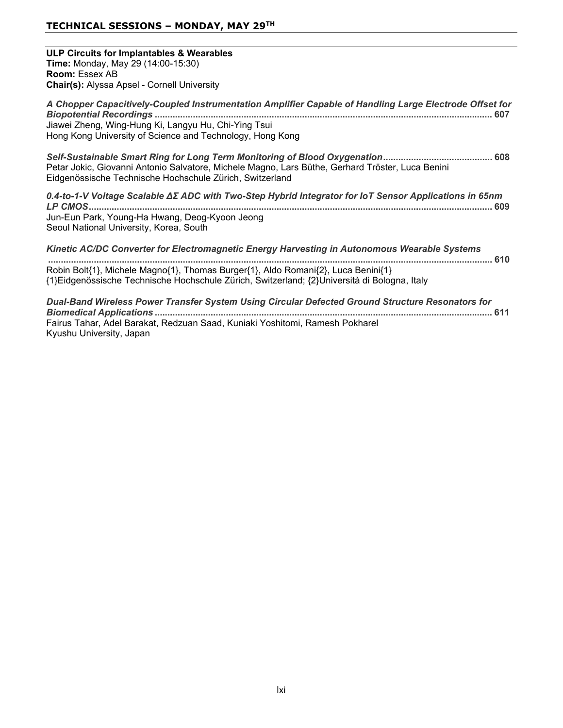**ULP Circuits for Implantables & Wearables Time:** Monday, May 29 (14:00-15:30) **Room: Essex AB Chair(s):** Alyssa Apsel - Cornell University

*A Chopper Capacitively-Coupled Instrumentation Amplifier Capable of Handling Large Electrode Offset for Biopotential Recordings*  Jiawei Zheng, Wing-Hung Ki, Langyu Hu, Chi-Ying Tsui Hong Kong University of Science and Technology, Hong Kong

*Self-Sustainable Smart Ring for Long Term Monitoring of Blood Oxygenation* Petar Jokic, Giovanni Antonio Salvatore, Michele Magno, Lars Büthe, Gerhard Tröster, Luca Benini Eidgenössische Technische Hochschule Zürich, Switzerland

*0.4-to-1-99ROWDJH6FDODEOHǻȈ\$'&ZLWK7ZR-Step Hybrid Integrator for IoT Sensor Applications in 65nm LP CMOS* Jun-Eun Park, Young-Ha Hwang, Deog-Kyoon Jeong Seoul National University, Korea, South

*Kinetic AC/DC Converter for Electromagnetic Energy Harvesting in Autonomous Wearable Systems*  Robin Bolt{1}, Michele Magno{1}, Thomas Burger{1}, Aldo Romani{2}, Luca Benini{1} {1}Eidgenössische Technische Hochschule Zürich, Switzerland; {2}Università di Bologna, Italy

*Dual-Band Wireless Power Transfer System Using Circular Defected Ground Structure Resonators for Biomedical Applications*  Fairus Tahar, Adel Barakat, Redzuan Saad, Kuniaki Yoshitomi, Ramesh Pokharel Kyushu University, Japan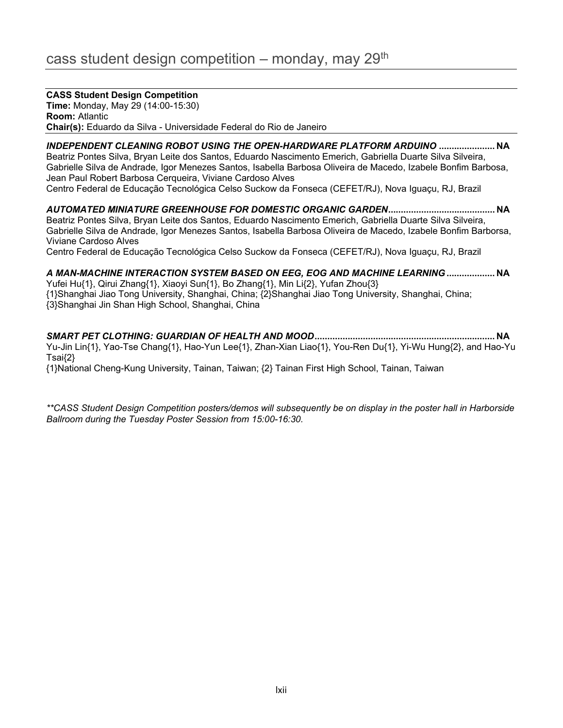#### **CASS Student Design Competition**

**Time:** Monday, May 29 (14:00-15:30) **Room: Atlantic Chair(s):** Eduardo da Silva - Universidade Federal do Rio de Janeiro

INDEPENDENT CLEANING ROBOT USING THE OPEN-HARDWARE PLATFORM ARDUINO ....................... NA Beatriz Pontes Silva, Bryan Leite dos Santos, Eduardo Nascimento Emerich, Gabriella Duarte Silva Silveira, Gabrielle Silva de Andrade, Igor Menezes Santos, Isabella Barbosa Oliveira de Macedo, Izabele Bonfim Barbosa, Jean Paul Robert Barbosa Cerqueira, Viviane Cardoso Alves

Centro Federal de Educação Tecnológica Celso Suckow da Fonseca (CEFET/RJ), Nova Iguaçu, RJ, Brazil

*AUTOMATED MINIATURE GREENHOUSE FOR DOMESTIC ORGANIC GARDEN* **1\$** Beatriz Pontes Silva, Bryan Leite dos Santos, Eduardo Nascimento Emerich, Gabriella Duarte Silva Silveira, Gabrielle Silva de Andrade, Igor Menezes Santos, Isabella Barbosa Oliveira de Macedo, Izabele Bonfim Barborsa, Viviane Cardoso Alves

Centro Federal de Educação Tecnológica Celso Suckow da Fonseca (CEFET/RJ), Nova Iguaçu, RJ, Brazil

*A MAN-MACHINE INTERACTION SYSTEM BASED ON EEG, EOG AND MACHINE LEARNING* **1\$** Yufei Hu{1}, Qirui Zhang{1}, Xiaoyi Sun{1}, Bo Zhang{1}, Min Li{2}, Yufan Zhou{3} {1}Shanghai Jiao Tong University, Shanghai, China; {2}Shanghai Jiao Tong University, Shanghai, China; {3}Shanghai Jin Shan High School, Shanghai, China

*SMART PET CLOTHING: GUARDIAN OF HEALTH AND MOOD* **1\$** Yu-Jin Lin{1}, Yao-Tse Chang{1}, Hao-Yun Lee{1}, Zhan-Xian Liao{1}, You-Ren Du{1}, Yi-Wu Hung{2}, and Hao-Yu  $Tsai\{2\}$ 

{1}National Cheng-Kung University, Tainan, Taiwan; {2} Tainan First High School, Tainan, Taiwan

*\*\*CASS Student Design Competition posters/demos will subsequently be on display in the poster hall in Harborside Ballroom during the Tuesday Poster Session from 15:00-16:30.*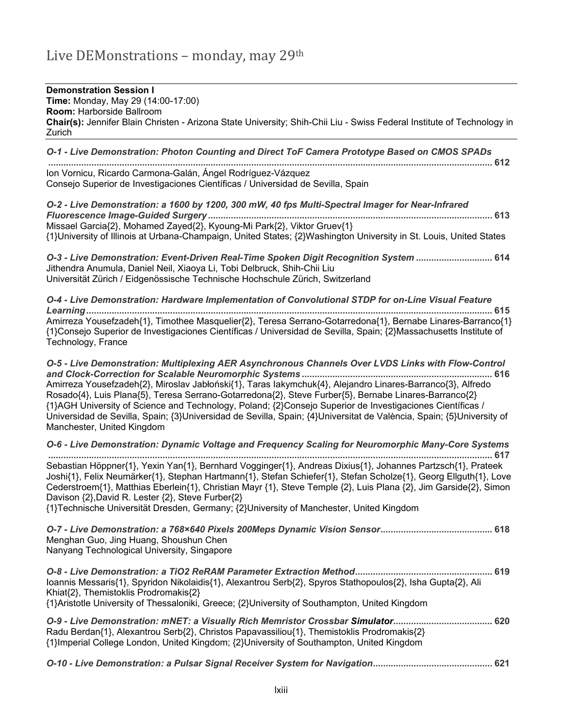# Live DEMonstrations - monday, may 29th

**Demonstration Session I Time:** Monday, May 29 (14:00-17:00) **Room: Harborside Ballroom Chair(s):** Jennifer Blain Christen - Arizona State University; Shih-Chii Liu - Swiss Federal Institute of Technology in Zurich

*O-1 - Live Demonstration: Photon Counting and Direct ToF Camera Prototype Based on CMOS SPADs*  lon Vornicu, Ricardo Carmona-Galán, Ángel Rodríguez-Vázquez

Consejo Superior de Investigaciones Científicas / Universidad de Sevilla, Spain

*O-2 - Live Demonstration: a 1600 by 1200, 300 mW, 40 fps Multi-Spectral Imager for Near-Infrared Fluorescence Image-Guided Surgery*  Missael Garcia{2}, Mohamed Zayed{2}, Kyoung-Mi Park{2}, Viktor Gruev{1} {1}University of Illinois at Urbana-Champaign, United States; {2}Washington University in St. Louis, United States

*O-3 - Live Demonstration: Event-Driven Real-Time Spoken Digit Recognition System*  Jithendra Anumula, Daniel Neil, Xiaoya Li, Tobi Delbruck, Shih-Chii Liu Universität Zürich / Eidgenössische Technische Hochschule Zürich, Switzerland

*O-4 - Live Demonstration: Hardware Implementation of Convolutional STDP for on-Line Visual Feature Learning* Amirreza Yousefzadeh{1}, Timothee Masquelier{2}, Teresa Serrano-Gotarredona{1}, Bernabe Linares-Barranco{1} {1}Consejo Superior de Investigaciones Científicas / Universidad de Sevilla, Spain; {2}Massachusetts Institute of Technology, France

*O-5 - Live Demonstration: Multiplexing AER Asynchronous Channels Over LVDS Links with Flow-Control and Clock-Correction for Scalable Neuromorphic Systems*  Amirreza Yousefzadeh{2}, Miroslav Jabłoński{1}, Taras lakymchuk{4}, Alejandro Linares-Barranco{3}, Alfredo Rosado{4}, Luis Plana{5}, Teresa Serrano-Gotarredona{2}, Steve Furber{5}, Bernabe Linares-Barranco{2} {1}AGH University of Science and Technology, Poland; {2}Consejo Superior de Investigaciones Científicas / Universidad de Sevilla, Spain; {3}Universidad de Sevilla, Spain; {4}Universitat de València, Spain; {5}University of Manchester. United Kingdom

*O-6 - Live Demonstration: Dynamic Voltage and Frequency Scaling for Neuromorphic Many-Core Systems*  Sebastian Höppner{1}, Yexin Yan{1}, Bernhard Vogginger{1}, Andreas Dixius{1}, Johannes Partzsch{1}, Prateek Joshi{1}, Felix Neumärker{1}, Stephan Hartmann{1}, Stefan Schiefer{1}, Stefan Scholze{1}, Georg Ellguth{1}, Love Cederstroem{1}, Matthias Eberlein{1}, Christian Mayr {1}, Steve Temple {2}, Luis Plana  $\{2\}$ , Jim Garside{2}, Simon Davison {2}, David R. Lester {2}, Steve Furber{2}

{1}Technische Universität Dresden, Germany; {2}University of Manchester, United Kingdom

*O-7 - Live Demonstration: a 768×640 Pixels 200Meps Dynamic Vision Sensor* Menghan Guo, Jing Huang, Shoushun Chen Nanyang Technological University, Singapore

*O-8 - Live Demonstration: a TiO2 ReRAM Parameter Extraction Method* loannis Messaris{1}, Spyridon Nikolaidis{1}, Alexantrou Serb{2}, Spyros Stathopoulos{2}, Isha Gupta{2}, Ali Khiat{2}, Themistoklis Prodromakis{2} {1}Aristotle University of Thessaloniki, Greece; {2}University of Southampton, United Kingdom

| O-9 - Live Demonstration: mNET: a Visually Rich Memristor Crossbar Simulator 620           |  |
|--------------------------------------------------------------------------------------------|--|
| Radu Berdan{1}, Alexantrou Serb{2}, Christos Papavassiliou{1}, Themistoklis Prodromakis{2} |  |
| {1}Imperial College London, United Kingdom; {2}University of Southampton, United Kingdom   |  |

*O-10 - Live Demonstration: a Pulsar Signal Receiver System for Navigation*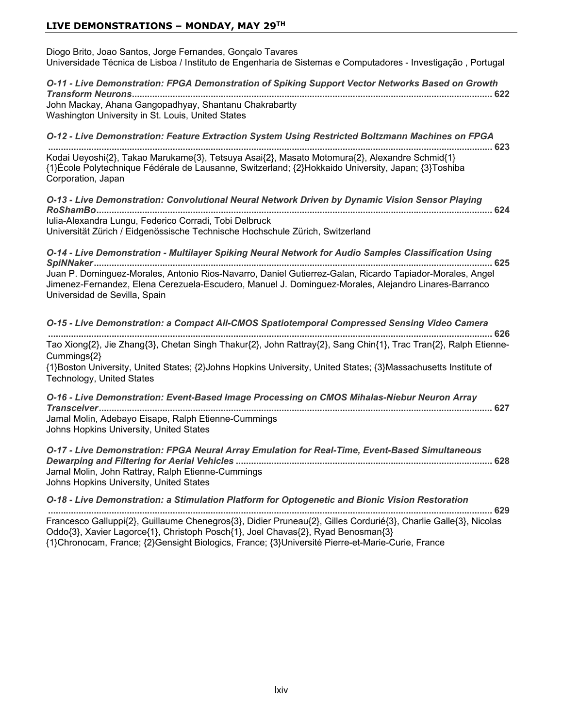# **LIVE DEMONSTRATIONS – MONDAY, MAY 29TH**

| Diogo Brito, Joao Santos, Jorge Fernandes, Gonçalo Tavares<br>Universidade Técnica de Lisboa / Instituto de Engenharia de Sistemas e Computadores - Investigação, Portugal                                                                        |
|---------------------------------------------------------------------------------------------------------------------------------------------------------------------------------------------------------------------------------------------------|
| O-11 - Live Demonstration: FPGA Demonstration of Spiking Support Vector Networks Based on Growth                                                                                                                                                  |
| John Mackay, Ahana Gangopadhyay, Shantanu Chakrabartty<br>Washington University in St. Louis, United States                                                                                                                                       |
| O-12 - Live Demonstration: Feature Extraction System Using Restricted Boltzmann Machines on FPGA                                                                                                                                                  |
| Kodai Ueyoshi{2}, Takao Marukame{3}, Tetsuya Asai{2}, Masato Motomura{2}, Alexandre Schmid{1}<br>{1}École Polytechnique Fédérale de Lausanne, Switzerland; {2}Hokkaido University, Japan; {3}Toshiba<br>Corporation, Japan                        |
| O-13 - Live Demonstration: Convolutional Neural Network Driven by Dynamic Vision Sensor Playing                                                                                                                                                   |
| Iulia-Alexandra Lungu, Federico Corradi, Tobi Delbruck<br>Universität Zürich / Eidgenössische Technische Hochschule Zürich, Switzerland                                                                                                           |
| O-14 - Live Demonstration - Multilayer Spiking Neural Network for Audio Samples Classification Using                                                                                                                                              |
| Juan P. Dominguez-Morales, Antonio Rios-Navarro, Daniel Gutierrez-Galan, Ricardo Tapiador-Morales, Angel<br>Jimenez-Fernandez, Elena Cerezuela-Escudero, Manuel J. Dominguez-Morales, Alejandro Linares-Barranco<br>Universidad de Sevilla, Spain |
| O-15 - Live Demonstration: a Compact All-CMOS Spatiotemporal Compressed Sensing Video Camera                                                                                                                                                      |
| Tao Xiong{2}, Jie Zhang{3}, Chetan Singh Thakur{2}, John Rattray{2}, Sang Chin{1}, Trac Tran{2}, Ralph Etienne-<br>Cummings{2}                                                                                                                    |
| {1}Boston University, United States; {2}Johns Hopkins University, United States; {3}Massachusetts Institute of<br>Technology, United States                                                                                                       |
| O-16 - Live Demonstration: Event-Based Image Processing on CMOS Mihalas-Niebur Neuron Array                                                                                                                                                       |
| Jamal Molin, Adebayo Eisape, Ralph Etienne-Cummings<br>Johns Hopkins University, United States                                                                                                                                                    |
| O-17 - Live Demonstration: FPGA Neural Array Emulation for Real-Time, Event-Based Simultaneous<br>Jamal Molin, John Rattray, Ralph Etienne-Cummings<br>Johns Hopkins University, United States                                                    |
| O-18 - Live Demonstration: a Stimulation Platform for Optogenetic and Bionic Vision Restoration                                                                                                                                                   |
| Francesco Galluppi{2}, Guillaume Chenegros{3}, Didier Pruneau{2}, Gilles Cordurié{3}, Charlie Galle{3}, Nicolas<br>Oddo{3}, Xavier Lagorce{1}, Christoph Posch{1}, Joel Chavas{2}, Ryad Benosman{3}                                               |

{1}Chronocam, France; {2}Gensight Biologics, France; {3}Université Pierre-et-Marie-Curie, France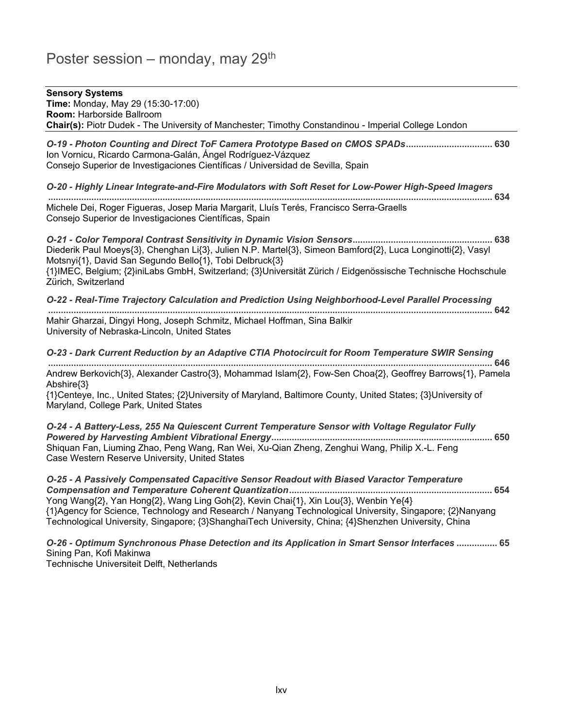# Poster session – monday, may  $29<sup>th</sup>$

## **Sensory Systems Time: Monday, May 29 (15:30-17:00) Room: Harborside Ballroom Chair(s):** Piotr Dudek - The University of Manchester; Timothy Constandinou - Imperial College London *O-19 - Photon Counting and Direct ToF Camera Prototype Based on CMOS SPADs* Ion Vornicu, Ricardo Carmona-Galán, Ángel Rodríguez-Vázguez Consejo Superior de Investigaciones Científicas / Universidad de Sevilla, Spain *O-20 - Highly Linear Integrate-and-Fire Modulators with Soft Reset for Low-Power High-Speed Imagers*  Michele Dei, Roger Figueras, Josep Maria Margarit, Lluís Terés, Francisco Serra-Graells Consejo Superior de Investigaciones Científicas, Spain *O-21 - Color Temporal Contrast Sensitivity in Dynamic Vision Sensors* Diederik Paul Moeys{3}, Chenghan Li{3}, Julien N.P. Martel{3}, Simeon Bamford{2}, Luca Longinotti{2}, Vasyl Motsnyi{1}, David San Segundo Bello{1}, Tobi Delbruck{3} {1}IMEC, Belgium; {2}iniLabs GmbH, Switzerland; {3}Universität Zürich / Eidgenössische Technische Hochschule Zürich, Switzerland *O-22 - Real-Time Trajectory Calculation and Prediction Using Neighborhood-Level Parallel Processing*  Mahir Gharzai, Dingyi Hong, Joseph Schmitz, Michael Hoffman, Sina Balkir University of Nebraska-Lincoln, United States *O-23 - Dark Current Reduction by an Adaptive CTIA Photocircuit for Room Temperature SWIR Sensing*  Andrew Berkovich{3}, Alexander Castro{3}, Mohammad Islam{2}, Fow-Sen Choa{2}, Geoffrey Barrows{1}, Pamela Abshire<sup>{3}</sup> {1}Centeye, Inc., United States; {2}University of Maryland, Baltimore County, United States; {3}University of Maryland, College Park, United States *O-24 - A Battery-Less, 255 Na Quiescent Current Temperature Sensor with Voltage Regulator Fully Powered by Harvesting Ambient Vibrational Energy* Shiguan Fan, Liuming Zhao, Peng Wang, Ran Wei, Xu-Qian Zheng, Zenghui Wang, Philip X.-L. Feng Case Western Reserve University, United States *O-25 - A Passively Compensated Capacitive Sensor Readout with Biased Varactor Temperature Compensation and Temperature Coherent Quantization* Yong Wang{2}, Yan Hong{2}, Wang Ling Goh{2}, Kevin Chai{1}, Xin Lou{3}, Wenbin Ye{4} {1}Agency for Science, Technology and Research / Nanyang Technological University, Singapore; {2}Nanyang Technological University, Singapore; {3}ShanghaiTech University, China; {4}Shenzhen University, China

*O-26 - Optimum Synchronous Phase Detection and its Application in Smart Sensor Interfaces*  Sining Pan. Kofi Makinwa Technische Universiteit Delft. Netherlands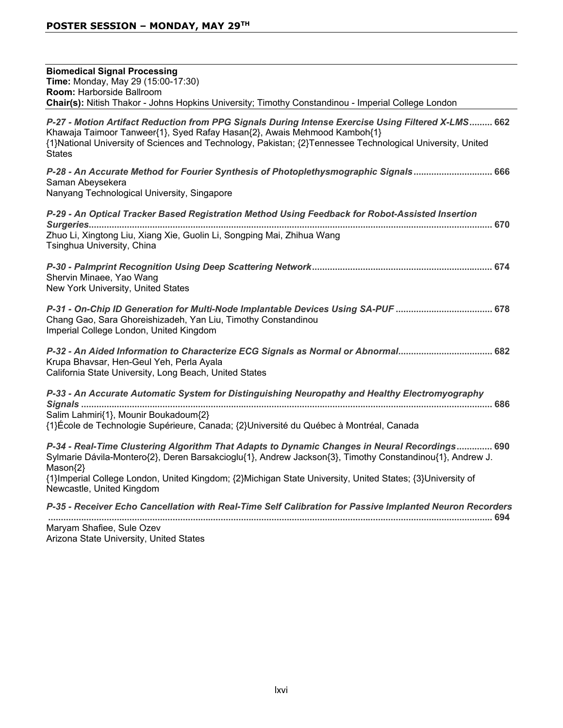| <b>Biomedical Signal Processing</b>                                                                                                                                                                                                                                                                           |
|---------------------------------------------------------------------------------------------------------------------------------------------------------------------------------------------------------------------------------------------------------------------------------------------------------------|
| Time: Monday, May 29 (15:00-17:30)                                                                                                                                                                                                                                                                            |
| Room: Harborside Ballroom                                                                                                                                                                                                                                                                                     |
| Chair(s): Nitish Thakor - Johns Hopkins University; Timothy Constandinou - Imperial College London                                                                                                                                                                                                            |
| P-27 - Motion Artifact Reduction from PPG Signals During Intense Exercise Using Filtered X-LMS 662<br>Khawaja Taimoor Tanweer{1}, Syed Rafay Hasan{2}, Awais Mehmood Kamboh{1}<br>{1}National University of Sciences and Technology, Pakistan; {2}Tennessee Technological University, United<br><b>States</b> |
| P-28 - An Accurate Method for Fourier Synthesis of Photoplethysmographic Signals 666<br>Saman Abeysekera<br>Nanyang Technological University, Singapore                                                                                                                                                       |
| P-29 - An Optical Tracker Based Registration Method Using Feedback for Robot-Assisted Insertion                                                                                                                                                                                                               |
| Zhuo Li, Xingtong Liu, Xiang Xie, Guolin Li, Songping Mai, Zhihua Wang<br>Tsinghua University, China                                                                                                                                                                                                          |
| Shervin Minaee, Yao Wang<br>New York University, United States                                                                                                                                                                                                                                                |
| P-31 - On-Chip ID Generation for Multi-Node Implantable Devices Using SA-PUF  678<br>Chang Gao, Sara Ghoreishizadeh, Yan Liu, Timothy Constandinou<br>Imperial College London, United Kingdom                                                                                                                 |
| P-32 - An Aided Information to Characterize ECG Signals as Normal or Abnormal 682<br>Krupa Bhavsar, Hen-Geul Yeh, Perla Ayala<br>California State University, Long Beach, United States                                                                                                                       |
| P-33 - An Accurate Automatic System for Distinguishing Neuropathy and Healthy Electromyography                                                                                                                                                                                                                |
| Salim Lahmiri{1}, Mounir Boukadoum{2}<br>{1}École de Technologie Supérieure, Canada; {2}Université du Québec à Montréal, Canada                                                                                                                                                                               |
| P-34 - Real-Time Clustering Algorithm That Adapts to Dynamic Changes in Neural Recordings 690<br>Sylmarie Dávila-Montero{2}, Deren Barsakcioglu{1}, Andrew Jackson{3}, Timothy Constandinou{1}, Andrew J.<br>Mason{2}                                                                                         |
| {1} Imperial College London, United Kingdom; {2} Michigan State University, United States; {3} University of<br>Newcastle, United Kingdom                                                                                                                                                                     |
| P-35 - Receiver Echo Cancellation with Real-Time Self Calibration for Passive Implanted Neuron Recorders                                                                                                                                                                                                      |
|                                                                                                                                                                                                                                                                                                               |

Maryam Shafiee, Sule Ozev Arizona State University, United States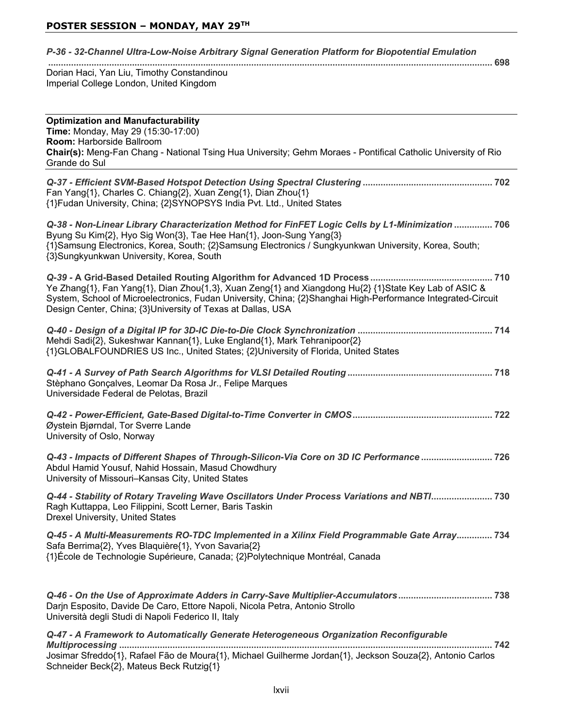| P-36 - 32-Channel Ultra-Low-Noise Arbitrary Signal Generation Platform for Biopotential Emulation |
|---------------------------------------------------------------------------------------------------|
|---------------------------------------------------------------------------------------------------|

 Dorian Haci, Yan Liu, Timothy Constandinou Imperial College London, United Kingdom

| <b>Optimization and Manufacturability</b><br>Time: Monday, May 29 (15:30-17:00)<br>Room: Harborside Ballroom<br>Chair(s): Meng-Fan Chang - National Tsing Hua University; Gehm Moraes - Pontifical Catholic University of Rio<br>Grande do Sul                                                                              |
|-----------------------------------------------------------------------------------------------------------------------------------------------------------------------------------------------------------------------------------------------------------------------------------------------------------------------------|
| Fan Yang{1}, Charles C. Chiang{2}, Xuan Zeng{1}, Dian Zhou{1}<br>{1}Fudan University, China; {2}SYNOPSYS India Pvt. Ltd., United States                                                                                                                                                                                     |
| Q-38 - Non-Linear Library Characterization Method for FinFET Logic Cells by L1-Minimization  706<br>Byung Su Kim{2}, Hyo Sig Won{3}, Tae Hee Han{1}, Joon-Sung Yang{3}<br>{1}Samsung Electronics, Korea, South; {2}Samsung Electronics / Sungkyunkwan University, Korea, South;<br>{3}Sungkyunkwan University, Korea, South |
| Ye Zhang{1}, Fan Yang{1}, Dian Zhou{1,3}, Xuan Zeng{1} and Xiangdong Hu{2} {1}State Key Lab of ASIC &<br>System, School of Microelectronics, Fudan University, China; {2}Shanghai High-Performance Integrated-Circuit<br>Design Center, China; {3}University of Texas at Dallas, USA                                        |
| Mehdi Sadi{2}, Sukeshwar Kannan{1}, Luke England{1}, Mark Tehranipoor{2}<br>{1}GLOBALFOUNDRIES US Inc., United States; {2}University of Florida, United States                                                                                                                                                              |
| Stèphano Gonçalves, Leomar Da Rosa Jr., Felipe Marques<br>Universidade Federal de Pelotas, Brazil                                                                                                                                                                                                                           |
| Øystein Bjørndal, Tor Sverre Lande<br>University of Oslo, Norway                                                                                                                                                                                                                                                            |
| Q-43 - Impacts of Different Shapes of Through-Silicon-Via Core on 3D IC Performance  726<br>Abdul Hamid Yousuf, Nahid Hossain, Masud Chowdhury<br>University of Missouri-Kansas City, United States                                                                                                                         |
| Q-44 - Stability of Rotary Traveling Wave Oscillators Under Process Variations and NBTI 730<br>Ragh Kuttappa, Leo Filippini, Scott Lerner, Baris Taskin<br><b>Drexel University, United States</b>                                                                                                                          |
| Q-45 - A Multi-Measurements RO-TDC Implemented in a Xilinx Field Programmable Gate Array 734<br>Safa Berrima{2}, Yves Blaquière{1}, Yvon Savaria{2}<br>{1}École de Technologie Supérieure, Canada; {2}Polytechnique Montréal, Canada                                                                                        |
| Q-46 - On the Use of Approximate Adders in Carry-Save Multiplier-Accumulators 738<br>Darjn Esposito, Davide De Caro, Ettore Napoli, Nicola Petra, Antonio Strollo<br>Università degli Studi di Napoli Federico II, Italy                                                                                                    |

*Q-47 - A Framework to Automatically Generate Heterogeneous Organization Reconfigurable Multiprocessing*  Josimar Sfreddo{1}, Rafael Fão de Moura{1}, Michael Guilherme Jordan{1}, Jeckson Souza{2}, Antonio Carlos Schneider Beck{2}, Mateus Beck Rutzig{1}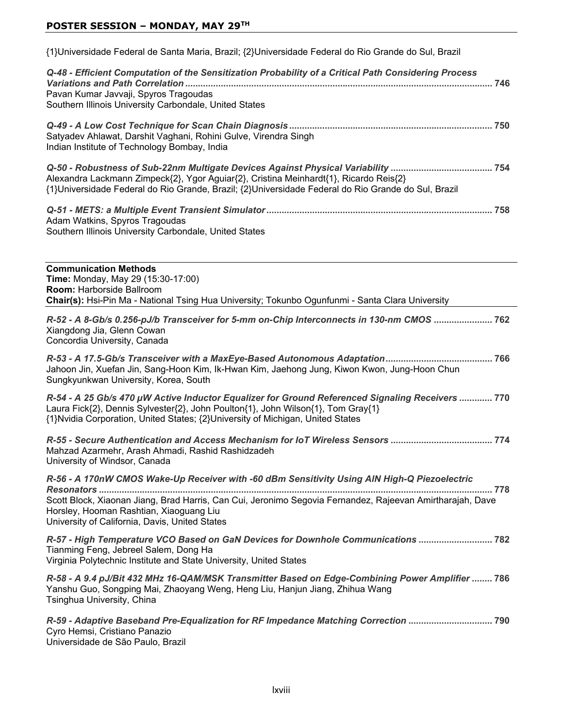{1}Universidade Federal de Santa Maria, Brazil; {2}Universidade Federal do Rio Grande do Sul, Brazil

| Q-48 - Efficient Computation of the Sensitization Probability of a Critical Path Considering Process<br>Pavan Kumar Javvaji, Spyros Tragoudas<br>Southern Illinois University Carbondale, United States | 746 |
|---------------------------------------------------------------------------------------------------------------------------------------------------------------------------------------------------------|-----|
| Satyadev Ahlawat, Darshit Vaghani, Rohini Gulve, Virendra Singh<br>Indian Institute of Technology Bombay, India                                                                                         |     |
| Alexandra Lackmann Zimpeck{2}, Ygor Aguiar{2}, Cristina Meinhardt{1}, Ricardo Reis{2}<br>{1}Universidade Federal do Rio Grande, Brazil; {2}Universidade Federal do Rio Grande do Sul, Brazil            |     |
| Adam Watkins, Spyros Tragoudas<br>Southern Illinois University Carbondale, United States                                                                                                                |     |

**Communication Methods Time:** Monday, May 29 (15:30-17:00) **Room: Harborside Ballroom Chair(s):** Hsi-Pin Ma - National Tsing Hua University; Tokunbo Ogunfunmi - Santa Clara University *R-52 - A 8-Gb/s 0.256-pJ/b Transceiver for 5-mm on-Chip Interconnects in 130-nm CMOS*  Xiangdong Jia, Glenn Cowan Concordia University, Canada *R-53 - A 17.5-Gb/s Transceiver with a MaxEye-Based Autonomous Adaptation* Jahoon Jin, Xuefan Jin, Sang-Hoon Kim, Ik-Hwan Kim, Jaehong Jung, Kiwon Kwon, Jung-Hoon Chun Sungkyunkwan University, Korea, South

| R-54 - A 25 Gb/s 470 µW Active Inductor Equalizer for Ground Referenced Signaling Receivers  770 |  |
|--------------------------------------------------------------------------------------------------|--|
| Laura Fick{2}, Dennis Sylvester{2}, John Poulton{1}, John Wilson{1}, Tom Gray{1}                 |  |
| {1}Nvidia Corporation, United States; {2}University of Michigan, United States                   |  |

*R-55 - Secure Authentication and Access Mechanism for IoT Wireless Sensors*  Mahzad Azarmehr, Arash Ahmadi, Rashid Rashidzadeh University of Windsor, Canada

*R-56 - A 170nW CMOS Wake-Up Receiver with -60 dBm Sensitivity Using AlN High-Q Piezoelectric Resonators*  Scott Block, Xiaonan Jiang, Brad Harris, Can Cui, Jeronimo Segovia Fernandez, Rajeevan Amirtharajah, Dave Horsley, Hooman Rashtian, Xiaoguang Liu University of California, Davis, United States

*R-57 - High Temperature VCO Based on GaN Devices for Downhole Communications*  Tianming Feng, Jebreel Salem, Dong Ha Virginia Polytechnic Institute and State University, United States

*R-58 - A 9.4 pJ/Bit 432 MHz 16-QAM/MSK Transmitter Based on Edge-Combining Power Amplifier*  Yanshu Guo, Songping Mai, Zhaoyang Weng, Heng Liu, Hanjun Jiang, Zhihua Wang Tsinghua University, China

*R-59 - Adaptive Baseband Pre-Equalization for RF Impedance Matching Correction*  Cyro Hemsi, Cristiano Panazio Universidade de São Paulo, Brazil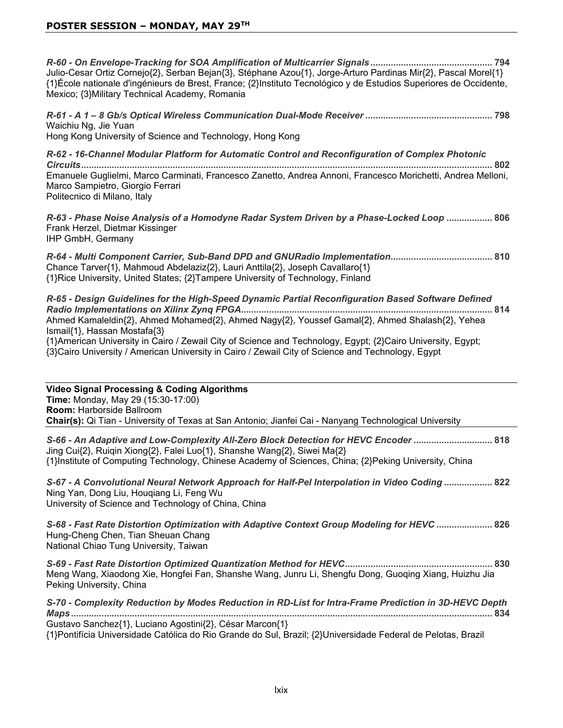*R-60 - On Envelope-Tracking for SOA Amplification of Multicarrier Signals* Julio-Cesar Ortiz Cornejo{2}, Serban Bejan{3}, Stéphane Azou{1}, Jorge-Arturo Pardinas Mir{2}, Pascal Morel{1} {1}École nationale d'ingénieurs de Brest, France; {2}Instituto Tecnológico y de Estudios Superiores de Occidente, Mexico; {3} Military Technical Academy, Romania

*R-61 - A 1 – 8 Gb/s Optical Wireless Communication Dual-Mode Receiver*  Waichiu Ng, Jie Yuan Hong Kong University of Science and Technology, Hong Kong

*R-62 - 16-Channel Modular Platform for Automatic Control and Reconfiguration of Complex Photonic Circuits* Emanuele Guglielmi, Marco Carminati, Francesco Zanetto, Andrea Annoni, Francesco Morichetti, Andrea Melloni, Marco Sampietro, Giorgio Ferrari Politecnico di Milano, Italy

*R-63 - Phase Noise Analysis of a Homodyne Radar System Driven by a Phase-Locked Loop*  Frank Herzel, Dietmar Kissinger IHP GmbH, Germany

*R-64 - Multi Component Carrier, Sub-Band DPD and GNURadio Implementation* Chance Tarver{1}, Mahmoud Abdelaziz{2}, Lauri Anttila{2}, Joseph Cavallaro{1} {1}Rice University, United States; {2}Tampere University of Technology, Finland

| R-65 - Design Guidelines for the High-Speed Dynamic Partial Reconfiguration Based Software Defined          |  |
|-------------------------------------------------------------------------------------------------------------|--|
|                                                                                                             |  |
| Ahmed Kamaleldin{2}, Ahmed Mohamed{2}, Ahmed Nagy{2}, Youssef Gamal{2}, Ahmed Shalash{2}, Yehea             |  |
| Ismail {1}, Hassan Mostafa {3}                                                                              |  |
| {1}American University in Cairo / Zewail City of Science and Technology, Egypt; {2}Cairo University, Egypt; |  |

{3}Cairo University / American University in Cairo / Zewail City of Science and Technology, Egypt

| <b>Video Signal Processing &amp; Coding Algorithms</b><br>Time: Monday, May 29 (15:30-17:00)<br>Room: Harborside Ballroom<br>Chair(s): Qi Tian - University of Texas at San Antonio; Jianfei Cai - Nanyang Technological University                                               |
|-----------------------------------------------------------------------------------------------------------------------------------------------------------------------------------------------------------------------------------------------------------------------------------|
| Jing Cui{2}, Ruiqin Xiong{2}, Falei Luo{1}, Shanshe Wang{2}, Siwei Ma{2}<br>{1}Institute of Computing Technology, Chinese Academy of Sciences, China; {2}Peking University, China                                                                                                 |
| 822  822  A Convolutional Meural Neural Network Approach for Half-Pel Interpolation in Video Coding<br>Ning Yan, Dong Liu, Hougiang Li, Feng Wu<br>University of Science and Technology of China, China                                                                           |
| 826 - Fast Rate Distortion Optimization with Adaptive Context Group Modeling for HEVC  826<br>Hung-Cheng Chen, Tian Sheuan Chang<br>National Chiao Tung University, Taiwan                                                                                                        |
| Meng Wang, Xiaodong Xie, Hongfei Fan, Shanshe Wang, Junru Li, Shengfu Dong, Guoqing Xiang, Huizhu Jia<br>Peking University, China                                                                                                                                                 |
| S-70 - Complexity Reduction by Modes Reduction in RD-List for Intra-Frame Prediction in 3D-HEVC Depth<br>Gustavo Sanchez{1}, Luciano Agostini{2}, César Marcon{1}<br>{1}Pontifícia Universidade Católica do Rio Grande do Sul, Brazil; {2}Universidade Federal de Pelotas, Brazil |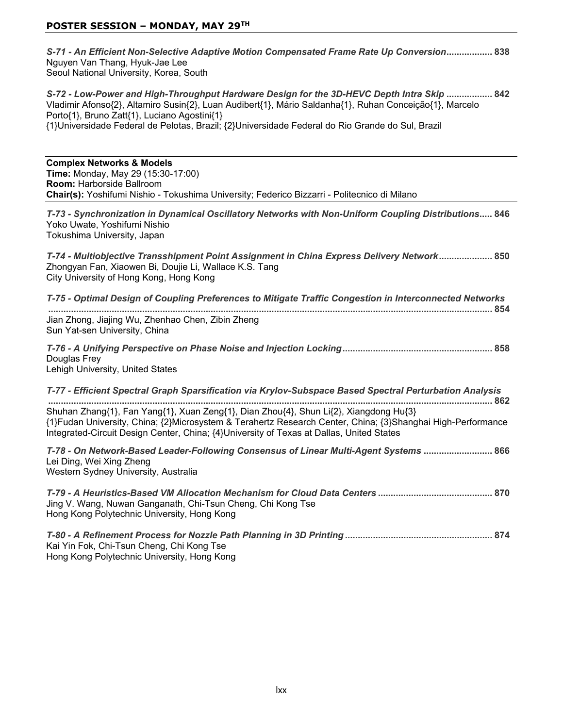| Nguyen Van Thang, Hyuk-Jae Lee<br>Seoul National University, Korea, South                                                                                                                                                                                                                                                                                 |
|-----------------------------------------------------------------------------------------------------------------------------------------------------------------------------------------------------------------------------------------------------------------------------------------------------------------------------------------------------------|
| S-72 - Low-Power and High-Throughput Hardware Design for the 3D-HEVC Depth Intra Skip  842<br>Vladimir Afonso{2}, Altamiro Susin{2}, Luan Audibert{1}, Mário Saldanha{1}, Ruhan Conceição{1}, Marcelo<br>Porto{1}, Bruno Zatt{1}, Luciano Agostini{1}<br>{1}Universidade Federal de Pelotas, Brazil; {2}Universidade Federal do Rio Grande do Sul, Brazil |
| <b>Complex Networks &amp; Models</b><br>Time: Monday, May 29 (15:30-17:00)<br>Room: Harborside Ballroom<br>Chair(s): Yoshifumi Nishio - Tokushima University; Federico Bizzarri - Politecnico di Milano                                                                                                                                                   |
| T-73 - Synchronization in Dynamical Oscillatory Networks with Non-Uniform Coupling Distributions 846<br>Yoko Uwate, Yoshifumi Nishio<br>Tokushima University, Japan                                                                                                                                                                                       |
| T-74 - Multiobjective Transshipment Point Assignment in China Express Delivery Network 850<br>Zhongyan Fan, Xiaowen Bi, Doujie Li, Wallace K.S. Tang<br>City University of Hong Kong, Hong Kong                                                                                                                                                           |
| T-75 - Optimal Design of Coupling Preferences to Mitigate Traffic Congestion in Interconnected Networks                                                                                                                                                                                                                                                   |
| Jian Zhong, Jiajing Wu, Zhenhao Chen, Zibin Zheng<br>Sun Yat-sen University, China                                                                                                                                                                                                                                                                        |
| Douglas Frey<br>Lehigh University, United States                                                                                                                                                                                                                                                                                                          |
| T-77 - Efficient Spectral Graph Sparsification via Krylov-Subspace Based Spectral Perturbation Analysis                                                                                                                                                                                                                                                   |
| Shuhan Zhang{1}, Fan Yang{1}, Xuan Zeng{1}, Dian Zhou{4}, Shun Li{2}, Xiangdong Hu{3}<br>{1}Fudan University, China; {2}Microsystem & Terahertz Research Center, China; {3}Shanghai High-Performance<br>Integrated-Circuit Design Center, China; {4}University of Texas at Dallas, United States                                                          |
| T-78 - On Network-Based Leader-Following Consensus of Linear Multi-Agent Systems  866<br>Lei Ding, Wei Xing Zheng<br>Western Sydney University, Australia                                                                                                                                                                                                 |
| Jing V. Wang, Nuwan Ganganath, Chi-Tsun Cheng, Chi Kong Tse<br>Hong Kong Polytechnic University, Hong Kong                                                                                                                                                                                                                                                |
| Kai Yin Fok, Chi-Tsun Cheng, Chi Kong Tse                                                                                                                                                                                                                                                                                                                 |

Hong Kong Polytechnic University, Hong Kong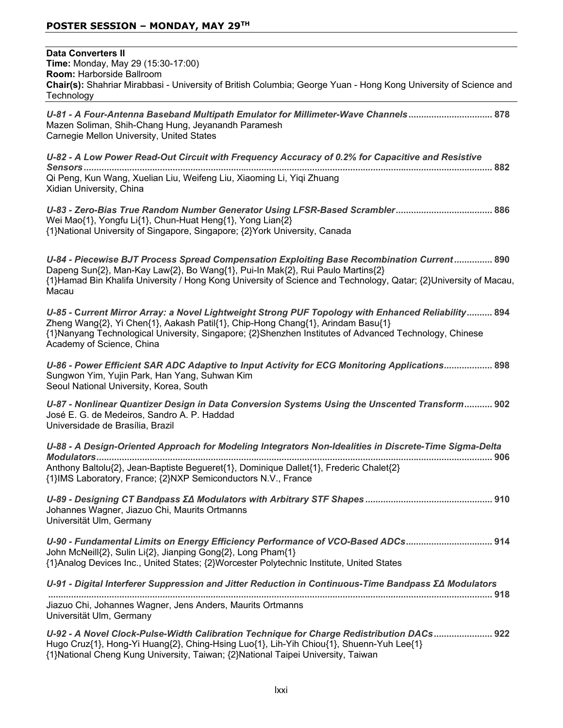| <b>Data Converters II</b><br>Time: Monday, May 29 (15:30-17:00)<br>Room: Harborside Ballroom<br>Chair(s): Shahriar Mirabbasi - University of British Columbia; George Yuan - Hong Kong University of Science and<br>Technology                                                                                               |
|------------------------------------------------------------------------------------------------------------------------------------------------------------------------------------------------------------------------------------------------------------------------------------------------------------------------------|
| U-81 - A Four-Antenna Baseband Multipath Emulator for Millimeter-Wave Channels 878<br>Mazen Soliman, Shih-Chang Hung, Jeyanandh Paramesh<br>Carnegie Mellon University, United States                                                                                                                                        |
| U-82 - A Low Power Read-Out Circuit with Frequency Accuracy of 0.2% for Capacitive and Resistive<br>Qi Peng, Kun Wang, Xuelian Liu, Weifeng Liu, Xiaoming Li, Yiqi Zhuang<br>Xidian University, China                                                                                                                        |
| Wei Mao{1}, Yongfu Li{1}, Chun-Huat Heng{1}, Yong Lian{2}<br>{1}National University of Singapore, Singapore; {2}York University, Canada                                                                                                                                                                                      |
| U-84 - Piecewise BJT Process Spread Compensation Exploiting Base Recombination Current 890<br>Dapeng Sun{2}, Man-Kay Law{2}, Bo Wang{1}, Pui-In Mak{2}, Rui Paulo Martins{2}<br>{1}Hamad Bin Khalifa University / Hong Kong University of Science and Technology, Qatar; {2}University of Macau,<br>Macau                    |
| U-85 - Current Mirror Array: a Novel Lightweight Strong PUF Topology with Enhanced Reliability 894<br>Zheng Wang{2}, Yi Chen{1}, Aakash Patil{1}, Chip-Hong Chang{1}, Arindam Basu{1}<br>{1}Nanyang Technological University, Singapore; {2}Shenzhen Institutes of Advanced Technology, Chinese<br>Academy of Science, China |
| U-86 - Power Efficient SAR ADC Adaptive to Input Activity for ECG Monitoring Applications 898<br>Sungwon Yim, Yujin Park, Han Yang, Suhwan Kim<br>Seoul National University, Korea, South                                                                                                                                    |
| U-87 - Nonlinear Quantizer Design in Data Conversion Systems Using the Unscented Transform 902<br>José E. G. de Medeiros, Sandro A. P. Haddad<br>Universidade de Brasília, Brazil                                                                                                                                            |
| U-88 - A Design-Oriented Approach for Modeling Integrators Non-Idealities in Discrete-Time Sigma-Delta                                                                                                                                                                                                                       |
| Anthony Baltolu{2}, Jean-Baptiste Begueret{1}, Dominique Dallet{1}, Frederic Chalet{2}<br>{1}IMS Laboratory, France; {2}NXP Semiconductors N.V., France                                                                                                                                                                      |
| Johannes Wagner, Jiazuo Chi, Maurits Ortmanns<br>Universität Ulm, Germany                                                                                                                                                                                                                                                    |
| U-90 - Fundamental Limits on Energy Efficiency Performance of VCO-Based ADCs 914<br>John McNeill{2}, Sulin Li{2}, Jianping Gong{2}, Long Pham{1}<br>{1}Analog Devices Inc., United States; {2}Worcester Polytechnic Institute, United States                                                                                 |
| U-91 - Digital Interferer Suppression and Jitter Reduction in Continuous-Time Bandpass ΣΔ Modulators                                                                                                                                                                                                                         |
| Jiazuo Chi, Johannes Wagner, Jens Anders, Maurits Ortmanns<br>Universität Ulm, Germany                                                                                                                                                                                                                                       |
| U-92 - A Novel Clock-Pulse-Width Calibration Technique for Charge Redistribution DACs 922<br>Hugo Cruz{1}, Hong-Yi Huang{2}, Ching-Hsing Luo{1}, Lih-Yih Chiou{1}, Shuenn-Yuh Lee{1}<br>{1}National Cheng Kung University, Taiwan; {2}National Taipei University, Taiwan                                                     |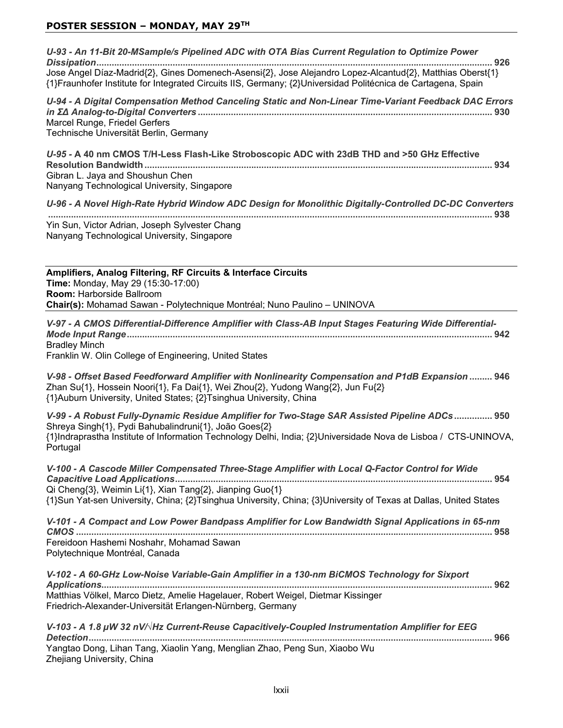*U-93 - An 11-Bit 20-MSample/s Pipelined ADC with OTA Bias Current Regulation to Optimize Power Dissipation* Jose Angel Díaz-Madrid{2}, Gines Domenech-Asensi{2}, Jose Alejandro Lopez-Alcantud{2}, Matthias Oberst{1} {1}Fraunhofer Institute for Integrated Circuits IIS, Germany; {2}Universidad Politécnica de Cartagena, Spain *U-94 - A Digital Compensation Method Canceling Static and Non-Linear Time-Variant Feedback DAC Errors LQȈǻ\$QDORJ-to-Digital Converters*  Marcel Runge, Friedel Gerfers Technische Universität Berlin, Germany U-95 - A 40 nm CMOS T/H-Less Flash-Like Stroboscopic ADC with 23dB THD and >50 GHz Effective **5HVROXWLRQ%DQGZLGWK**  Gibran L. Jaya and Shoushun Chen Nanyang Technological University, Singapore *U-96 - A Novel High-Rate Hybrid Window ADC Design for Monolithic Digitally-Controlled DC-DC Converters*  Yin Sun, Victor Adrian, Joseph Sylvester Chang Nanyang Technological University, Singapore **Amplifiers, Analog Filtering, RF Circuits & Interface Circuits Time:** Monday, May 29 (15:30-17:00) **Room: Harborside Ballroom Chair(s):** Mohamad Sawan - Polytechnique Montréal; Nuno Paulino - UNINOVA *V-97 - A CMOS Differential-Difference Amplifier with Class-AB Input Stages Featuring Wide Differential-Mode Input Range* **Bradlev Minch** Franklin W. Olin College of Engineering, United States *V-98 - Offset Based Feedforward Amplifier with Nonlinearity Compensation and P1dB Expansion*  Zhan Su{1}, Hossein Noori{1}, Fa Dai{1}, Wei Zhou{2}, Yudong Wang{2}, Jun Fu{2} {1}Auburn University, United States; {2}Tsinghua University, China *V-99 - A Robust Fully-Dynamic Residue Amplifier for Two-Stage SAR Assisted Pipeline ADCs* Shreya Singh{1}, Pydi Bahubalindruni{1}, João Goes{2} {1}Indraprastha Institute of Information Technology Delhi, India; {2}Universidade Nova de Lisboa / CTS-UNINOVA, Portugal *V-100 - A Cascode Miller Compensated Three-Stage Amplifier with Local Q-Factor Control for Wide Capacitive Load Applications* Qi Cheng{3}, Weimin Li{1}, Xian Tang{2}, Jianping Guo{1}  $\{1\}$ Sun Yat-sen University, China;  $\{2\}$ Tsinghua University, China;  $\{3\}$ University of Texas at Dallas, United States *V-101 - A Compact and Low Power Bandpass Amplifier for Low Bandwidth Signal Applications in 65-nm CMOS*  Fereidoon Hashemi Noshahr, Mohamad Sawan Polytechnique Montréal, Canada *V-102 - A 60-GHz Low-Noise Variable-Gain Amplifier in a 130-nm BiCMOS Technology for Sixport Applications* Matthias Völkel, Marco Dietz, Amelie Hagelauer, Robert Weigel, Dietmar Kissinger Friedrich-Alexander-Universität Erlangen-Nürnberg, Germany V-103 - A 1.8 µW 32 nV/√Hz Current-Reuse Capacitively-Coupled Instrumentation Amplifier for EEG *Detection* Yangtao Dong, Lihan Tang, Xiaolin Yang, Menglian Zhao, Peng Sun, Xiaobo Wu

Zhejiang University, China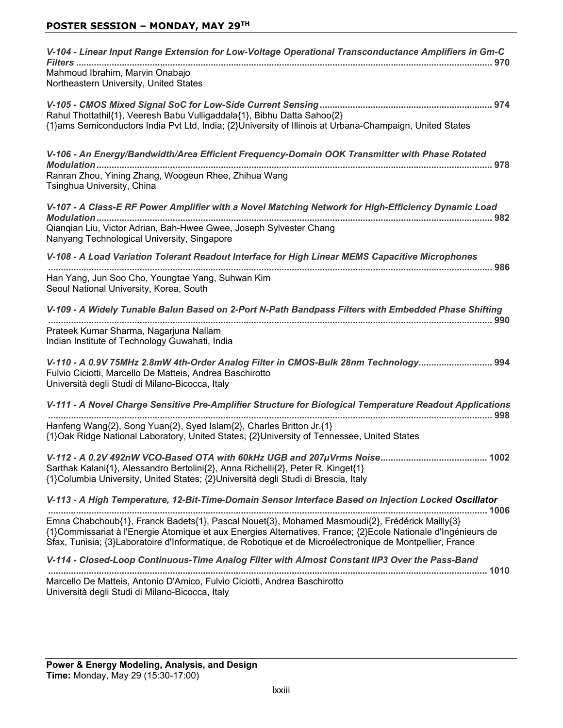| V-104 - Linear Input Range Extension for Low-Voltage Operational Transconductance Amplifiers in Gm-C<br>Mahmoud Ibrahim, Marvin Onabajo<br>Northeastern University, United States                                                                                                                                            |
|------------------------------------------------------------------------------------------------------------------------------------------------------------------------------------------------------------------------------------------------------------------------------------------------------------------------------|
| Rahul Thottathil{1}, Veeresh Babu Vulligaddala{1}, Bibhu Datta Sahoo{2}<br>{1}ams Semiconductors India Pvt Ltd, India; {2}University of Illinois at Urbana-Champaign, United States                                                                                                                                          |
| V-106 - An Energy/Bandwidth/Area Efficient Frequency-Domain OOK Transmitter with Phase Rotated<br>Ranran Zhou, Yining Zhang, Woogeun Rhee, Zhihua Wang<br>Tsinghua University, China                                                                                                                                         |
| V-107 - A Class-E RF Power Amplifier with a Novel Matching Network for High-Efficiency Dynamic Load                                                                                                                                                                                                                          |
| Qianqian Liu, Victor Adrian, Bah-Hwee Gwee, Joseph Sylvester Chang<br>Nanyang Technological University, Singapore                                                                                                                                                                                                            |
| V-108 - A Load Variation Tolerant Readout Interface for High Linear MEMS Capacitive Microphones                                                                                                                                                                                                                              |
| Han Yang, Jun Soo Cho, Youngtae Yang, Suhwan Kim<br>Seoul National University, Korea, South                                                                                                                                                                                                                                  |
| V-109 - A Widely Tunable Balun Based on 2-Port N-Path Bandpass Filters with Embedded Phase Shifting                                                                                                                                                                                                                          |
| Prateek Kumar Sharma, Nagarjuna Nallam<br>Indian Institute of Technology Guwahati, India                                                                                                                                                                                                                                     |
| V-110 - A 0.9V 75MHz 2.8mW 4th-Order Analog Filter in CMOS-Bulk 28nm Technology 994<br>Fulvio Ciciotti, Marcello De Matteis, Andrea Baschirotto<br>Università degli Studi di Milano-Bicocca, Italy                                                                                                                           |
| V-111 - A Novel Charge Sensitive Pre-Amplifier Structure for Biological Temperature Readout Applications                                                                                                                                                                                                                     |
| Hanfeng Wang{2}, Song Yuan{2}, Syed Islam{2}, Charles Britton Jr.{1}<br>{1}Oak Ridge National Laboratory, United States; {2}University of Tennessee, United States                                                                                                                                                           |
| Sarthak Kalani{1}, Alessandro Bertolini{2}, Anna Richelli{2}, Peter R. Kinget{1}<br>{1}Columbia University, United States; {2}Università degli Studi di Brescia, Italy                                                                                                                                                       |
| V-113 - A High Temperature, 12-Bit-Time-Domain Sensor Interface Based on Injection Locked Oscillator                                                                                                                                                                                                                         |
| Emna Chabchoub{1}, Franck Badets{1}, Pascal Nouet{3}, Mohamed Masmoudi{2}, Frédérick Mailly{3}<br>{1}Commissariat à l'Energie Atomique et aux Energies Alternatives, France; {2}Ecole Nationale d'Ingénieurs de<br>Sfax, Tunisia; {3}Laboratoire d'Informatique, de Robotique et de Microélectronique de Montpellier, France |
| V-114 - Closed-Loop Continuous-Time Analog Filter with Almost Constant IIP3 Over the Pass-Band                                                                                                                                                                                                                               |
| Marcello De Matteis, Antonio D'Amico, Fulvio Ciciotti, Andrea Baschirotto                                                                                                                                                                                                                                                    |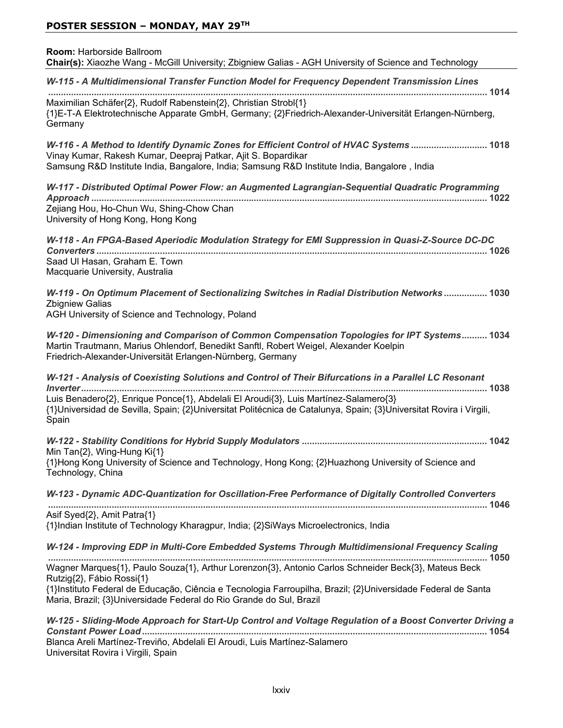| Room: Harborside Ballroom<br>Chair(s): Xiaozhe Wang - McGill University; Zbigniew Galias - AGH University of Science and Technology                                                                                                                     |
|---------------------------------------------------------------------------------------------------------------------------------------------------------------------------------------------------------------------------------------------------------|
| W-115 - A Multidimensional Transfer Function Model for Frequency Dependent Transmission Lines                                                                                                                                                           |
| Maximilian Schäfer{2}, Rudolf Rabenstein{2}, Christian Strobl{1}<br>{1}E-T-A Elektrotechnische Apparate GmbH, Germany; {2}Friedrich-Alexander-Universität Erlangen-Nürnberg,<br>Germany                                                                 |
| W-116 - A Method to Identify Dynamic Zones for Efficient Control of HVAC Systems  1018<br>Vinay Kumar, Rakesh Kumar, Deepraj Patkar, Ajit S. Bopardikar<br>Samsung R&D Institute India, Bangalore, India; Samsung R&D Institute India, Bangalore, India |
| W-117 - Distributed Optimal Power Flow: an Augmented Lagrangian-Sequential Quadratic Programming                                                                                                                                                        |
| Zejiang Hou, Ho-Chun Wu, Shing-Chow Chan<br>University of Hong Kong, Hong Kong                                                                                                                                                                          |
| W-118 - An FPGA-Based Aperiodic Modulation Strategy for EMI Suppression in Quasi-Z-Source DC-DC                                                                                                                                                         |
| Saad Ul Hasan, Graham E. Town<br>Macquarie University, Australia                                                                                                                                                                                        |
| W-119 - On Optimum Placement of Sectionalizing Switches in Radial Distribution Networks 1030<br><b>Zbigniew Galias</b><br>AGH University of Science and Technology, Poland                                                                              |
| W-120 - Dimensioning and Comparison of Common Compensation Topologies for IPT Systems 1034<br>Martin Trautmann, Marius Ohlendorf, Benedikt Sanftl, Robert Weigel, Alexander Koelpin<br>Friedrich-Alexander-Universität Erlangen-Nürnberg, Germany       |
| W-121 - Analysis of Coexisting Solutions and Control of Their Bifurcations in a Parallel LC Resonant                                                                                                                                                    |
| Luis Benadero{2}, Enrique Ponce{1}, Abdelali El Aroudi{3}, Luis Martínez-Salamero{3}<br>{1}Universidad de Sevilla, Spain; {2}Universitat Politécnica de Catalunya, Spain; {3}Universitat Rovira i Virgili,<br>Spain                                     |
|                                                                                                                                                                                                                                                         |
| Min Tan{2}, Wing-Hung Ki{1}<br>{1}Hong Kong University of Science and Technology, Hong Kong; {2}Huazhong University of Science and<br>Technology, China                                                                                                 |
| W-123 - Dynamic ADC-Quantization for Oscillation-Free Performance of Digitally Controlled Converters                                                                                                                                                    |
| Asif Syed{2}, Amit Patra{1}<br>{1}Indian Institute of Technology Kharagpur, India; {2}SiWays Microelectronics, India                                                                                                                                    |
| W-124 - Improving EDP in Multi-Core Embedded Systems Through Multidimensional Frequency Scaling                                                                                                                                                         |
| Wagner Marques{1}, Paulo Souza{1}, Arthur Lorenzon{3}, Antonio Carlos Schneider Beck{3}, Mateus Beck<br>Rutzig{2}, Fábio Rossi{1}                                                                                                                       |
| {1}Instituto Federal de Educação, Ciência e Tecnologia Farroupilha, Brazil; {2}Universidade Federal de Santa<br>Maria, Brazil; {3}Universidade Federal do Rio Grande do Sul, Brazil                                                                     |
| W-125 - Sliding-Mode Approach for Start-Up Control and Voltage Regulation of a Boost Converter Driving a                                                                                                                                                |
| Blanca Areli Martínez-Treviño, Abdelali El Aroudi, Luis Martínez-Salamero<br>Universitat Rovira i Virgili, Spain                                                                                                                                        |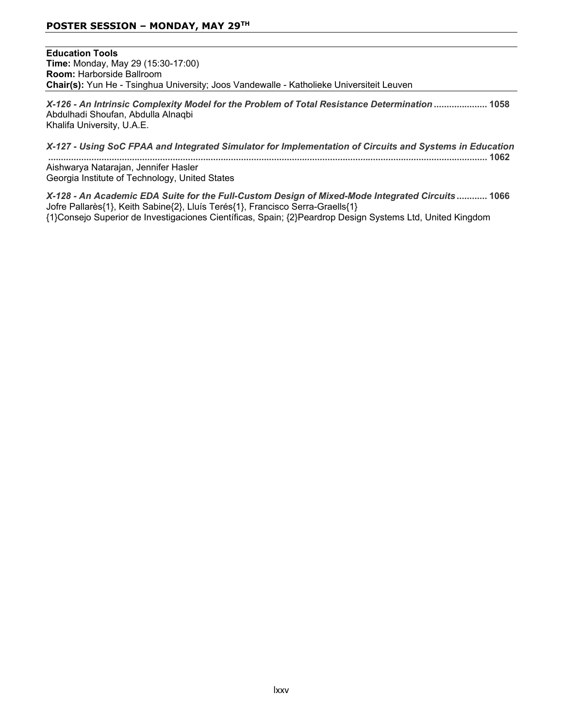**Education Tools Time:** Monday, May 29 (15:30-17:00) **Room: Harborside Ballroom Chair(s):** Yun He - Tsinghua University; Joos Vandewalle - Katholieke Universiteit Leuven

*X-126 - An Intrinsic Complexity Model for the Problem of Total Resistance Determination*  Abdulhadi Shoufan, Abdulla Alnaqbi Khalifa University, U.A.E.

| X-127 - Using SoC FPAA and Integrated Simulator for Implementation of Circuits and Systems in Education |           |
|---------------------------------------------------------------------------------------------------------|-----------|
|                                                                                                         |           |
| Aishwarya Natarajan, Jennifer Hasler                                                                    |           |
| Georgia Institute of Technology, United States                                                          |           |
| And and an arrivant that outer trader half original britain chatter it and intermediate outer           | $\lambda$ |

*X-128 - An Academic EDA Suite for the Full-Custom Design of Mixed-Mode Integrated Circuits*  Jofre Pallarès{1}, Keith Sabine{2}, Lluís Terés{1}, Francisco Serra-Graells{1} {1}Consejo Superior de Investigaciones Científicas, Spain; {2}Peardrop Design Systems Ltd, United Kingdom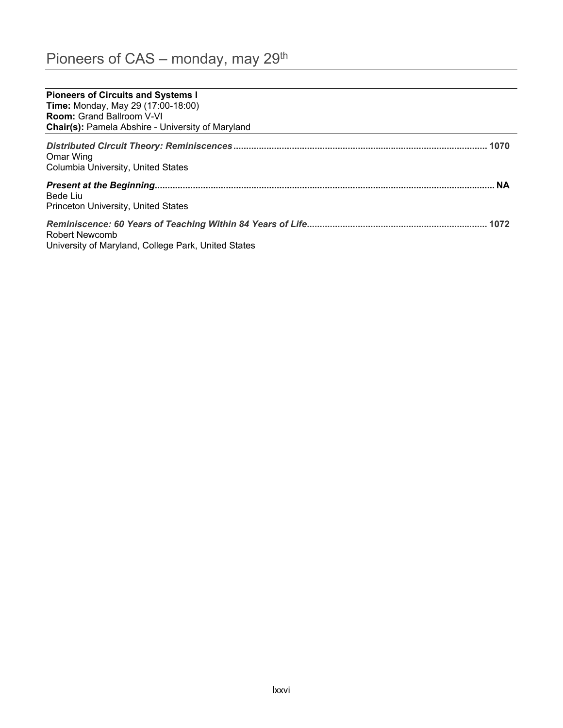| <b>Pioneers of Circuits and Systems I</b>                             |  |
|-----------------------------------------------------------------------|--|
| <b>Time: Monday, May 29 (17:00-18:00)</b>                             |  |
| <b>Room:</b> Grand Ballroom V-VI                                      |  |
| <b>Chair(s): Pamela Abshire - University of Maryland</b>              |  |
| Omar Wing<br>Columbia University, United States                       |  |
|                                                                       |  |
| Bede Liu                                                              |  |
| <b>Princeton University, United States</b>                            |  |
| Robert Newcomb<br>University of Maryland, College Park, United States |  |
|                                                                       |  |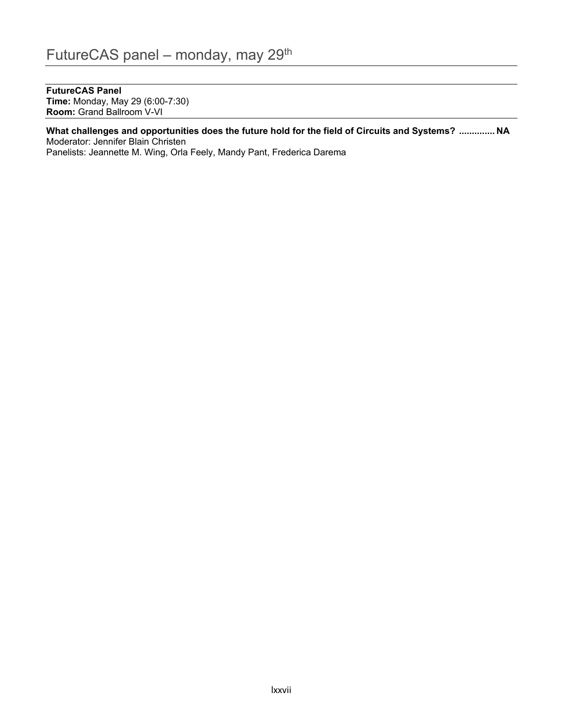## **FutureCAS Panel**

**Time:** Monday, May 29 (6:00-7:30) **Room: Grand Ballroom V-VI** 

#### What challenges and opportunities does the future hold for the field of Circuits and Systems? ............. NA Moderator: Jennifer Blain Christen

Panelists: Jeannette M. Wing, Orla Feely, Mandy Pant, Frederica Darema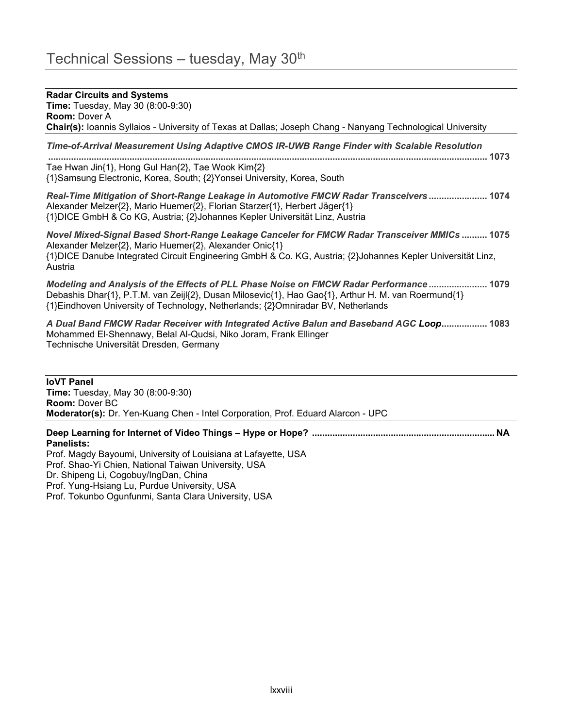# **Radar Circuits and Systems Time:** Tuesday, May 30 (8:00-9:30) **Room: Dover A Chair(s):** Ioannis Syllaios - University of Texas at Dallas; Joseph Chang - Nanyang Technological University *Time-of-Arrival Measurement Using Adaptive CMOS IR-UWB Range Finder with Scalable Resolution*  Tae Hwan Jin{1}, Hong Gul Han{2}, Tae Wook Kim{2} {1}Samsung Electronic, Korea, South; {2}Yonsei University, Korea, South *Real-Time Mitigation of Short-Range Leakage in Automotive FMCW Radar Transceivers*  Alexander Melzer{2}, Mario Huemer{2}, Florian Starzer{1}, Herbert Jäger{1} {1}DICE GmbH & Co KG, Austria; {2}Johannes Kepler Universität Linz, Austria *Novel Mixed-Signal Based Short-Range Leakage Canceler for FMCW Radar Transceiver MMICs*  Alexander Melzer{2}, Mario Huemer{2}, Alexander Onic{1} {1}DICE Danube Integrated Circuit Engineering GmbH & Co. KG, Austria; {2}Johannes Kepler Universität Linz, **Austria** *Modeling and Analysis of the Effects of PLL Phase Noise on FMCW Radar Performance*  Debashis Dhar{1}, P.T.M. van Zeijl{2}, Dusan Milosevic{1}, Hao Gao{1}, Arthur H. M. van Roermund{1} {1}Eindhoven University of Technology, Netherlands; {2}Omniradar BV, Netherlands *A Dual Band FMCW Radar Receiver with Integrated Active Balun and Baseband AGC Loop* Mohammed El-Shennawy, Belal Al-Qudsi, Niko Joram, Frank Ellinger Technische Universität Dresden, Germany

**loVT Panel Time:** Tuesday, May 30 (8:00-9:30) **Room: Dover BC Moderator(s):** Dr. Yen-Kuang Chen - Intel Corporation, Prof. Eduard Alarcon - UPC

**'HHS/HDUQLQJIRU,QWHUQHWRI9LGHR7KLQJV± +\SHRU+RSH" 1\$ Panelists:** 

Prof. Magdy Bayoumi, University of Louisiana at Lafayette, USA Prof. Shao-Yi Chien, National Taiwan University, USA Dr. Shipeng Li, Cogobuy/IngDan, China Prof. Yung-Hsiang Lu, Purdue University, USA Prof. Tokunbo Ogunfunmi, Santa Clara University, USA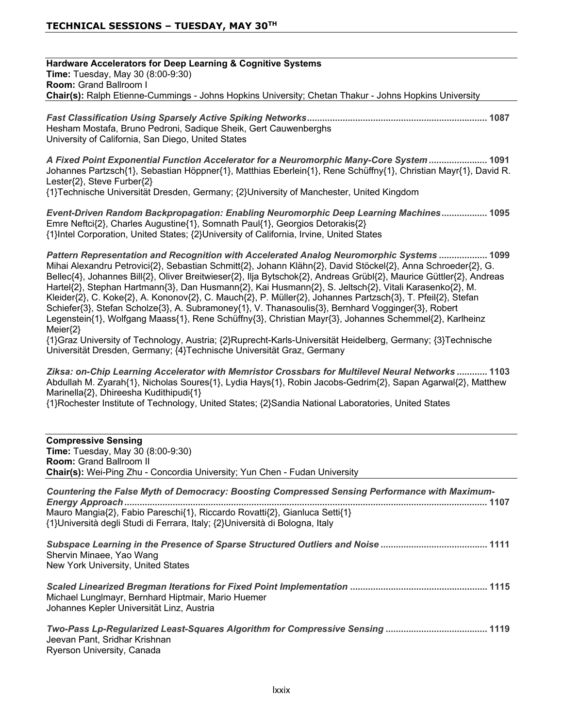**Hardware Accelerators for Deep Learning & Cognitive Systems Time:** Tuesday, May 30 (8:00-9:30) **Room: Grand Ballroom I Chair(s):** Ralph Etienne-Cummings - Johns Hopkins University; Chetan Thakur - Johns Hopkins University

*Fast Classification Using Sparsely Active Spiking Networks* Hesham Mostafa, Bruno Pedroni, Sadique Sheik, Gert Cauwenberghs University of California, San Diego, United States

*A Fixed Point Exponential Function Accelerator for a Neuromorphic Many-Core System*  Johannes Partzsch{1}, Sebastian Höppner{1}, Matthias Eberlein{1}, Rene Schüffny{1}, Christian Mayr{1}, David R. Lester{2}, Steve Furber{2}

{1}Technische Universität Dresden, Germany; {2}University of Manchester, United Kingdom

*Event-Driven Random Backpropagation: Enabling Neuromorphic Deep Learning Machines* Emre Neftci{2}, Charles Augustine{1}, Somnath Paul{1}, Georgios Detorakis{2} {1}Intel Corporation, United States; {2}University of California, Irvine, United States

*Pattern Representation and Recognition with Accelerated Analog Neuromorphic Systems*  Mihai Alexandru Petrovici{2}, Sebastian Schmitt{2}, Johann Klähn{2}, David Stöckel{2}, Anna Schroeder{2}, G. Bellec{4}, Johannes Bill{2}, Oliver Breitwieser{2}, Ilja Bytschok{2}, Andreas Grübl{2}, Maurice Güttler{2}, Andreas Hartel{2}, Stephan Hartmann{3}, Dan Husmann{2}, Kai Husmann{2}, S. Jeltsch{2}, Vitali Karasenko{2}, M. Kleider{2}, C. Koke{2}, A. Kononov{2}, C. Mauch{2}, P. Müller{2}, Johannes Partzsch{3}, T. Pfeil{2}, Stefan Schiefer{3}, Stefan Scholze{3}, A. Subramoney{1}, V. Thanasoulis{3}, Bernhard Vogginger{3}, Robert Legenstein{1}, Wolfgang Maass{1}, Rene Schüffny{3}, Christian Mayr{3}, Johannes Schemmel{2}, Karlheinz  $Meier<sub>{2}</sub>$ 

{1}Graz University of Technology, Austria; {2}Ruprecht-Karls-Universität Heidelberg, Germany; {3}Technische Universität Dresden, Germany; {4}Technische Universität Graz, Germany

*Ziksa: on-Chip Learning Accelerator with Memristor Crossbars for Multilevel Neural Networks*  Abdullah M. Zyarah{1}, Nicholas Soures{1}, Lydia Hays{1}, Robin Jacobs-Gedrim{2}, Sapan Agarwal{2}, Matthew Marinella{2}, Dhireesha Kudithipudi{1}

{1}Rochester Institute of Technology, United States; {2}Sandia National Laboratories, United States

| <b>Compressive Sensing</b>                                                                                                                                 |
|------------------------------------------------------------------------------------------------------------------------------------------------------------|
| <b>Time: Tuesday, May 30 (8:00-9:30)</b>                                                                                                                   |
| <b>Room: Grand Ballroom II</b>                                                                                                                             |
| <b>Chair(s):</b> Wei-Ping Zhu - Concordia University; Yun Chen - Fudan University                                                                          |
| Countering the False Myth of Democracy: Boosting Compressed Sensing Performance with Maximum-                                                              |
| Mauro Mangia{2}, Fabio Pareschi{1}, Riccardo Rovatti{2}, Gianluca Setti{1}<br>{1}Università degli Studi di Ferrara, Italy; {2}Università di Bologna, Italy |
| Shervin Minaee, Yao Wang<br>New York University, United States                                                                                             |
| Michael Lunglmayr, Bernhard Hiptmair, Mario Huemer<br>Johannes Kepler Universität Linz, Austria                                                            |
| Jeevan Pant, Sridhar Krishnan<br>Ryerson University, Canada                                                                                                |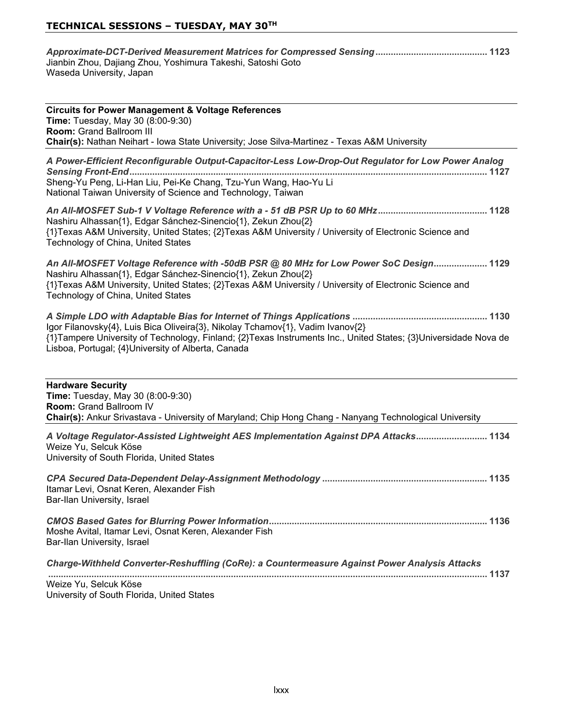| Jianbin Zhou, Dajiang Zhou, Yoshimura Takeshi, Satoshi Goto |  |
|-------------------------------------------------------------|--|
| Waseda University, Japan                                    |  |

| <b>Circuits for Power Management &amp; Voltage References</b>                                |
|----------------------------------------------------------------------------------------------|
| <b>Time:</b> Tuesday, May 30 (8:00-9:30)                                                     |
| <b>Room:</b> Grand Ballroom III                                                              |
| Chair(s): Nathan Neihart - Iowa State University; Jose Silva-Martinez - Texas A&M University |

| A Power-Efficient Reconfigurable Output-Capacitor-Less Low-Drop-Out Regulator for Low Power Analog                                                                                                                                                                                                     |
|--------------------------------------------------------------------------------------------------------------------------------------------------------------------------------------------------------------------------------------------------------------------------------------------------------|
| Sheng-Yu Peng, Li-Han Liu, Pei-Ke Chang, Tzu-Yun Wang, Hao-Yu Li<br>National Taiwan University of Science and Technology, Taiwan                                                                                                                                                                       |
| Nashiru Alhassan{1}, Edgar Sánchez-Sinencio{1}, Zekun Zhou{2}<br>{1}Texas A&M University, United States; {2}Texas A&M University / University of Electronic Science and<br>Technology of China, United States                                                                                          |
| An All-MOSFET Voltage Reference with -50dB PSR @ 80 MHz for Low Power SoC Design 1129<br>Nashiru Alhassan{1}, Edgar Sánchez-Sinencio{1}, Zekun Zhou{2}<br>{1}Texas A&M University, United States; {2}Texas A&M University / University of Electronic Science and<br>Technology of China, United States |
| Igor Filanovsky{4}, Luis Bica Oliveira{3}, Nikolay Tchamov{1}, Vadim Ivanov{2}<br>{1}Tampere University of Technology, Finland; {2}Texas Instruments Inc., United States; {3}Universidade Nova de<br>Lisboa, Portugal; {4}University of Alberta, Canada                                                |
| <b>Hardware Security</b><br>Time: Tuesday, May 30 (8:00-9:30)<br>Room: Grand Ballroom IV<br>Chair(s): Ankur Srivastava - University of Maryland; Chip Hong Chang - Nanyang Technological University                                                                                                    |
| A Voltage Regulator-Assisted Lightweight AES Implementation Against DPA Attacks 1134<br>Weize Yu, Selcuk Köse<br>University of South Florida, United States                                                                                                                                            |
| Itamar Levi, Osnat Keren, Alexander Fish<br>Bar-Ilan University, Israel                                                                                                                                                                                                                                |

*CMOS Based Gates for Blurring Power Information* Moshe Avital, Itamar Levi, Osnat Keren, Alexander Fish Bar-Ilan University, Israel

| Charge-Withheld Converter-Reshuffling (CoRe): a Countermeasure Against Power Analysis Attacks |  |
|-----------------------------------------------------------------------------------------------|--|
|                                                                                               |  |

Weize Yu, Selcuk Köse University of South Florida, United States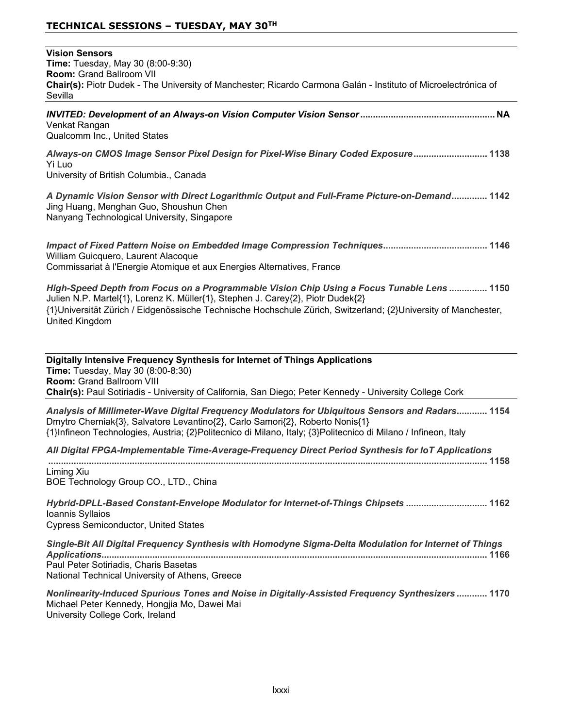| <b>Vision Sensors</b><br>Time: Tuesday, May 30 (8:00-9:30)<br><b>Room: Grand Ballroom VII</b><br>Chair(s): Piotr Dudek - The University of Manchester; Ricardo Carmona Galán - Instituto of Microelectrónica of<br>Sevilla                                                                                               |
|--------------------------------------------------------------------------------------------------------------------------------------------------------------------------------------------------------------------------------------------------------------------------------------------------------------------------|
| Venkat Rangan<br>Qualcomm Inc., United States                                                                                                                                                                                                                                                                            |
| Always-on CMOS Image Sensor Pixel Design for Pixel-Wise Binary Coded Exposure 1138<br>Yi Luo<br>University of British Columbia., Canada                                                                                                                                                                                  |
| A Dynamic Vision Sensor with Direct Logarithmic Output and Full-Frame Picture-on-Demand 1142<br>Jing Huang, Menghan Guo, Shoushun Chen<br>Nanyang Technological University, Singapore                                                                                                                                    |
| William Guicquero, Laurent Alacoque<br>Commissariat à l'Energie Atomique et aux Energies Alternatives, France                                                                                                                                                                                                            |
| High-Speed Depth from Focus on a Programmable Vision Chip Using a Focus Tunable Lens  1150<br>Julien N.P. Martel{1}, Lorenz K. Müller{1}, Stephen J. Carey{2}, Piotr Dudek{2}<br>{1}Universität Zürich / Eidgenössische Technische Hochschule Zürich, Switzerland; {2}University of Manchester,<br><b>United Kingdom</b> |
| Digitally Intensive Frequency Synthesis for Internet of Things Applications<br>Time: Tuesday, May 30 (8:00-8:30)<br>Room: Grand Ballroom VIII<br>Chair(s): Paul Sotiriadis - University of California, San Diego; Peter Kennedy - University College Cork                                                                |
| Analysis of Millimeter-Wave Digital Frequency Modulators for Ubiquitous Sensors and Radars 1154<br>Dmytro Cherniak{3}, Salvatore Levantino{2}, Carlo Samori{2}, Roberto Nonis{1}<br>{1}Infineon Technologies, Austria; {2}Politecnico di Milano, Italy; {3}Politecnico di Milano / Infineon, Italy                       |
| All Digital FPGA-Implementable Time-Average-Frequency Direct Period Synthesis for IoT Applications                                                                                                                                                                                                                       |
| Liming Xiu<br>BOE Technology Group CO., LTD., China                                                                                                                                                                                                                                                                      |
| Hybrid-DPLL-Based Constant-Envelope Modulator for Internet-of-Things Chipsets  1162<br>Ioannis Syllaios<br><b>Cypress Semiconductor, United States</b>                                                                                                                                                                   |
| Single-Bit All Digital Frequency Synthesis with Homodyne Sigma-Delta Modulation for Internet of Things                                                                                                                                                                                                                   |
| Paul Peter Sotiriadis, Charis Basetas<br>National Technical University of Athens, Greece                                                                                                                                                                                                                                 |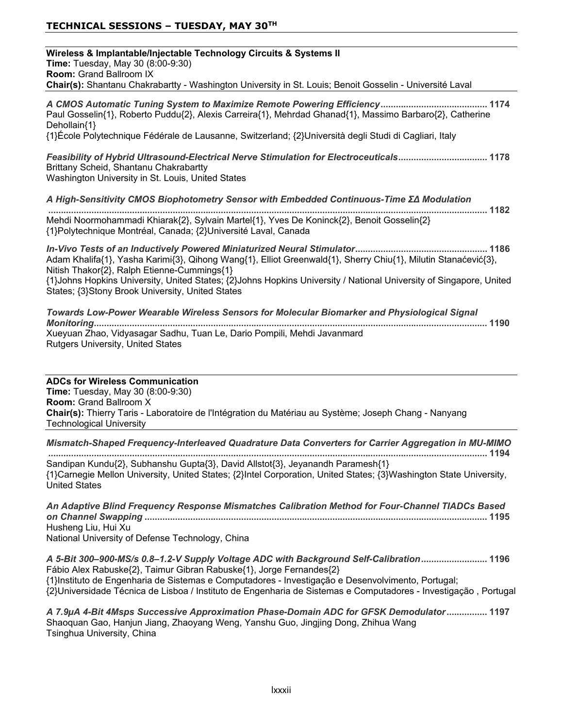| Wireless & Implantable/Injectable Technology Circuits & Systems II<br>Time: Tuesday, May 30 (8:00-9:30)<br><b>Room: Grand Ballroom IX</b><br>Chair(s): Shantanu Chakrabartty - Washington University in St. Louis; Benoit Gosselin - Université Laval                                                                                  |
|----------------------------------------------------------------------------------------------------------------------------------------------------------------------------------------------------------------------------------------------------------------------------------------------------------------------------------------|
| Paul Gosselin{1}, Roberto Puddu{2}, Alexis Carreira{1}, Mehrdad Ghanad{1}, Massimo Barbaro{2}, Catherine<br>Dehollain{1}<br>{1}École Polytechnique Fédérale de Lausanne, Switzerland; {2}Università degli Studi di Cagliari, Italy                                                                                                     |
| Feasibility of Hybrid Ultrasound-Electrical Nerve Stimulation for Electroceuticals 1178<br>Brittany Scheid, Shantanu Chakrabartty<br>Washington University in St. Louis, United States                                                                                                                                                 |
| A High-Sensitivity CMOS Biophotometry Sensor with Embedded Continuous-Time ΣΔ Modulation                                                                                                                                                                                                                                               |
| Mehdi Noormohammadi Khiarak{2}, Sylvain Martel{1}, Yves De Koninck{2}, Benoit Gosselin{2}<br>{1}Polytechnique Montréal, Canada; {2}Université Laval, Canada                                                                                                                                                                            |
| Adam Khalifa{1}, Yasha Karimi{3}, Qihong Wang{1}, Elliot Greenwald{1}, Sherry Chiu{1}, Milutin Stanaćević{3},<br>Nitish Thakor{2}, Ralph Etienne-Cummings{1}<br>{1}Johns Hopkins University, United States; {2}Johns Hopkins University / National University of Singapore, United<br>States; {3}Stony Brook University, United States |
| Towards Low-Power Wearable Wireless Sensors for Molecular Biomarker and Physiological Signal<br>Xueyuan Zhao, Vidyasagar Sadhu, Tuan Le, Dario Pompili, Mehdi Javanmard<br><b>Rutgers University, United States</b>                                                                                                                    |
|                                                                                                                                                                                                                                                                                                                                        |

**ADCs for Wireless Communication Time:** Tuesday, May 30 (8:00-9:30) **Room: Grand Ballroom X** Chair(s): Thierry Taris - Laboratoire de l'Intégration du Matériau au Système; Joseph Chang - Nanyang Technological University

*Mismatch-Shaped Frequency-Interleaved Quadrature Data Converters for Carrier Aggregation in MU-MIMO*

 Sandipan Kundu{2}, Subhanshu Gupta{3}, David Allstot{3}, Jeyanandh Paramesh{1} {1}Carnegie Mellon University, United States; {2}Intel Corporation, United States; {3}Washington State University, United States

*An Adaptive Blind Frequency Response Mismatches Calibration Method for Four-Channel TIADCs Based on Channel Swapping*  Husheng Liu, Hui Xu National University of Defense Technology, China

*A 5-Bit 300–900-MS/s 0.8–1.2-V Supply Voltage ADC with Background Self-Calibration* Fábio Alex Rabuske{2}, Taimur Gibran Rabuske{1}, Jorge Fernandes{2} {1}Instituto de Engenharia de Sistemas e Computadores - Investigação e Desenvolvimento, Portugal; {2}Universidade Técnica de Lisboa / Instituto de Engenharia de Sistemas e Computadores - Investigação, Portugal

*A 7.9A 4-Bit 4Msps Successive Approximation Phase-Domain ADC for GFSK Demodulator* Shaoquan Gao, Hanjun Jiang, Zhaoyang Weng, Yanshu Guo, Jingjing Dong, Zhihua Wang Tsinghua University, China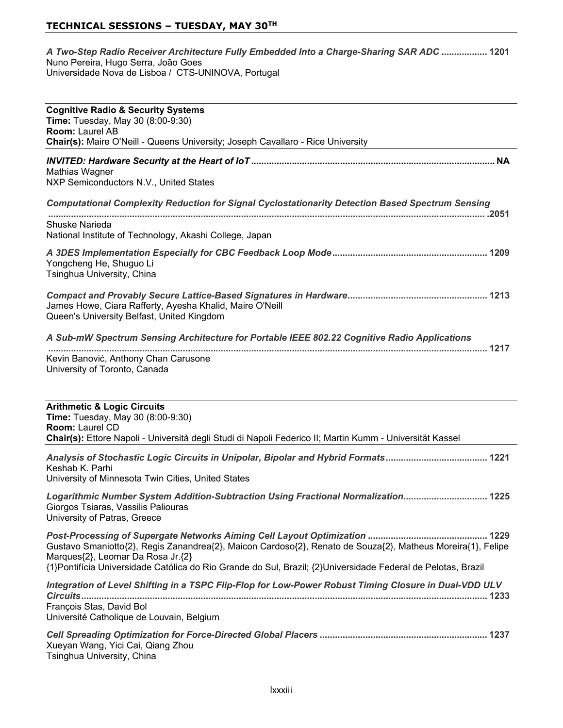#### *A Two-Step Radio Receiver Architecture Fully Embedded Into a Charge-Sharing SAR ADC*  Nuno Pereira, Hugo Serra, João Goes Transfer Steme, Frage Serral, Seare Second Liniversidade Nova de Lisboa / CTS-UNINOVA, Portugal

| <b>Cognitive Radio &amp; Security Systems</b><br>Time: Tuesday, May 30 (8:00-9:30)<br>Room: Laurel AB<br>Chair(s): Maire O'Neill - Queens University; Joseph Cavallaro - Rice University                                                                         |
|------------------------------------------------------------------------------------------------------------------------------------------------------------------------------------------------------------------------------------------------------------------|
| <b>Mathias Wagner</b><br>NXP Semiconductors N.V., United States                                                                                                                                                                                                  |
| <b>Computational Complexity Reduction for Signal Cyclostationarity Detection Based Spectrum Sensing</b>                                                                                                                                                          |
| Shuske Narieda<br>National Institute of Technology, Akashi College, Japan                                                                                                                                                                                        |
| Yongcheng He, Shuguo Li<br>Tsinghua University, China                                                                                                                                                                                                            |
| James Howe, Ciara Rafferty, Ayesha Khalid, Maire O'Neill<br>Queen's University Belfast, United Kingdom                                                                                                                                                           |
| A Sub-mW Spectrum Sensing Architecture for Portable IEEE 802.22 Cognitive Radio Applications                                                                                                                                                                     |
| Kevin Banović, Anthony Chan Carusone<br>University of Toronto, Canada                                                                                                                                                                                            |
| <b>Arithmetic &amp; Logic Circuits</b><br>Time: Tuesday, May 30 (8:00-9:30)<br><b>Room: Laurel CD</b><br>Chair(s): Ettore Napoli - Università degli Studi di Napoli Federico II; Martin Kumm - Universität Kassel                                                |
| Keshab K. Parhi<br>University of Minnesota Twin Cities, United States                                                                                                                                                                                            |
| Logarithmic Number System Addition-Subtraction Using Fractional Normalization 1225<br>Giorgos Tsiaras, Vassilis Paliouras<br>University of Patras, Greece                                                                                                        |
| Gustavo Smaniotto{2}, Regis Zanandrea{2}, Maicon Cardoso{2}, Renato de Souza{2}, Matheus Moreira{1}, Felipe<br>Marques{2}, Leomar Da Rosa Jr.{2}<br>{1}Pontifícia Universidade Católica do Rio Grande do Sul, Brazil; {2}Universidade Federal de Pelotas, Brazil |
| Integration of Level Shifting in a TSPC Flip-Flop for Low-Power Robust Timing Closure in Dual-VDD ULV                                                                                                                                                            |
| François Stas, David Bol<br>Université Catholique de Louvain, Belgium                                                                                                                                                                                            |
| Xueyan Wang, Yici Cai, Qiang Zhou                                                                                                                                                                                                                                |

Tsinghua University, China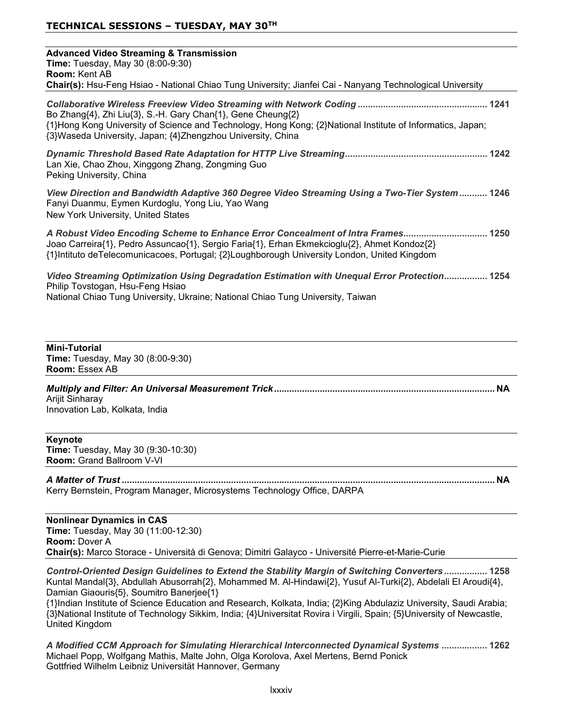| <b>Advanced Video Streaming &amp; Transmission</b><br>Time: Tuesday, May 30 (8:00-9:30)<br><b>Room: Kent AB</b><br>Chair(s): Hsu-Feng Hsiao - National Chiao Tung University; Jianfei Cai - Nanyang Technological University                                                   |
|--------------------------------------------------------------------------------------------------------------------------------------------------------------------------------------------------------------------------------------------------------------------------------|
| Bo Zhang{4}, Zhi Liu{3}, S.-H. Gary Chan{1}, Gene Cheung{2}<br>{1}Hong Kong University of Science and Technology, Hong Kong; {2}National Institute of Informatics, Japan;<br>{3}Waseda University, Japan; {4}Zhengzhou University, China                                       |
| Lan Xie, Chao Zhou, Xinggong Zhang, Zongming Guo<br>Peking University, China                                                                                                                                                                                                   |
| View Direction and Bandwidth Adaptive 360 Degree Video Streaming Using a Two-Tier System 1246<br>Fanyi Duanmu, Eymen Kurdoglu, Yong Liu, Yao Wang<br>New York University, United States                                                                                        |
| A Robust Video Encoding Scheme to Enhance Error Concealment of Intra Frames 1250<br>Joao Carreira{1}, Pedro Assuncao{1}, Sergio Faria{1}, Erhan Ekmekcioglu{2}, Ahmet Kondoz{2}<br>{1}Intituto deTelecomunicacoes, Portugal; {2}Loughborough University London, United Kingdom |
| Video Streaming Optimization Using Degradation Estimation with Unequal Error Protection 1254<br>Philip Tovstogan, Hsu-Feng Hsiao<br>National Chiao Tung University, Ukraine; National Chiao Tung University, Taiwan                                                            |
| <b>Mini-Tutorial</b><br>Time: Tuesday, May 30 (8:00-9:30)<br>Room: Essex AB                                                                                                                                                                                                    |
| Arijit Sinharay<br>Innovation Lab, Kolkata, India                                                                                                                                                                                                                              |
| Keynote<br>Time: Tuesday, May 30 (9:30-10:30)<br>Room: Grand Ballroom V-VI                                                                                                                                                                                                     |
| Kerry Bernstein, Program Manager, Microsystems Technology Office, DARPA                                                                                                                                                                                                        |
| <b>Nonlinear Dynamics in CAS</b><br>Time: Tuesday, May 30 (11:00-12:30)<br>Room: Dover A<br>Chair(s): Marco Storace - Università di Genova; Dimitri Galayco - Université Pierre-et-Marie-Curie                                                                                 |
|                                                                                                                                                                                                                                                                                |

*Control-Oriented Design Guidelines to Extend the Stability Margin of Switching Converters* Kuntal Mandal{3}, Abdullah Abusorrah{2}, Mohammed M. Al-Hindawi{2}, Yusuf Al-Turki{2}, Abdelali El Aroudi{4}, Damian Giaouris{5}, Soumitro Banerjee{1}

{1}Indian Institute of Science Education and Research, Kolkata, India; {2}King Abdulaziz University, Saudi Arabia;  $^{13}$ National Institute of Technology Sikkim, India; {4}Universitat Rovira i Virgili, Spain; {5}University of Newcastle, United Kingdom

*A Modified CCM Approach for Simulating Hierarchical Interconnected Dynamical Systems*  Michael Popp, Wolfgang Mathis, Malte John, Olga Korolova, Axel Mertens, Bernd Ponick Gottfried Wilhelm Leibniz Universität Hannover, Germany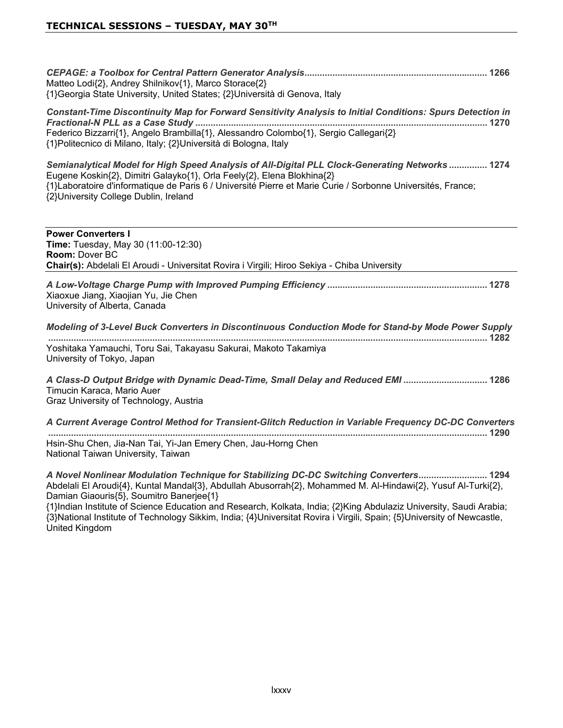| Matteo Lodi{2}, Andrey Shilnikov{1}, Marco Storace{2}<br>{1} Georgia State University, United States; {2} Università di Genova, Italy                                                                                                                                                                                             |      |
|-----------------------------------------------------------------------------------------------------------------------------------------------------------------------------------------------------------------------------------------------------------------------------------------------------------------------------------|------|
| Constant-Time Discontinuity Map for Forward Sensitivity Analysis to Initial Conditions: Spurs Detection in<br>Federico Bizzarri{1}, Angelo Brambilla{1}, Alessandro Colombo{1}, Sergio Callegari{2}<br>{1}Politecnico di Milano, Italy; {2}Università di Bologna, Italy                                                           |      |
| Semianalytical Model for High Speed Analysis of All-Digital PLL Clock-Generating Networks  1274<br>Eugene Koskin{2}, Dimitri Galayko{1}, Orla Feely{2}, Elena Blokhina{2}<br>{1}Laboratoire d'informatique de Paris 6 / Université Pierre et Marie Curie / Sorbonne Universités, France;<br>{2}University College Dublin, Ireland |      |
| <b>Power Converters I</b><br>Time: Tuesday, May 30 (11:00-12:30)<br>Room: Dover BC                                                                                                                                                                                                                                                |      |
| Chair(s): Abdelali El Aroudi - Universitat Rovira i Virgili; Hiroo Sekiya - Chiba University                                                                                                                                                                                                                                      |      |
| Xiaoxue Jiang, Xiaojian Yu, Jie Chen<br>University of Alberta, Canada                                                                                                                                                                                                                                                             |      |
| Modeling of 3-Level Buck Converters in Discontinuous Conduction Mode for Stand-by Mode Power Supply                                                                                                                                                                                                                               |      |
| Yoshitaka Yamauchi, Toru Sai, Takayasu Sakurai, Makoto Takamiya<br>University of Tokyo, Japan                                                                                                                                                                                                                                     |      |
| A Class-D Output Bridge with Dynamic Dead-Time, Small Delay and Reduced EMI  1286<br>Timucin Karaca, Mario Auer<br>Graz University of Technology, Austria                                                                                                                                                                         |      |
| A Current Average Control Method for Transient-Glitch Reduction in Variable Frequency DC-DC Converters                                                                                                                                                                                                                            |      |
| Hsin-Shu Chen, Jia-Nan Tai, Yi-Jan Emery Chen, Jau-Horng Chen<br>National Taiwan University, Taiwan                                                                                                                                                                                                                               |      |
| A Noval Nonlinear Modulation Technique for Stabilizing DC DC Switching Converters                                                                                                                                                                                                                                                 | 120A |

*A Novel Nonlinear Modulation Technique for Stabilizing DC-DC Switching Converters* Abdelali El Aroudi{4}, Kuntal Mandal{3}, Abdullah Abusorrah{2}, Mohammed M. Al-Hindawi{2}, Yusuf Al-Turki{2}, Damian Giaouris{5}, Soumitro Banerjee{1}

{1}Indian Institute of Science Education and Research, Kolkata, India; {2}King Abdulaziz University, Saudi Arabia;  $\{3\}$ National Institute of Technology Sikkim, India;  $\{4\}$ Universitat Rovira i Virgili, Spain;  $\{5\}$ University of Newcastle, United Kingdom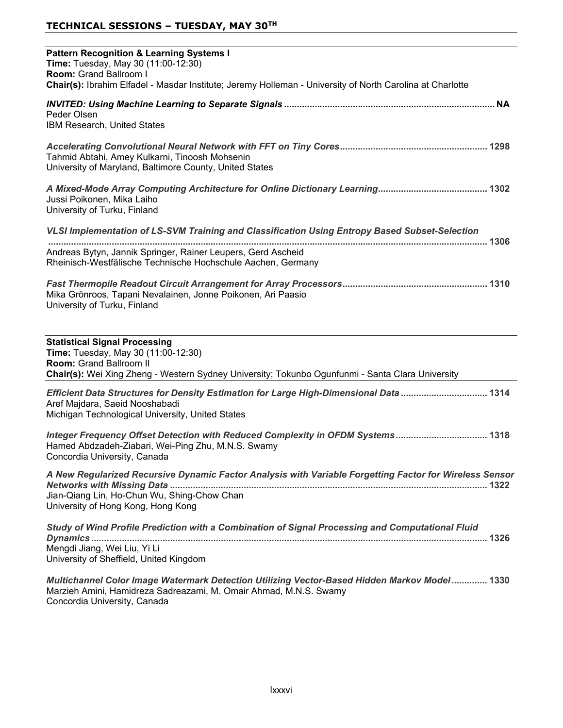| <b>Pattern Recognition &amp; Learning Systems I</b><br>Time: Tuesday, May 30 (11:00-12:30)<br>Room: Grand Ballroom I<br>Chair(s): Ibrahim Elfadel - Masdar Institute; Jeremy Holleman - University of North Carolina at Charlotte |
|-----------------------------------------------------------------------------------------------------------------------------------------------------------------------------------------------------------------------------------|
| Peder Olsen<br>IBM Research, United States                                                                                                                                                                                        |
| Tahmid Abtahi, Amey Kulkarni, Tinoosh Mohsenin<br>University of Maryland, Baltimore County, United States                                                                                                                         |
| Jussi Poikonen, Mika Laiho<br>University of Turku, Finland                                                                                                                                                                        |
| VLSI Implementation of LS-SVM Training and Classification Using Entropy Based Subset-Selection                                                                                                                                    |
| Andreas Bytyn, Jannik Springer, Rainer Leupers, Gerd Ascheid<br>Rheinisch-Westfälische Technische Hochschule Aachen, Germany                                                                                                      |
| Mika Grönroos, Tapani Nevalainen, Jonne Poikonen, Ari Paasio<br>University of Turku, Finland                                                                                                                                      |
| <b>Statistical Signal Processing</b><br>Time: Tuesday, May 30 (11:00-12:30)<br>Room: Grand Ballroom II<br>Chair(s): Wei Xing Zheng - Western Sydney University; Tokunbo Ogunfunmi - Santa Clara University                        |
| Efficient Data Structures for Density Estimation for Large High-Dimensional Data  1314<br>Aref Majdara, Saeid Nooshabadi<br>Michigan Technological University, United States                                                      |
| Integer Frequency Offset Detection with Reduced Complexity in OFDM Systems 1318<br>Hamed Abdzadeh-Ziabari, Wei-Ping Zhu, M.N.S. Swamy<br>Concordia University, Canada                                                             |
| A New Regularized Recursive Dynamic Factor Analysis with Variable Forgetting Factor for Wireless Sensor<br>Jian-Qiang Lin, Ho-Chun Wu, Shing-Chow Chan<br>University of Hong Kong, Hong Kong                                      |
| Study of Wind Profile Prediction with a Combination of Signal Processing and Computational Fluid                                                                                                                                  |
| Mengdi Jiang, Wei Liu, Yi Li<br>University of Sheffield, United Kingdom                                                                                                                                                           |
| Multichannel Color Image Watermark Detection Utilizing Vector-Based Hidden Markov Model 1330<br>Marzieh Amini, Hamidreza Sadreazami, M. Omair Ahmad, M.N.S. Swamy                                                                 |

Concordia University, Canada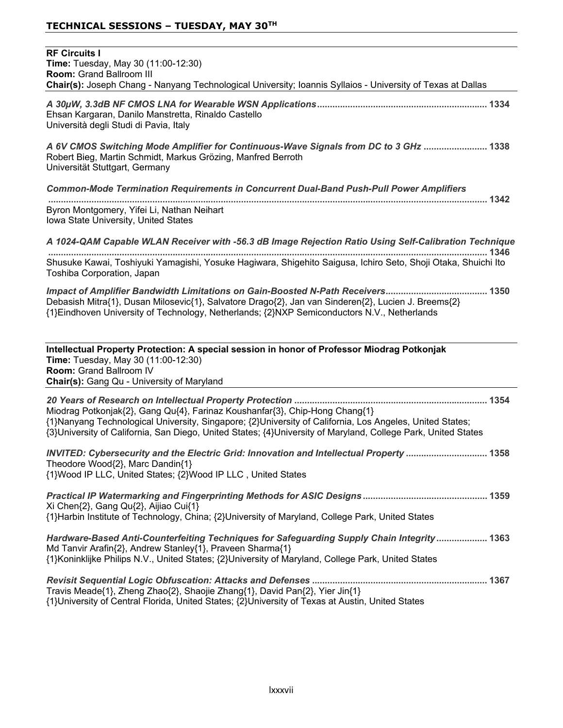| <b>RF Circuits I</b><br>Time: Tuesday, May 30 (11:00-12:30)<br>Room: Grand Ballroom III<br>Chair(s): Joseph Chang - Nanyang Technological University; Ioannis Syllaios - University of Texas at Dallas                                                                                                   |
|----------------------------------------------------------------------------------------------------------------------------------------------------------------------------------------------------------------------------------------------------------------------------------------------------------|
| Ehsan Kargaran, Danilo Manstretta, Rinaldo Castello<br>Università degli Studi di Pavia, Italy                                                                                                                                                                                                            |
| A 6V CMOS Switching Mode Amplifier for Continuous-Wave Signals from DC to 3 GHz  1338<br>Robert Bieg, Martin Schmidt, Markus Grözing, Manfred Berroth<br>Universität Stuttgart, Germany                                                                                                                  |
| <b>Common-Mode Termination Requirements in Concurrent Dual-Band Push-Pull Power Amplifiers</b>                                                                                                                                                                                                           |
| Byron Montgomery, Yifei Li, Nathan Neihart<br>Iowa State University, United States                                                                                                                                                                                                                       |
| A 1024-QAM Capable WLAN Receiver with -56.3 dB Image Rejection Ratio Using Self-Calibration Technique                                                                                                                                                                                                    |
| Shusuke Kawai, Toshiyuki Yamagishi, Yosuke Hagiwara, Shigehito Saigusa, Ichiro Seto, Shoji Otaka, Shuichi Ito<br>Toshiba Corporation, Japan                                                                                                                                                              |
| Debasish Mitra{1}, Dusan Milosevic{1}, Salvatore Drago{2}, Jan van Sinderen{2}, Lucien J. Breems{2}<br>{1}Eindhoven University of Technology, Netherlands; {2}NXP Semiconductors N.V., Netherlands                                                                                                       |
| Intellectual Property Protection: A special session in honor of Professor Miodrag Potkonjak<br>Time: Tuesday, May 30 (11:00-12:30)<br>Room: Grand Ballroom IV<br>Chair(s): Gang Qu - University of Maryland                                                                                              |
| Miodrag Potkonjak{2}, Gang Qu{4}, Farinaz Koushanfar{3}, Chip-Hong Chang{1}<br>{1}Nanyang Technological University, Singapore; {2}University of California, Los Angeles, United States;<br>{3}University of California, San Diego, United States; {4}University of Maryland, College Park, United States |
| INVITED: Cybersecurity and the Electric Grid: Innovation and Intellectual Property  1358<br>Theodore Wood{2}, Marc Dandin{1}<br>{1}Wood IP LLC, United States; {2}Wood IP LLC, United States                                                                                                             |
| Xi Chen{2}, Gang Qu{2}, Aijiao Cui{1}<br>{1}Harbin Institute of Technology, China; {2}University of Maryland, College Park, United States                                                                                                                                                                |
| Hardware-Based Anti-Counterfeiting Techniques for Safeguarding Supply Chain Integrity 1363<br>Md Tanvir Arafin{2}, Andrew Stanley{1}, Praveen Sharma{1}<br>{1}Koninklijke Philips N.V., United States; {2}University of Maryland, College Park, United States                                            |
| Travis Meade{1}, Zheng Zhao{2}, Shaojie Zhang{1}, David Pan{2}, Yier Jin{1}<br>{1}University of Central Florida, United States; {2}University of Texas at Austin, United States                                                                                                                          |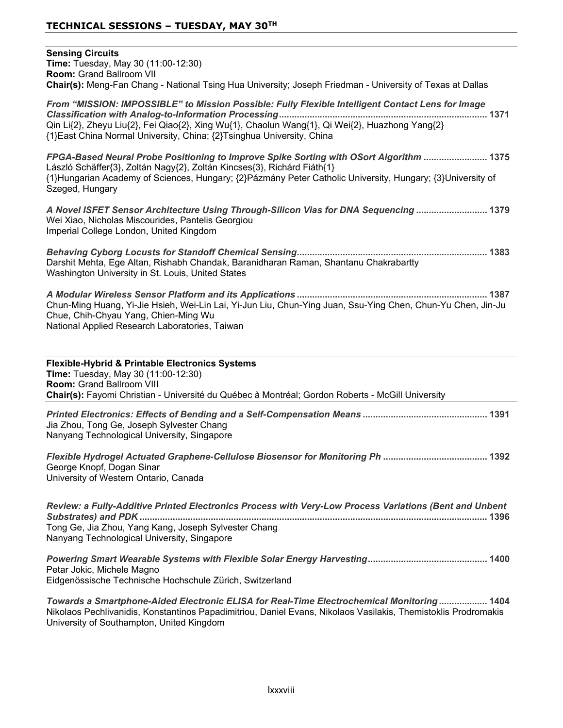| <b>Sensing Circuits</b><br>Time: Tuesday, May 30 (11:00-12:30)<br>Room: Grand Ballroom VII<br>Chair(s): Meng-Fan Chang - National Tsing Hua University; Joseph Friedman - University of Texas at Dallas                                                                                             |
|-----------------------------------------------------------------------------------------------------------------------------------------------------------------------------------------------------------------------------------------------------------------------------------------------------|
| From "MISSION: IMPOSSIBLE" to Mission Possible: Fully Flexible Intelligent Contact Lens for Image<br>Qin Li{2}, Zheyu Liu{2}, Fei Qiao{2}, Xing Wu{1}, Chaolun Wang{1}, Qi Wei{2}, Huazhong Yang{2}<br>{1} East China Normal University, China; {2} Tsinghua University, China                      |
| FPGA-Based Neural Probe Positioning to Improve Spike Sorting with OSort Algorithm  1375<br>László Schäffer{3}, Zoltán Nagy{2}, Zoltán Kincses{3}, Richárd Fiáth{1}<br>{1}Hungarian Academy of Sciences, Hungary; {2}Pázmány Peter Catholic University, Hungary; {3}University of<br>Szeged, Hungary |
| A Novel ISFET Sensor Architecture Using Through-Silicon Vias for DNA Sequencing  1379<br>Wei Xiao, Nicholas Miscourides, Pantelis Georgiou<br>Imperial College London, United Kingdom                                                                                                               |
| Darshit Mehta, Ege Altan, Rishabh Chandak, Baranidharan Raman, Shantanu Chakrabartty<br>Washington University in St. Louis, United States                                                                                                                                                           |
| Chun-Ming Huang, Yi-Jie Hsieh, Wei-Lin Lai, Yi-Jun Liu, Chun-Ying Juan, Ssu-Ying Chen, Chun-Yu Chen, Jin-Ju<br>Chue, Chih-Chyau Yang, Chien-Ming Wu<br>National Applied Research Laboratories, Taiwan                                                                                               |
| Flexible-Hybrid & Printable Electronics Systems<br>Time: Tuesday, May 30 (11:00-12:30)<br>Room: Grand Ballroom VIII<br>Chair(s): Fayomi Christian - Université du Québec à Montréal; Gordon Roberts - McGill University                                                                             |
| Jia Zhou, Tong Ge, Joseph Sylvester Chang<br>Nanyang Technological University, Singapore                                                                                                                                                                                                            |
| George Knopf, Dogan Sinar<br>University of Western Ontario, Canada                                                                                                                                                                                                                                  |
| Review: a Fully-Additive Printed Electronics Process with Very-Low Process Variations (Bent and Unbent<br>Tong Ge, Jia Zhou, Yang Kang, Joseph Sylvester Chang                                                                                                                                      |
| Nanyang Technological University, Singapore<br><b>Dowaring Smart Waarable Systems with Floyible Solar Fnargy Harvesting</b><br>1400                                                                                                                                                                 |

*Powering Smart Wearable Systems with Flexible Solar Energy Harvesting* Petar Jokic, Michele Magno Eidgenössische Technische Hochschule Zürich, Switzerland

*Towards a Smartphone-Aided Electronic ELISA for Real-Time Electrochemical Monitoring* Nikolaos Pechlivanidis, Konstantinos Papadimitriou, Daniel Evans, Nikolaos Vasilakis, Themistoklis Prodromakis University of Southampton, United Kingdom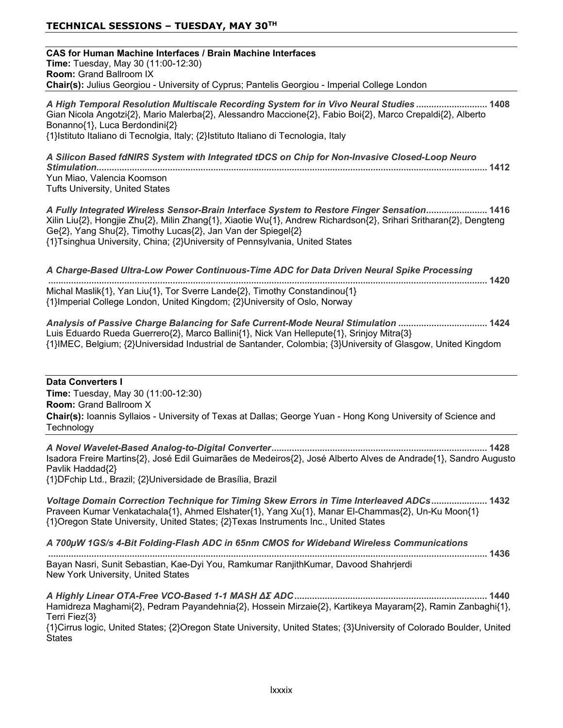## **TECHNICAL SESSIONS – TUESDAY, MAY 30TH**

| <b>CAS for Human Machine Interfaces / Brain Machine Interfaces</b><br>Time: Tuesday, May 30 (11:00-12:30)<br>Room: Grand Ballroom IX                                                                                                                                                                                                                           |
|----------------------------------------------------------------------------------------------------------------------------------------------------------------------------------------------------------------------------------------------------------------------------------------------------------------------------------------------------------------|
| Chair(s): Julius Georgiou - University of Cyprus; Pantelis Georgiou - Imperial College London                                                                                                                                                                                                                                                                  |
| A High Temporal Resolution Multiscale Recording System for in Vivo Neural Studies 1408<br>Gian Nicola Angotzi{2}, Mario Malerba{2}, Alessandro Maccione{2}, Fabio Boi{2}, Marco Crepaldi{2}, Alberto<br>Bonanno{1}, Luca Berdondini{2}<br>{1}Istituto Italiano di Tecnolgia, Italy; {2}Istituto Italiano di Tecnologia, Italy                                  |
| A Silicon Based fdNIRS System with Integrated tDCS on Chip for Non-Invasive Closed-Loop Neuro                                                                                                                                                                                                                                                                  |
| Yun Miao, Valencia Koomson<br><b>Tufts University, United States</b>                                                                                                                                                                                                                                                                                           |
| A Fully Integrated Wireless Sensor-Brain Interface System to Restore Finger Sensation 1416<br>Xilin Liu{2}, Hongjie Zhu{2}, Milin Zhang{1}, Xiaotie Wu{1}, Andrew Richardson{2}, Srihari Sritharan{2}, Dengteng<br>Ge{2}, Yang Shu{2}, Timothy Lucas{2}, Jan Van der Spiegel{2}<br>{1}Tsinghua University, China; {2}University of Pennsylvania, United States |
| A Charge-Based Ultra-Low Power Continuous-Time ADC for Data Driven Neural Spike Processing                                                                                                                                                                                                                                                                     |
| Michal Maslik{1}, Yan Liu{1}, Tor Sverre Lande{2}, Timothy Constandinou{1}<br>{1}Imperial College London, United Kingdom; {2}University of Oslo, Norway                                                                                                                                                                                                        |
| Analysis of Passive Charge Balancing for Safe Current-Mode Neural Stimulation  1424<br>Luis Eduardo Rueda Guerrero{2}, Marco Ballini{1}, Nick Van Hellepute{1}, Srinjoy Mitra{3}<br>{1}IMEC, Belgium; {2}Universidad Industrial de Santander, Colombia; {3}University of Glasgow, United Kingdom                                                               |
| <b>Data Converters I</b><br>Time: Tuesday, May 30 (11:00-12:30)<br><b>Room: Grand Ballroom X</b><br>Chair(s): Ioannis Syllaios - University of Texas at Dallas; George Yuan - Hong Kong University of Science and<br>Technology                                                                                                                                |
| Isadora Freire Martins{2}, José Edil Guimarães de Medeiros{2}, José Alberto Alves de Andrade{1}, Sandro Augusto<br>Pavlik Haddad{2}<br>{1}DFchip Ltd., Brazil; {2}Universidade de Brasília, Brazil                                                                                                                                                             |
| Voltage Domain Correction Technique for Timing Skew Errors in Time Interleaved ADCs 1432<br>Praveen Kumar Venkatachala{1}, Ahmed Elshater{1}, Yang Xu{1}, Manar El-Chammas{2}, Un-Ku Moon{1}<br>{1}Oregon State University, United States; {2}Texas Instruments Inc., United States                                                                            |
| A 700µW 1GS/s 4-Bit Folding-Flash ADC in 65nm CMOS for Wideband Wireless Communications                                                                                                                                                                                                                                                                        |
| Bayan Nasri, Sunit Sebastian, Kae-Dyi You, Ramkumar RanjithKumar, Davood Shahrjerdi<br>New York University, United States                                                                                                                                                                                                                                      |
| Hamidreza Maghami{2}, Pedram Payandehnia{2}, Hossein Mirzaie{2}, Kartikeya Mayaram{2}, Ramin Zanbaghi{1},<br>Terri Fiez{3}<br>{1}Cirrus logic, United States; {2}Oregon State University, United States; {3}University of Colorado Boulder, United<br>States                                                                                                   |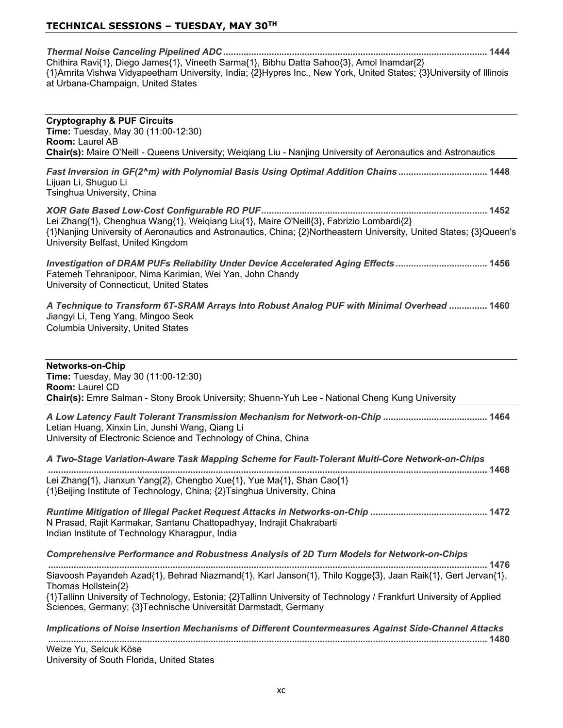## **TECHNICAL SESSIONS – TUESDAY, MAY 30TH**

| Chithira Ravi{1}, Diego James{1}, Vineeth Sarma{1}, Bibhu Datta Sahoo{3}, Amol Inamdar{2}                                                                 |  |
|-----------------------------------------------------------------------------------------------------------------------------------------------------------|--|
| {1}Amrita Vishwa Vidyapeetham University, India; {2}Hypres Inc., New York, United States; {3}University of Illinois<br>at Urbana-Champaign, United States |  |

| <b>Cryptography &amp; PUF Circuits</b><br>Time: Tuesday, May 30 (11:00-12:30)<br>Room: Laurel AB<br>Chair(s): Maire O'Neill - Queens University; Weiqiang Liu - Nanjing University of Aeronautics and Astronautics                                   |
|------------------------------------------------------------------------------------------------------------------------------------------------------------------------------------------------------------------------------------------------------|
|                                                                                                                                                                                                                                                      |
| Fast Inversion in GF(2^m) with Polynomial Basis Using Optimal Addition Chains 1448<br>Lijuan Li, Shuguo Li<br>Tsinghua University, China                                                                                                             |
| Lei Zhang{1}, Chenghua Wang{1}, Weiqiang Liu{1}, Maire O'Neill{3}, Fabrizio Lombardi{2}<br>{1}Nanjing University of Aeronautics and Astronautics, China; {2}Northeastern University, United States; {3}Queen's<br>University Belfast, United Kingdom |
| Investigation of DRAM PUFs Reliability Under Device Accelerated Aging Effects  1456<br>Fatemeh Tehranipoor, Nima Karimian, Wei Yan, John Chandy<br>University of Connecticut, United States                                                          |
| A Technique to Transform 6T-SRAM Arrays Into Robust Analog PUF with Minimal Overhead  1460<br>Jiangyi Li, Teng Yang, Mingoo Seok<br>Columbia University, United States                                                                               |
| <b>Networks-on-Chip</b><br><b>Time:</b> Tuesday, May 30 (11:00-12:30)<br>Room: Laurel CD<br>Chair(s): Emre Salman - Stony Brook University; Shuenn-Yuh Lee - National Cheng Kung University                                                          |
| Letian Huang, Xinxin Lin, Junshi Wang, Qiang Li<br>University of Electronic Science and Technology of China, China                                                                                                                                   |
| A Two-Stage Variation-Aware Task Mapping Scheme for Fault-Tolerant Multi-Core Network-on-Chips                                                                                                                                                       |
| Lei Zhang{1}, Jianxun Yang{2}, Chengbo Xue{1}, Yue Ma{1}, Shan Cao{1}<br>{1}Beijing Institute of Technology, China; {2}Tsinghua University, China                                                                                                    |
| N Prasad, Rajit Karmakar, Santanu Chattopadhyay, Indrajit Chakrabarti<br>Indian Institute of Technology Kharagpur, India                                                                                                                             |
| Comprehensive Performance and Robustness Analysis of 2D Turn Models for Network-on-Chips                                                                                                                                                             |
| Siavoosh Payandeh Azad{1}, Behrad Niazmand{1}, Karl Janson{1}, Thilo Kogge{3}, Jaan Raik{1}, Gert Jervan{1},<br>Thomas Hollstein{2}                                                                                                                  |
| {1}Tallinn University of Technology, Estonia; {2}Tallinn University of Technology / Frankfurt University of Applied<br>Sciences, Germany; {3}Technische Universität Darmstadt, Germany                                                               |
| Implications of Noise Insertion Mechanisms of Different Countermeasures Against Side-Channel Attacks                                                                                                                                                 |
| Weize Yu, Selcuk Köse                                                                                                                                                                                                                                |

University of South Florida, United States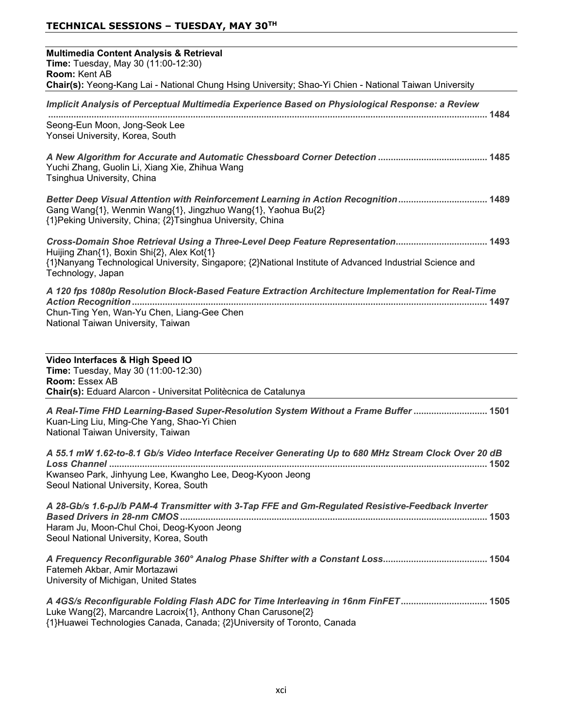| <b>Multimedia Content Analysis &amp; Retrieval</b><br>Time: Tuesday, May 30 (11:00-12:30)<br>Room: Kent AB                                                                                                                                                      |
|-----------------------------------------------------------------------------------------------------------------------------------------------------------------------------------------------------------------------------------------------------------------|
| Chair(s): Yeong-Kang Lai - National Chung Hsing University; Shao-Yi Chien - National Taiwan University                                                                                                                                                          |
| Implicit Analysis of Perceptual Multimedia Experience Based on Physiological Response: a Review                                                                                                                                                                 |
| Seong-Eun Moon, Jong-Seok Lee<br>Yonsei University, Korea, South                                                                                                                                                                                                |
| Yuchi Zhang, Guolin Li, Xiang Xie, Zhihua Wang<br>Tsinghua University, China                                                                                                                                                                                    |
| Better Deep Visual Attention with Reinforcement Learning in Action Recognition 1489<br>Gang Wang{1}, Wenmin Wang{1}, Jingzhuo Wang{1}, Yaohua Bu{2}<br>{1} Peking University, China; {2} Tsinghua University, China                                             |
| Cross-Domain Shoe Retrieval Using a Three-Level Deep Feature Representation 1493<br>Huijing Zhan{1}, Boxin Shi{2}, Alex Kot{1}<br>{1}Nanyang Technological University, Singapore; {2}National Institute of Advanced Industrial Science and<br>Technology, Japan |
| A 120 fps 1080p Resolution Block-Based Feature Extraction Architecture Implementation for Real-Time<br>Chun-Ting Yen, Wan-Yu Chen, Liang-Gee Chen<br>National Taiwan University, Taiwan                                                                         |
| Video Interfaces & High Speed IO<br>Time: Tuesday, May 30 (11:00-12:30)<br>Room: Essex AB<br>Chair(s): Eduard Alarcon - Universitat Politècnica de Catalunya                                                                                                    |
| A Real-Time FHD Learning-Based Super-Resolution System Without a Frame Buffer  1501<br>Kuan-Ling Liu, Ming-Che Yang, Shao-Yi Chien<br>National Taiwan University, Taiwan                                                                                        |
| A 55.1 mW 1.62-to-8.1 Gb/s Video Interface Receiver Generating Up to 680 MHz Stream Clock Over 20 dB<br>Kwanseo Park, Jinhyung Lee, Kwangho Lee, Deog-Kyoon Jeong<br>Seoul National University, Korea, South                                                    |
| A 28-Gb/s 1.6-pJ/b PAM-4 Transmitter with 3-Tap FFE and Gm-Regulated Resistive-Feedback Inverter<br>Haram Ju, Moon-Chul Choi, Deog-Kyoon Jeong<br>Seoul National University, Korea, South                                                                       |

*A Frequency Reconfigurable 360° Analog Phase Shifter with a Constant Loss* Fatemeh Akbar, Amir Mortazawi University of Michigan, United States

*A 4GS/s Reconfigurable Folding Flash ADC for Time Interleaving in 16nm FinFET* Luke Wang{2}, Marcandre Lacroix{1}, Anthony Chan Carusone{2} {1}Huawei Technologies Canada, Canada; {2}University of Toronto, Canada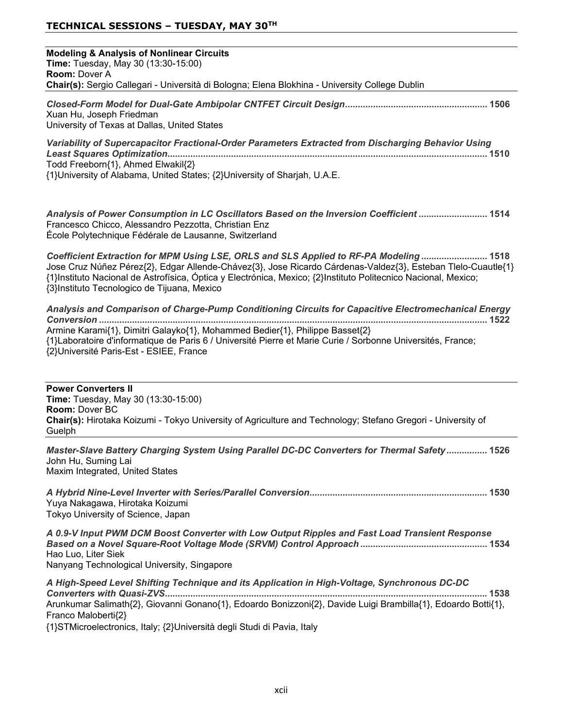| <b>Modeling &amp; Analysis of Nonlinear Circuits</b><br>Time: Tuesday, May 30 (13:30-15:00)<br><b>Room: Dover A</b><br>Chair(s): Sergio Callegari - Università di Bologna; Elena Blokhina - University College Dublin                                                                                                                                                  |
|------------------------------------------------------------------------------------------------------------------------------------------------------------------------------------------------------------------------------------------------------------------------------------------------------------------------------------------------------------------------|
| Xuan Hu, Joseph Friedman<br>University of Texas at Dallas, United States                                                                                                                                                                                                                                                                                               |
| Variability of Supercapacitor Fractional-Order Parameters Extracted from Discharging Behavior Using<br>Todd Freeborn{1}, Ahmed Elwakil{2}<br>{1}University of Alabama, United States; {2}University of Sharjah, U.A.E.                                                                                                                                                 |
| Analysis of Power Consumption in LC Oscillators Based on the Inversion Coefficient  1514<br>Francesco Chicco, Alessandro Pezzotta, Christian Enz<br>École Polytechnique Fédérale de Lausanne, Switzerland                                                                                                                                                              |
| Coefficient Extraction for MPM Using LSE, ORLS and SLS Applied to RF-PA Modeling 1518<br>Jose Cruz Núñez Pérez{2}, Edgar Allende-Chávez{3}, Jose Ricardo Cárdenas-Valdez{3}, Esteban Tlelo-Cuautle{1}<br>{1}Instituto Nacional de Astrofísica, Óptica y Electrónica, Mexico; {2}Instituto Politecnico Nacional, Mexico;<br>{3}Instituto Tecnologico de Tijuana, Mexico |
| Analysis and Comparison of Charge-Pump Conditioning Circuits for Capacitive Electromechanical Energy<br>Armine Karami{1}, Dimitri Galayko{1}, Mohammed Bedier{1}, Philippe Basset{2}<br>{1}Laboratoire d'informatique de Paris 6 / Université Pierre et Marie Curie / Sorbonne Universités, France;<br>{2}Université Paris-Est - ESIEE, France                         |
| <b>Power Converters II</b><br>Time: Tuesday, May 30 (13:30-15:00)<br>Room: Dover BC<br>Chair(s): Hirotaka Koizumi - Tokyo University of Agriculture and Technology; Stefano Gregori - University of<br>Guelph                                                                                                                                                          |
| Master-Slave Battery Charging System Using Parallel DC-DC Converters for Thermal Safety  1526<br>John Hu, Suming Lai<br>Maxim Integrated, United States                                                                                                                                                                                                                |
| Yuya Nakagawa, Hirotaka Koizumi<br>Tokyo University of Science, Japan                                                                                                                                                                                                                                                                                                  |
| A 0.9-V Input PWM DCM Boost Converter with Low Output Ripples and Fast Load Transient Response<br>Hao Luo, Liter Siek<br>Nanyang Technological University, Singapore                                                                                                                                                                                                   |
| A High-Speed Level Shifting Technique and its Application in High-Voltage, Synchronous DC-DC<br>Arunkumar Salimath{2}, Giovanni Gonano{1}, Edoardo Bonizzoni{2}, Davide Luigi Brambilla{1}, Edoardo Botti{1},<br>Franco Maloberti{2}                                                                                                                                   |

{1}STMicroelectronics, Italy; {2}Università degli Studi di Pavia, Italy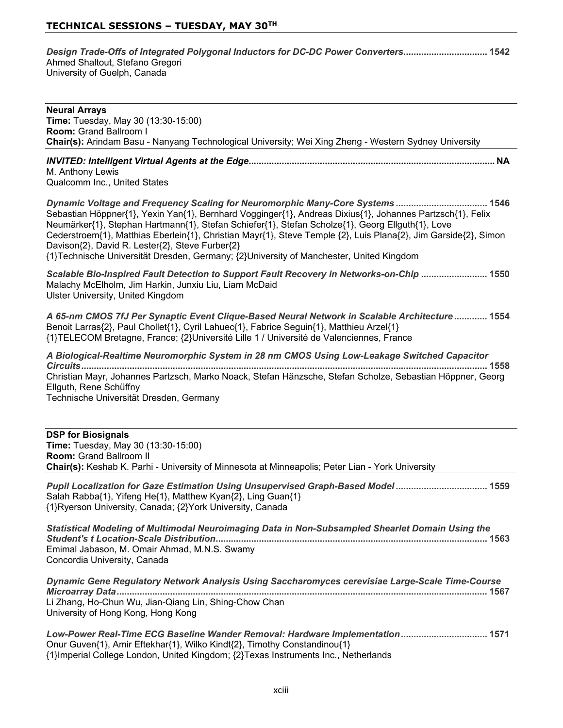| Design Trade-Offs of Integrated Polygonal Inductors for DC-DC Power Converters 1542 |  |
|-------------------------------------------------------------------------------------|--|
| Ahmed Shaltout, Stefano Gregori                                                     |  |
| University of Guelph, Canada                                                        |  |

| <b>Neural Arrays</b><br>Time: Tuesday, May 30 (13:30-15:00)<br>Room: Grand Ballroom I<br>Chair(s): Arindam Basu - Nanyang Technological University; Wei Xing Zheng - Western Sydney University                                                                                                                                                                                                                                                                                                                                                                   |
|------------------------------------------------------------------------------------------------------------------------------------------------------------------------------------------------------------------------------------------------------------------------------------------------------------------------------------------------------------------------------------------------------------------------------------------------------------------------------------------------------------------------------------------------------------------|
| M. Anthony Lewis<br>Qualcomm Inc., United States                                                                                                                                                                                                                                                                                                                                                                                                                                                                                                                 |
| Dynamic Voltage and Frequency Scaling for Neuromorphic Many-Core Systems  1546<br>Sebastian Höppner{1}, Yexin Yan{1}, Bernhard Vogginger{1}, Andreas Dixius{1}, Johannes Partzsch{1}, Felix<br>Neumärker{1}, Stephan Hartmann{1}, Stefan Schiefer{1}, Stefan Scholze{1}, Georg Ellguth{1}, Love<br>Cederstroem{1}, Matthias Eberlein{1}, Christian Mayr{1}, Steve Temple {2}, Luis Plana{2}, Jim Garside{2}, Simon<br>Davison{2}, David R. Lester{2}, Steve Furber{2}<br>{1}Technische Universität Dresden, Germany; {2}University of Manchester, United Kingdom |
| Scalable Bio-Inspired Fault Detection to Support Fault Recovery in Networks-on-Chip  1550<br>Malachy McElholm, Jim Harkin, Junxiu Liu, Liam McDaid<br>Ulster University, United Kingdom                                                                                                                                                                                                                                                                                                                                                                          |
| A 65-nm CMOS 7fJ Per Synaptic Event Clique-Based Neural Network in Scalable Architecture 1554<br>Benoit Larras{2}, Paul Chollet{1}, Cyril Lahuec{1}, Fabrice Seguin{1}, Matthieu Arzel{1}<br>{1}TELECOM Bretagne, France; {2}Université Lille 1 / Université de Valenciennes, France                                                                                                                                                                                                                                                                             |
| A Biological-Realtime Neuromorphic System in 28 nm CMOS Using Low-Leakage Switched Capacitor<br>Christian Mayr, Johannes Partzsch, Marko Noack, Stefan Hänzsche, Stefan Scholze, Sebastian Höppner, Georg<br>Ellguth, Rene Schüffny<br>Technische Universität Dresden, Germany                                                                                                                                                                                                                                                                                   |
| <b>DSP for Biosignals</b><br>Time: Tuesday, May 30 (13:30-15:00)<br><b>Room: Grand Ballroom II</b><br>Chair(s): Keshab K. Parhi - University of Minnesota at Minneapolis; Peter Lian - York University                                                                                                                                                                                                                                                                                                                                                           |
| Pupil Localization for Gaze Estimation Using Unsupervised Graph-Based Model  1559<br>Salah Rabba{1}, Yifeng He{1}, Matthew Kyan{2}, Ling Guan{1}<br>{1}Ryerson University, Canada; {2}York University, Canada                                                                                                                                                                                                                                                                                                                                                    |
| Statistical Modeling of Multimodal Neuroimaging Data in Non-Subsampled Shearlet Domain Using the<br>Emimal Jabason, M. Omair Ahmad, M.N.S. Swamy<br>Concordia University, Canada                                                                                                                                                                                                                                                                                                                                                                                 |

*Dynamic Gene Regulatory Network Analysis Using Saccharomyces cerevisiae Large-Scale Time-Course Microarray Data* Li Zhang, Ho-Chun Wu, Jian-Qiang Lin, Shing-Chow Chan University of Hong Kong, Hong Kong

*Low-Power Real-Time ECG Baseline Wander Removal: Hardware Implementation* Onur Guven{1}, Amir Eftekhar{1}, Wilko Kindt{2}, Timothy Constandinou{1} {1}Imperial College London, United Kingdom; {2}Texas Instruments Inc., Netherlands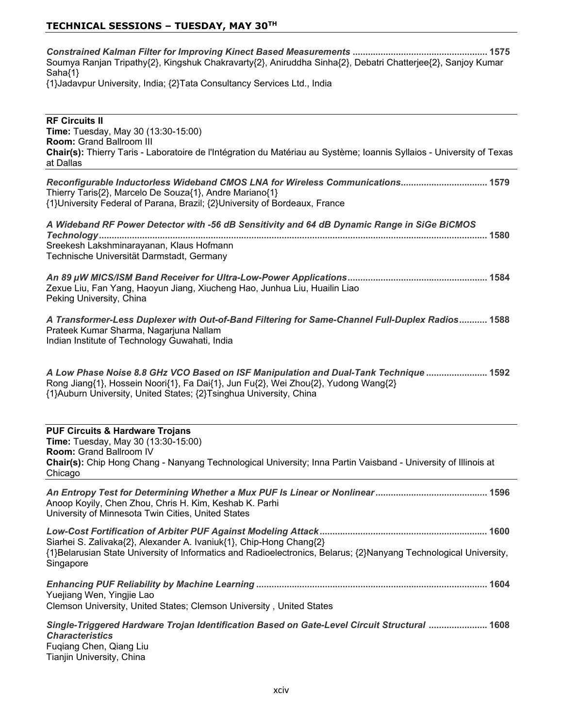### **TECHNICAL SESSIONS – TUESDAY, MAY 30TH**

*Constrained Kalman Filter for Improving Kinect Based Measurements*  Soumya Ranjan Tripathy{2}, Kingshuk Chakravarty{2}, Aniruddha Sinha{2}, Debatri Chatterjee{2}, Sanjoy Kumar  $Saha<sub>{1}</sub>$ {1}Jadavpur University, India; {2}Tata Consultancy Services Ltd., India

**RF Circuits II Time:** Tuesday, May 30 (13:30-15:00) **Room: Grand Ballroom III** Chair(s): Thierry Taris - Laboratoire de l'Intégration du Matériau au Système; Ioannis Syllaios - University of Texas at Dallas *Reconfigurable Inductorless Wideband CMOS LNA for Wireless Communications* Thierry Taris{2}, Marcelo De Souza{1}, Andre Mariano{1} {1}University Federal of Parana, Brazil; {2}University of Bordeaux, France *A Wideband RF Power Detector with -56 dB Sensitivity and 64 dB Dynamic Range in SiGe BiCMOS Technology* Sreekesh Lakshminarayanan, Klaus Hofmann Technische Universität Darmstadt, Germany *An 89 W MICS/ISM Band Receiver for Ultra-Low-Power Applications* Zexue Liu, Fan Yang, Haoyun Jiang, Xiucheng Hao, Junhua Liu, Huailin Liao Peking University, China *A Transformer-Less Duplexer with Out-of-Band Filtering for Same-Channel Full-Duplex Radios* Prateek Kumar Sharma, Nagarjuna Nallam Indian Institute of Technology Guwahati, India *A Low Phase Noise 8.8 GHz VCO Based on ISF Manipulation and Dual-Tank Technique*  Rong Jiang{1}, Hossein Noori{1}, Fa Dai{1}, Jun Fu{2}, Wei Zhou{2}, Yudong Wang{2} {1}Auburn University, United States; {2}Tsinghua University, China **PUF Circuits & Hardware Trojans Time:** Tuesday, May 30 (13:30-15:00) **Room: Grand Ballroom IV Chair(s):** Chip Hong Chang - Nanyang Technological University; Inna Partin Vaisband - University of Illinois at Chicago *An Entropy Test for Determining Whether a Mux PUF Is Linear or Nonlinear* Anoop Koyily, Chen Zhou, Chris H. Kim, Keshab K. Parhi University of Minnesota Twin Cities, United States *Low-Cost Fortification of Arbiter PUF Against Modeling Attack* Siarhei S. Zalivaka{2}, Alexander A. Ivaniuk{1}, Chip-Hong Chang{2}  $\{1\}$ Belarusian State University of Informatics and Radioelectronics, Belarus;  $\{2\}$ Nanyang Technological University, Singapore *Enhancing PUF Reliability by Machine Learning*  Yuejiang Wen, Yingjie Lao

Clemson University, United States; Clemson University, United States

*Single-Triggered Hardware Trojan Identification Based on Gate-Level Circuit Structural*  *Characteristics* Fuqiang Chen, Qiang Liu Tianjin University, China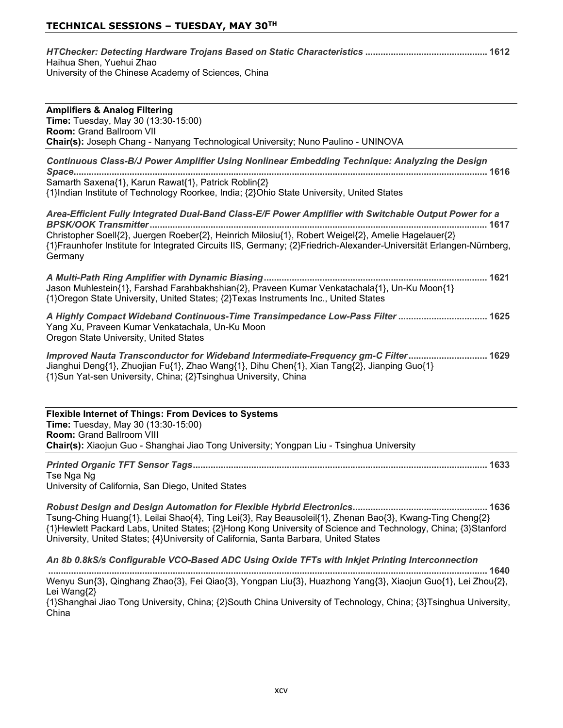| Haihua Shen, Yuehui Zhao                             |  |
|------------------------------------------------------|--|
| University of the Chinese Academy of Sciences, China |  |

| <b>Amplifiers &amp; Analog Filtering</b><br><b>Time:</b> Tuesday, May 30 (13:30-15:00)<br><b>Room: Grand Ballroom VII</b><br>Chair(s): Joseph Chang - Nanyang Technological University; Nuno Paulino - UNINOVA                                                                                                                                  |
|-------------------------------------------------------------------------------------------------------------------------------------------------------------------------------------------------------------------------------------------------------------------------------------------------------------------------------------------------|
| Continuous Class-B/J Power Amplifier Using Nonlinear Embedding Technique: Analyzing the Design<br>Samarth Saxena{1}, Karun Rawat{1}, Patrick Roblin{2}<br>{1}Indian Institute of Technology Roorkee, India; {2}Ohio State University, United States                                                                                             |
| Area-Efficient Fully Integrated Dual-Band Class-E/F Power Amplifier with Switchable Output Power for a<br>Christopher Soell{2}, Juergen Roeber{2}, Heinrich Milosiu{1}, Robert Weigel{2}, Amelie Hagelauer{2}<br>{1}Fraunhofer Institute for Integrated Circuits IIS, Germany; {2}Friedrich-Alexander-Universität Erlangen-Nürnberg,<br>Germany |
| Jason Muhlestein{1}, Farshad Farahbakhshian{2}, Praveen Kumar Venkatachala{1}, Un-Ku Moon{1}<br>{1}Oregon State University, United States; {2}Texas Instruments Inc., United States                                                                                                                                                             |
| A Highly Compact Wideband Continuous-Time Transimpedance Low-Pass Filter  1625<br>Yang Xu, Praveen Kumar Venkatachala, Un-Ku Moon<br>Oregon State University, United States                                                                                                                                                                     |
| Improved Nauta Transconductor for Wideband Intermediate-Frequency gm-C Filter 1629<br>Jianghui Deng{1}, Zhuojian Fu{1}, Zhao Wang{1}, Dihu Chen{1}, Xian Tang{2}, Jianping Guo{1}<br>{1}Sun Yat-sen University, China; {2}Tsinghua University, China                                                                                            |

| <b>Flexible Internet of Things: From Devices to Systems</b>                              |
|------------------------------------------------------------------------------------------|
| <b>Time:</b> Tuesday, May 30 (13:30-15:00)                                               |
| <b>Room:</b> Grand Ballroom VIII                                                         |
| Chair(s): Xiaojun Guo - Shanghai Jiao Tong University; Yongpan Liu - Tsinghua University |
|                                                                                          |

*Printed Organic TFT Sensor Tags* Tse Nga Ng University of California, San Diego, United States

*Robust Design and Design Automation for Flexible Hybrid Electronics* Tsung-Ching Huang{1}, Leilai Shao{4}, Ting Lei{3}, Ray Beausoleil{1}, Zhenan Bao{3}, Kwang-Ting Cheng{2} {1}Hewlett Packard Labs, United States; {2}Hong Kong University of Science and Technology, China; {3}Stanford University, United States; {4}University of California, Santa Barbara, United States

*An 8b 0.8kS/s Configurable VCO-Based ADC Using Oxide TFTs with Inkjet Printing Interconnection*  Wenyu Sun{3}, Qinghang Zhao{3}, Fei Qiao{3}, Yongpan Liu{3}, Huazhong Yang{3}, Xiaojun Guo{1}, Lei Zhou{2}, Lei Wang{2}

{1}Shanghai Jiao Tong University, China; {2}South China University of Technology, China; {3}Tsinghua University, China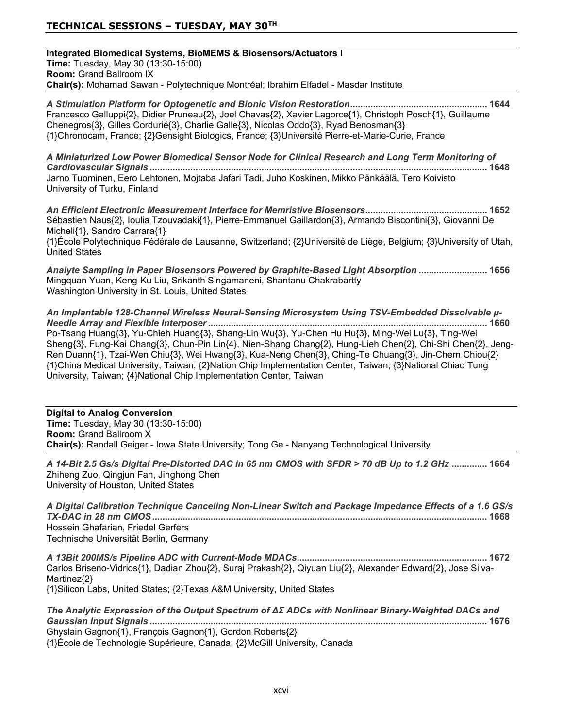**Integrated Biomedical Systems, BioMEMS & Biosensors/Actuators I Time:** Tuesday, May 30 (13:30-15:00) **Room: Grand Ballroom IX Chair(s):** Mohamad Sawan - Polytechnique Montréal; Ibrahim Elfadel - Masdar Institute

*A Stimulation Platform for Optogenetic and Bionic Vision Restoration* Francesco Galluppi{2}, Didier Pruneau{2}, Joel Chavas{2}, Xavier Lagorce{1}, Christoph Posch{1}, Guillaume Chenegros{3}, Gilles Cordurié{3}, Charlie Galle{3}, Nicolas Oddo{3}, Ryad Benosman{3} {1}Chronocam, France; {2}Gensight Biologics, France; {3}Université Pierre-et-Marie-Curie, France

*A Miniaturized Low Power Biomedical Sensor Node for Clinical Research and Long Term Monitoring of Cardiovascular Signals*  Jarno Tuominen, Eero Lehtonen, Mojtaba Jafari Tadi, Juho Koskinen, Mikko Pänkäälä, Tero Koivisto University of Turku, Finland

*An Efficient Electronic Measurement Interface for Memristive Biosensors* Sébastien Naus{2}, loulia Tzouvadaki{1}, Pierre-Emmanuel Gaillardon{3}, Armando Biscontini{3}, Giovanni De Micheli $\{1\}$ , Sandro Carrara $\{1\}$ 

{1}École Polytechnique Fédérale de Lausanne, Switzerland; {2}Université de Liège, Belgium; {3}University of Utah, **United States** 

*Analyte Sampling in Paper Biosensors Powered by Graphite-Based Light Absorption*  Mingquan Yuan, Keng-Ku Liu, Srikanth Singamaneni, Shantanu Chakrabartty Washington University in St. Louis, United States

An Implantable 128-Channel Wireless Neural-Sensing Microsystem Using TSV-Embedded Dissolvable  $\mu$ -*Needle Array and Flexible Interposer* Po-Tsang Huang{3}, Yu-Chieh Huang{3}, Shang-Lin Wu{3}, Yu-Chen Hu Hu{3}, Ming-Wei Lu{3}, Ting-Wei Sheng{3}, Fung-Kai Chang{3}, Chun-Pin Lin{4}, Nien-Shang Chang{2}, Hung-Lieh Chen{2}, Chi-Shi Chen{2}, Jeng-Ren Duann{1}, Tzai-Wen Chiu{3}, Wei Hwang{3}, Kua-Neng Chen{3}, Ching-Te Chuang{3}, Jin-Chern Chiou{2} {1}China Medical University, Taiwan; {2}Nation Chip Implementation Center, Taiwan; {3}National Chiao Tung University, Taiwan: {4}National Chip Implementation Center, Taiwan

**Digital to Analog Conversion Time:** Tuesday, May 30 (13:30-15:00) **Room:** Grand Ballroom X **Chair(s):** Randall Geiger - lowa State University; Tong Ge - Nanyang Technological University

*A 14-Bit 2.5 Gs/s Digital Pre-Distorted DAC in 65 nm CMOS with SFDR > 70 dB Up to 1.2 GHz*  Zhiheng Zuo, Qingjun Fan, Jinghong Chen University of Houston, United States

| A Digital Calibration Technique Canceling Non-Linear Switch and Package Impedance Effects of a 1.6 GS/s |  |
|---------------------------------------------------------------------------------------------------------|--|
|                                                                                                         |  |
| Hossein Ghafarian. Friedel Gerfers                                                                      |  |
| Technische Universität Berlin, Germany                                                                  |  |

*A 13Bit 200MS/s Pipeline ADC with Current-Mode MDACs* Carlos Briseno-Vidrios{1}, Dadian Zhou{2}, Suraj Prakash{2}, Qiyuan Liu{2}, Alexander Edward{2}, Jose Silva- $Martinez<sub>2</sub>$ {1}Silicon Labs, United States; {2}Texas A&M University, United States

The Analytic Expression of the Output Spectrum of ΔΣ ADCs with Nonlinear Binary-Weighted DACs and *Gaussian Input Signals*  Ghyslain Gagnon $\{1\}$ , François Gagnon $\{1\}$ , Gordon Roberts $\{2\}$ {1}École de Technologie Supérieure, Canada; {2}McGill University, Canada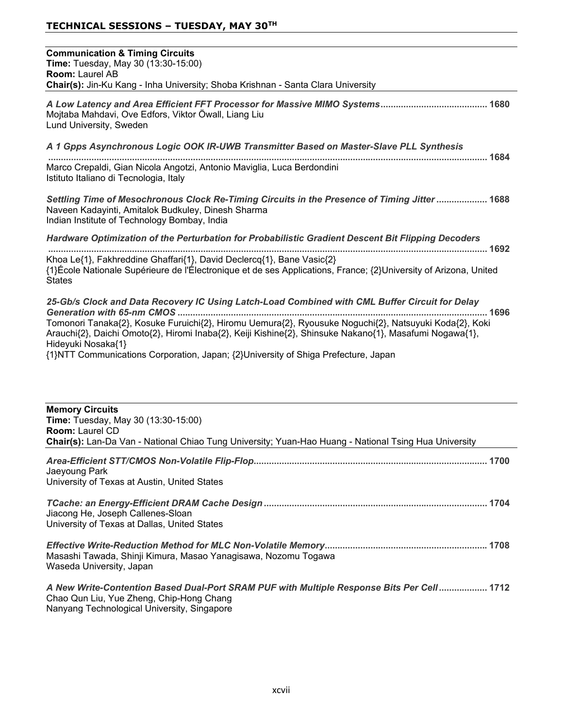## **TECHNICAL SESSIONS – TUESDAY, MAY 30TH**

| <b>Communication &amp; Timing Circuits</b><br>Time: Tuesday, May 30 (13:30-15:00)<br>Room: Laurel AB                                                                                                                                                                                                                                      |
|-------------------------------------------------------------------------------------------------------------------------------------------------------------------------------------------------------------------------------------------------------------------------------------------------------------------------------------------|
| Chair(s): Jin-Ku Kang - Inha University; Shoba Krishnan - Santa Clara University                                                                                                                                                                                                                                                          |
| Mojtaba Mahdavi, Ove Edfors, Viktor Öwall, Liang Liu<br>Lund University, Sweden                                                                                                                                                                                                                                                           |
| A 1 Gpps Asynchronous Logic OOK IR-UWB Transmitter Based on Master-Slave PLL Synthesis                                                                                                                                                                                                                                                    |
| Marco Crepaldi, Gian Nicola Angotzi, Antonio Maviglia, Luca Berdondini<br>Istituto Italiano di Tecnologia, Italy                                                                                                                                                                                                                          |
| Settling Time of Mesochronous Clock Re-Timing Circuits in the Presence of Timing Jitter  1688<br>Naveen Kadayinti, Amitalok Budkuley, Dinesh Sharma<br>Indian Institute of Technology Bombay, India                                                                                                                                       |
| Hardware Optimization of the Perturbation for Probabilistic Gradient Descent Bit Flipping Decoders                                                                                                                                                                                                                                        |
| Khoa Le{1}, Fakhreddine Ghaffari{1}, David Declercq{1}, Bane Vasic{2}<br>{1}École Nationale Supérieure de l'Électronique et de ses Applications, France; {2}University of Arizona, United<br><b>States</b>                                                                                                                                |
| 25-Gb/s Clock and Data Recovery IC Using Latch-Load Combined with CML Buffer Circuit for Delay<br>Tomonori Tanaka{2}, Kosuke Furuichi{2}, Hiromu Uemura{2}, Ryousuke Noguchi{2}, Natsuyuki Koda{2}, Koki<br>Arauchi{2}, Daichi Omoto{2}, Hiromi Inaba{2}, Keiji Kishine{2}, Shinsuke Nakano{1}, Masafumi Nogawa{1},<br>Hideyuki Nosaka{1} |
| {1}NTT Communications Corporation, Japan; {2}University of Shiga Prefecture, Japan                                                                                                                                                                                                                                                        |
| <b>Memory Circuits</b><br>Time: Tuesday, May 30 (13:30-15:00)<br><b>Room: Laurel CD</b><br>Chair(s): Lan-Da Van - National Chiao Tung University; Yuan-Hao Huang - National Tsing Hua University                                                                                                                                          |
|                                                                                                                                                                                                                                                                                                                                           |
| Jaeyoung Park<br>University of Texas at Austin, United States                                                                                                                                                                                                                                                                             |
| Jiacong He, Joseph Callenes-Sloan<br>University of Texas at Dallas, United States                                                                                                                                                                                                                                                         |
| Masashi Tawada, Shinji Kimura, Masao Yanagisawa, Nozomu Togawa<br>Waseda University, Japan                                                                                                                                                                                                                                                |
| A New Write-Contention Based Dual-Port SRAM PUF with Multiple Response Bits Per Cell 1712                                                                                                                                                                                                                                                 |

Chao Qun Liu, Yue Zheng, Chip-Hong Chang Nanyang Technological University, Singapore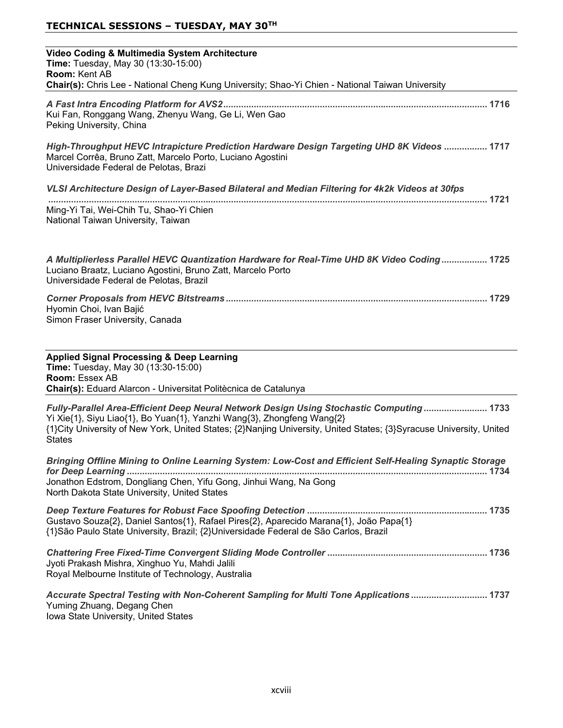| Video Coding & Multimedia System Architecture<br>Time: Tuesday, May 30 (13:30-15:00)<br>Room: Kent AB<br>Chair(s): Chris Lee - National Cheng Kung University; Shao-Yi Chien - National Taiwan University                                                                                                  |
|------------------------------------------------------------------------------------------------------------------------------------------------------------------------------------------------------------------------------------------------------------------------------------------------------------|
| Kui Fan, Ronggang Wang, Zhenyu Wang, Ge Li, Wen Gao<br>Peking University, China                                                                                                                                                                                                                            |
| High-Throughput HEVC Intrapicture Prediction Hardware Design Targeting UHD 8K Videos  1717<br>Marcel Corrêa, Bruno Zatt, Marcelo Porto, Luciano Agostini<br>Universidade Federal de Pelotas, Brazi                                                                                                         |
| VLSI Architecture Design of Layer-Based Bilateral and Median Filtering for 4k2k Videos at 30fps                                                                                                                                                                                                            |
| Ming-Yi Tai, Wei-Chih Tu, Shao-Yi Chien<br>National Taiwan University, Taiwan                                                                                                                                                                                                                              |
| A Multiplierless Parallel HEVC Quantization Hardware for Real-Time UHD 8K Video Coding 1725<br>Luciano Braatz, Luciano Agostini, Bruno Zatt, Marcelo Porto<br>Universidade Federal de Pelotas, Brazil                                                                                                      |
| Hyomin Choi, Ivan Bajić<br>Simon Fraser University, Canada                                                                                                                                                                                                                                                 |
| <b>Applied Signal Processing &amp; Deep Learning</b><br>Time: Tuesday, May 30 (13:30-15:00)<br>Room: Essex AB<br>Chair(s): Eduard Alarcon - Universitat Politècnica de Catalunya                                                                                                                           |
| Fully-Parallel Area-Efficient Deep Neural Network Design Using Stochastic Computing 1733<br>Yi Xie{1}, Siyu Liao{1}, Bo Yuan{1}, Yanzhi Wang{3}, Zhongfeng Wang{2}<br>{1}City University of New York, United States; {2}Nanjing University, United States; {3}Syracuse University, United<br><b>States</b> |
| Bringing Offline Mining to Online Learning System: Low-Cost and Efficient Self-Healing Synaptic Storage<br>Jonathon Edstrom, Dongliang Chen, Yifu Gong, Jinhui Wang, Na Gong<br>North Dakota State University, United States                                                                               |
| Gustavo Souza{2}, Daniel Santos{1}, Rafael Pires{2}, Aparecido Marana{1}, João Papa{1}<br>{1}São Paulo State University, Brazil; {2}Universidade Federal de São Carlos, Brazil                                                                                                                             |
| Jyoti Prakash Mishra, Xinghuo Yu, Mahdi Jalili<br>Royal Melbourne Institute of Technology, Australia                                                                                                                                                                                                       |
| Accurate Spectral Testing with Non-Coherent Sampling for Multi Tone Applications  1737<br>Yuming Zhuang, Degang Chen<br>Iowa State University, United States                                                                                                                                               |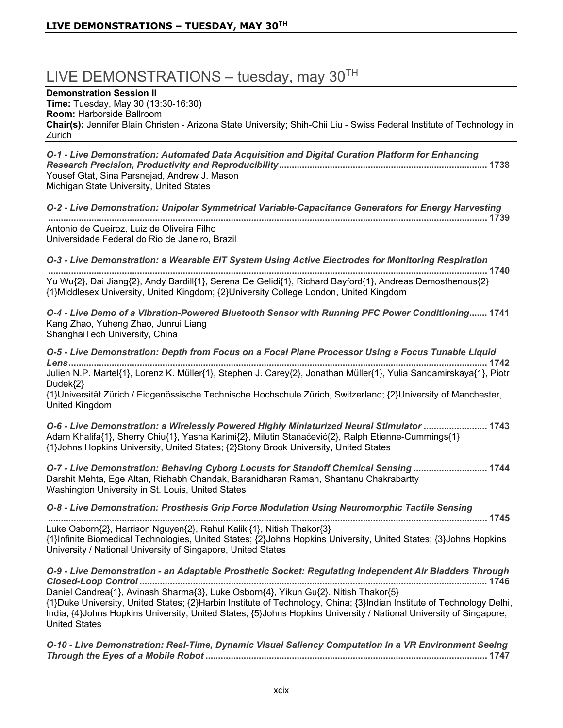# LIVE DEMONSTRATIONS - tuesday, may  $30<sup>TH</sup>$

**Demonstration Session II** 

**Time:** Tuesday, May 30 (13:30-16:30)

**Room:** Harborside Ballroom

Chair(s): Jennifer Blain Christen - Arizona State University; Shih-Chii Liu - Swiss Federal Institute of Technology in Zurich

*O-1 - Live Demonstration: Automated Data Acquisition and Digital Curation Platform for Enhancing Research Precision, Productivity and Reproducibility* Yousef Gtat, Sina Parsnejad, Andrew J. Mason Michigan State University, United States

*O-2 - Live Demonstration: Unipolar Symmetrical Variable-Capacitance Generators for Energy Harvesting*  Antonio de Queiroz. Luiz de Oliveira Filho Universidade Federal do Rio de Janeiro, Brazil

*O-3 - Live Demonstration: a Wearable EIT System Using Active Electrodes for Monitoring Respiration*

 Yu Wu{2}, Dai Jiang{2}, Andy Bardill{1}, Serena De Gelidi{1}, Richard Bayford{1}, Andreas Demosthenous{2} {1}Middlesex University, United Kingdom; {2}University College London, United Kingdom

*O-4 - Live Demo of a Vibration-Powered Bluetooth Sensor with Running PFC Power Conditioning* Kang Zhao, Yuheng Zhao, Junrui Liang ShanghaiTech University, China

*O-5 - Live Demonstration: Depth from Focus on a Focal Plane Processor Using a Focus Tunable Liquid Lens* Julien N.P. Martel{1}, Lorenz K. Müller{1}, Stephen J. Carey{2}, Jonathan Müller{1}, Yulia Sandamirskaya{1}, Piotr Dudek{2} {1}Universität Zürich / Eidgenössische Technische Hochschule Zürich, Switzerland; {2}University of Manchester, United Kingdom

*O-6 - Live Demonstration: a Wirelessly Powered Highly Miniaturized Neural Stimulator*   $A$ dam Khalifa{1}, Sherry Chiu{1}, Yasha Karimi{2}, Milutin Stanaćević{2}, Ralph Etienne-Cummings{1} {1}Johns Hopkins University, United States; {2}Stony Brook University, United States

*O-7 - Live Demonstration: Behaving Cyborg Locusts for Standoff Chemical Sensing*  Darshit Mehta, Ege Altan, Rishabh Chandak, Baranidharan Raman, Shantanu Chakrabartty Washington University in St. Louis, United States

*O-8 - Live Demonstration: Prosthesis Grip Force Modulation Using Neuromorphic Tactile Sensing*  Luke Osborn{2}, Harrison Nguyen{2}, Rahul Kaliki{1}, Nitish Thakor{3} {1}Infinite Biomedical Technologies, United States; {2}Johns Hopkins University, United States; {3}Johns Hopkins University / National University of Singapore, United States

*O-9 - Live Demonstration - an Adaptable Prosthetic Socket: Regulating Independent Air Bladders Through Closed-Loop Control*  Daniel Candrea{1}, Avinash Sharma{3}, Luke Osborn{4}, Yikun Gu{2}, Nitish Thakor{5} {1}Duke University, United States; {2}Harbin Institute of Technology, China; {3}Indian Institute of Technology Delhi, India: {4}Johns Hopkins University, United States: {5}Johns Hopkins University / National University of Singapore, United States

*O-10 - Live Demonstration: Real-Time, Dynamic Visual Saliency Computation in a VR Environment Seeing Through the Eyes of a Mobile Robot*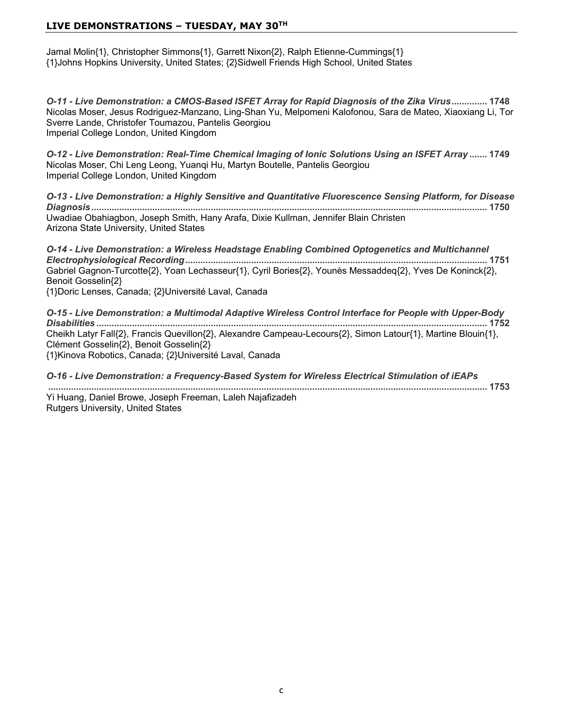Jamal Molin{1}, Christopher Simmons{1}, Garrett Nixon{2}, Ralph Etienne-Cummings{1} {1}Johns Hopkins University, United States; {2}Sidwell Friends High School, United States

*O-11 - Live Demonstration: a CMOS-Based ISFET Array for Rapid Diagnosis of the Zika Virus* Nicolas Moser, Jesus Rodriguez-Manzano, Ling-Shan Yu, Melpomeni Kalofonou, Sara de Mateo, Xiaoxiang Li, Tor Sverre Lande, Christofer Toumazou, Pantelis Georgiou Imperial College London, United Kingdom

*O-12 - Live Demonstration: Real-Time Chemical Imaging of Ionic Solutions Using an ISFET Array*  Nicolas Moser, Chi Leng Leong, Yuangi Hu, Martyn Boutelle, Pantelis Georgiou Imperial College London, United Kingdom

*O-13 - Live Demonstration: a Highly Sensitive and Quantitative Fluorescence Sensing Platform, for Disease Diagnosis* Uwadiae Obahiagbon, Joseph Smith, Hany Arafa, Dixie Kullman, Jennifer Blain Christen Arizona State University, United States

*O-14 - Live Demonstration: a Wireless Headstage Enabling Combined Optogenetics and Multichannel Electrophysiological Recording* Gabriel Gagnon-Turcotte{2}, Yoan Lechasseur{1}, Cyril Bories{2}, Younès Messaddeq{2}, Yves De Koninck{2}, Benoit Gosselin{2} {1}Doric Lenses, Canada; {2}Université Laval, Canada

*O-15 - Live Demonstration: a Multimodal Adaptive Wireless Control Interface for People with Upper-Body Disabilities*  Cheikh Latyr Fall{2}, Francis Quevillon{2}, Alexandre Campeau-Lecours{2}, Simon Latour{1}, Martine Blouin{1}, Clément Gosselin{2}, Benoit Gosselin{2} {1}Kinova Robotics, Canada; {2}Université Laval, Canada

*O-16 - Live Demonstration: a Frequency-Based System for Wireless Electrical Stimulation of iEAPs* 

Yi Huang, Daniel Browe, Joseph Freeman, Laleh Najafizadeh Rutgers University, United States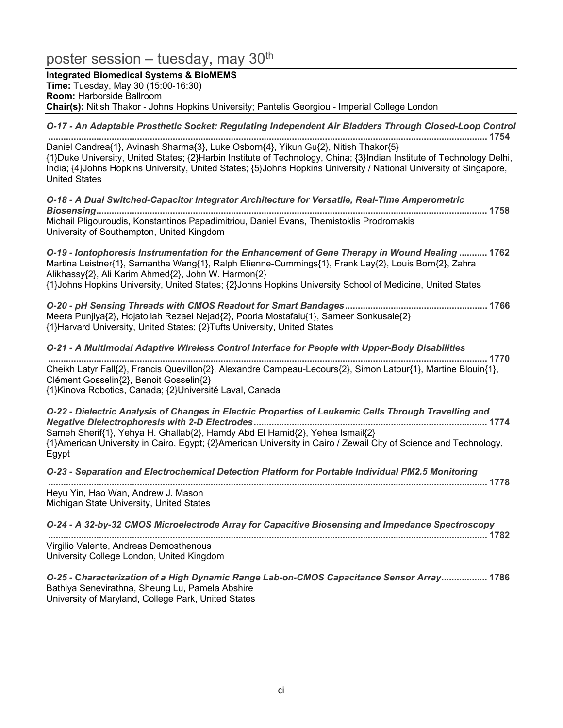# poster session – tuesday, may  $30<sup>th</sup>$

**Integrated Biomedical Systems & BioMEMS Time:** Tuesday, May 30 (15:00-16:30) **Room:** Harborside Ballroom **Chair(s):** Nitish Thakor - Johns Hopkins University; Pantelis Georgiou - Imperial College London

*O-17 - An Adaptable Prosthetic Socket: Regulating Independent Air Bladders Through Closed-Loop Control* 

Daniel Candrea{1}, Avinash Sharma{3}, Luke Osborn{4}, Yikun Gu{2}, Nitish Thakor{5} {1}Duke University, United States; {2}Harbin Institute of Technology, China; {3}Indian Institute of Technology Delhi, India;  $\{4\}$ Johns Hopkins University, United States;  $\{5\}$ Johns Hopkins University / National University of Singapore, **United States** 

*O-18 - A Dual Switched-Capacitor Integrator Architecture for Versatile, Real-Time Amperometric Biosensing* Michail Pligouroudis, Konstantinos Papadimitriou, Daniel Evans, Themistoklis Prodromakis University of Southampton, United Kingdom

*O-19 - Iontophoresis Instrumentation for the Enhancement of Gene Therapy in Wound Healing*  Martina Leistner{1}, Samantha Wang{1}, Ralph Etienne-Cummings{1}, Frank Lay{2}, Louis Born{2}, Zahra Alikhassy{2}, Ali Karim Ahmed{2}, John W. Harmon{2} {1}Johns Hopkins University, United States; {2}Johns Hopkins University School of Medicine, United States

*O-20 - pH Sensing Threads with CMOS Readout for Smart Bandages* Meera Punjiya{2}, Hojatollah Rezaei Nejad{2}, Pooria Mostafalu{1}, Sameer Sonkusale{2} {1}Harvard University, United States; {2}Tufts University, United States

*O-21 - A Multimodal Adaptive Wireless Control Interface for People with Upper-Body Disabilities*  Cheikh Latyr Fall{2}, Francis Quevillon{2}, Alexandre Campeau-Lecours{2}, Simon Latour{1}, Martine Blouin{1}, Clément Gosselin{2}, Benoit Gosselin{2} {1}Kinova Robotics, Canada; {2}Université Laval, Canada

*O-22 - Dielectric Analysis of Changes in Electric Properties of Leukemic Cells Through Travelling and Negative Dielectrophoresis with 2-D Electrodes* Sameh Sherif{1}, Yehya H. Ghallab{2}, Hamdy Abd El Hamid{2}, Yehea Ismail{2} {1}American University in Cairo, Egypt; {2}American University in Cairo / Zewail City of Science and Technology, Egypt

*O-23 - Separation and Electrochemical Detection Platform for Portable Individual PM2.5 Monitoring*

 Heyu Yin, Hao Wan, Andrew J. Mason

Michigan State University, United States

| O-24 - A 32-by-32 CMOS Microelectrode Array for Capacitive Biosensing and Impedance Spectroscopy |
|--------------------------------------------------------------------------------------------------|
|                                                                                                  |
| Virgilio Valente, Andreas Demosthenous                                                           |
| University College London, United Kingdom                                                        |

*O-25 -* **&***haracterization of a High Dynamic Range Lab-on-CMOS Capacitance Sensor Array* Bathiya Senevirathna, Sheung Lu, Pamela Abshire University of Maryland, College Park, United States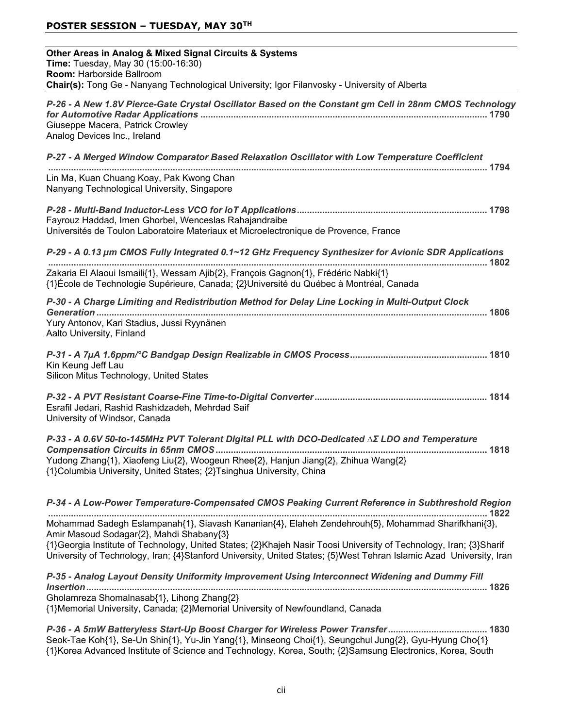## **POSTER SESSION – TUESDAY, MAY 30TH**

| Other Areas in Analog & Mixed Signal Circuits & Systems<br>Time: Tuesday, May 30 (15:00-16:30)<br>Room: Harborside Ballroom<br>Chair(s): Tong Ge - Nanyang Technological University; Igor Filanvosky - University of Alberta                                                                                                                                                                                                                                                                    |
|-------------------------------------------------------------------------------------------------------------------------------------------------------------------------------------------------------------------------------------------------------------------------------------------------------------------------------------------------------------------------------------------------------------------------------------------------------------------------------------------------|
| P-26 - A New 1.8V Pierce-Gate Crystal Oscillator Based on the Constant gm Cell in 28nm CMOS Technology<br>Giuseppe Macera, Patrick Crowley<br>Analog Devices Inc., Ireland                                                                                                                                                                                                                                                                                                                      |
| P-27 - A Merged Window Comparator Based Relaxation Oscillator with Low Temperature Coefficient                                                                                                                                                                                                                                                                                                                                                                                                  |
| Lin Ma, Kuan Chuang Koay, Pak Kwong Chan<br>Nanyang Technological University, Singapore                                                                                                                                                                                                                                                                                                                                                                                                         |
| Fayrouz Haddad, Imen Ghorbel, Wenceslas Rahajandraibe<br>Universités de Toulon Laboratoire Materiaux et Microelectronique de Provence, France                                                                                                                                                                                                                                                                                                                                                   |
| P-29 - A 0.13 µm CMOS Fully Integrated 0.1~12 GHz Frequency Synthesizer for Avionic SDR Applications                                                                                                                                                                                                                                                                                                                                                                                            |
| Zakaria El Alaoui Ismaili{1}, Wessam Ajib{2}, François Gagnon{1}, Frédéric Nabki{1}<br>{1}École de Technologie Supérieure, Canada; {2}Université du Québec à Montréal, Canada                                                                                                                                                                                                                                                                                                                   |
| P-30 - A Charge Limiting and Redistribution Method for Delay Line Locking in Multi-Output Clock<br>Yury Antonov, Kari Stadius, Jussi Ryynänen<br>Aalto University, Finland                                                                                                                                                                                                                                                                                                                      |
| Kin Keung Jeff Lau<br>Silicon Mitus Technology, United States                                                                                                                                                                                                                                                                                                                                                                                                                                   |
| Esrafil Jedari, Rashid Rashidzadeh, Mehrdad Saif<br>University of Windsor, Canada                                                                                                                                                                                                                                                                                                                                                                                                               |
| P-33 - A 0.6V 50-to-145MHz PVT Tolerant Digital PLL with DCO-Dedicated $\Delta \Sigma$ LDO and Temperature<br>Yudong Zhang{1}, Xiaofeng Liu{2}, Woogeun Rhee{2}, Hanjun Jiang{2}, Zhihua Wang{2}<br>{1}Columbia University, United States; {2}Tsinghua University, China                                                                                                                                                                                                                        |
| P-34 - A Low-Power Temperature-Compensated CMOS Peaking Current Reference in Subthreshold Region<br>Mohammad Sadegh Eslampanah{1}, Siavash Kananian{4}, Elaheh Zendehrouh{5}, Mohammad Sharifkhani{3},<br>Amir Masoud Sodagar{2}, Mahdi Shabany{3}<br>{1}Georgia Institute of Technology, United States; {2}Khajeh Nasir Toosi University of Technology, Iran; {3}Sharif<br>University of Technology, Iran; {4}Stanford University, United States; {5}West Tehran Islamic Azad University, Iran |
| P-35 - Analog Layout Density Uniformity Improvement Using Interconnect Widening and Dummy Fill<br>Gholamreza Shomalnasab{1}, Lihong Zhang{2}<br>{1}Memorial University, Canada; {2}Memorial University of Newfoundland, Canada                                                                                                                                                                                                                                                                  |
| P-36 - A 5mW Batteryless Start-Up Boost Charger for Wireless Power Transfer 1830<br>Seok-Tae Koh{1}, Se-Un Shin{1}, Yu-Jin Yang{1}, Minseong Choi{1}, Seungchul Jung{2}, Gyu-Hyung Cho{1}<br>{1}Korea Advanced Institute of Science and Technology, Korea, South; {2}Samsung Electronics, Korea, South                                                                                                                                                                                          |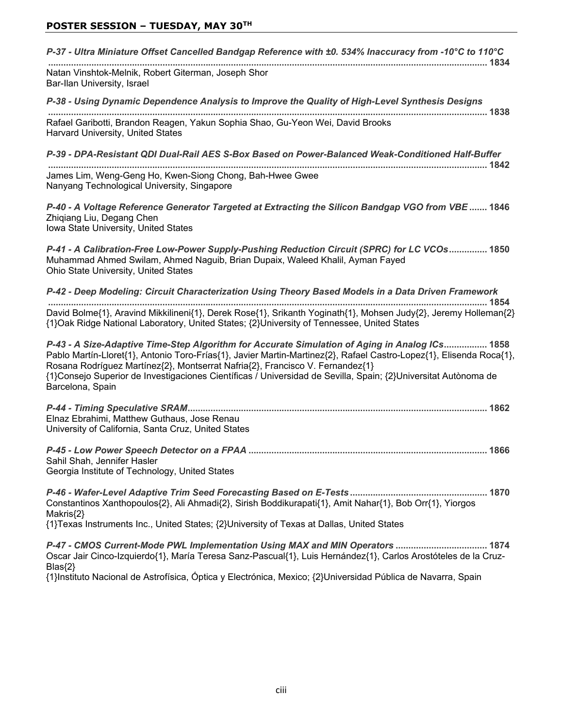| P-37 - Ultra Miniature Offset Cancelled Bandgap Reference with ±0. 534% Inaccuracy from -10°C to 110°C                                                                                                                                                                                                                                                                                                                                       |
|----------------------------------------------------------------------------------------------------------------------------------------------------------------------------------------------------------------------------------------------------------------------------------------------------------------------------------------------------------------------------------------------------------------------------------------------|
| Natan Vinshtok-Melnik, Robert Giterman, Joseph Shor<br>Bar-Ilan University, Israel                                                                                                                                                                                                                                                                                                                                                           |
| P-38 - Using Dynamic Dependence Analysis to Improve the Quality of High-Level Synthesis Designs                                                                                                                                                                                                                                                                                                                                              |
| Rafael Garibotti, Brandon Reagen, Yakun Sophia Shao, Gu-Yeon Wei, David Brooks<br>Harvard University, United States                                                                                                                                                                                                                                                                                                                          |
| P-39 - DPA-Resistant QDI Dual-Rail AES S-Box Based on Power-Balanced Weak-Conditioned Half-Buffer                                                                                                                                                                                                                                                                                                                                            |
| James Lim, Weng-Geng Ho, Kwen-Siong Chong, Bah-Hwee Gwee<br>Nanyang Technological University, Singapore                                                                                                                                                                                                                                                                                                                                      |
| P-40 - A Voltage Reference Generator Targeted at Extracting the Silicon Bandgap VGO from VBE  1846<br>Zhiqiang Liu, Degang Chen<br>Iowa State University, United States                                                                                                                                                                                                                                                                      |
| P-41 - A Calibration-Free Low-Power Supply-Pushing Reduction Circuit (SPRC) for LC VCOs 1850<br>Muhammad Ahmed Swilam, Ahmed Naguib, Brian Dupaix, Waleed Khalil, Ayman Fayed<br>Ohio State University, United States                                                                                                                                                                                                                        |
| P-42 - Deep Modeling: Circuit Characterization Using Theory Based Models in a Data Driven Framework                                                                                                                                                                                                                                                                                                                                          |
| David Bolme{1}, Aravind Mikkilineni{1}, Derek Rose{1}, Srikanth Yoginath{1}, Mohsen Judy{2}, Jeremy Holleman{2}<br>{1}Oak Ridge National Laboratory, United States; {2}University of Tennessee, United States                                                                                                                                                                                                                                |
| P-43 - A Size-Adaptive Time-Step Algorithm for Accurate Simulation of Aging in Analog ICs 1858<br>Pablo Martín-Lloret{1}, Antonio Toro-Frías{1}, Javier Martin-Martinez{2}, Rafael Castro-Lopez{1}, Elisenda Roca{1},<br>Rosana Rodríguez Martínez{2}, Montserrat Nafria{2}, Francisco V. Fernandez{1}<br>{1}Consejo Superior de Investigaciones Científicas / Universidad de Sevilla, Spain; {2}Universitat Autònoma de<br>Barcelona, Spain |
| Elnaz Ebrahimi, Matthew Guthaus, Jose Renau<br>University of California, Santa Cruz, United States                                                                                                                                                                                                                                                                                                                                           |
| 1866<br>Sahil Shah, Jennifer Hasler<br>Georgia Institute of Technology, United States                                                                                                                                                                                                                                                                                                                                                        |
| Constantinos Xanthopoulos{2}, Ali Ahmadi{2}, Sirish Boddikurapati{1}, Amit Nahar{1}, Bob Orr{1}, Yiorgos<br>Makris{2}                                                                                                                                                                                                                                                                                                                        |
| {1}Texas Instruments Inc., United States; {2}University of Texas at Dallas, United States                                                                                                                                                                                                                                                                                                                                                    |
| P-47 - CMOS Current-Mode PWL Implementation Using MAX and MIN Operators  1874<br>Oscar Jair Cinco-Izquierdo{1}, María Teresa Sanz-Pascual{1}, Luis Hernández{1}, Carlos Arostóteles de la Cruz-<br>$Blas{2}$                                                                                                                                                                                                                                 |
| {1}Instituto Nacional de Astrofísica, Óptica y Electrónica, Mexico; {2}Universidad Pública de Navarra, Spain                                                                                                                                                                                                                                                                                                                                 |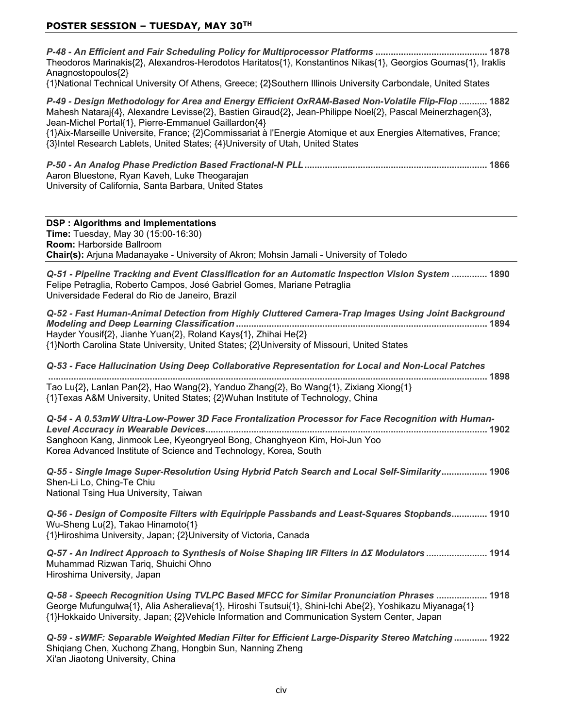*P-48 - An Efficient and Fair Scheduling Policy for Multiprocessor Platforms*  Theodoros Marinakis{2}, Alexandros-Herodotos Haritatos{1}, Konstantinos Nikas{1}, Georgios Goumas{1}, Iraklis Anagnostopoulos<sup>{2}</sup>

{1}National Technical University Of Athens, Greece; {2}Southern Illinois University Carbondale, United States

*P-49 - Design Methodology for Area and Energy Efficient OxRAM-Based Non-Volatile Flip-Flop*  Mahesh Nataraj $\{4\}$ , Alexandre Levisse $\{2\}$ , Bastien Giraud $\{2\}$ , Jean-Philippe Noel $\{2\}$ , Pascal Meinerzhagen $\{3\}$ , Jean-Michel Portal{1}, Pierre-Emmanuel Gaillardon{4} {1}Aix-Marseille Universite, France; {2}Commissariat à l'Energie Atomique et aux Energies Alternatives, France; {3}Intel Research Lablets, United States; {4}University of Utah, United States

*P-50 - An Analog Phase Prediction Based Fractional-N PLL* Aaron Bluestone, Ryan Kaveh, Luke Theogarajan University of California, Santa Barbara, United States

#### **DSP: Algorithms and Implementations**

**Time:** Tuesday, May 30 (15:00-16:30) **Room: Harborside Ballroom Chair(s):** Arjuna Madanayake - University of Akron; Mohsin Jamali - University of Toledo

*Q-51 - Pipeline Tracking and Event Classification for an Automatic Inspection Vision System*  Felipe Petraglia, Roberto Campos, José Gabriel Gomes, Mariane Petraglia Universidade Federal do Rio de Janeiro. Brazil

| Q-52 - Fast Human-Animal Detection from Highly Cluttered Camera-Trap Images Using Joint Background |  |
|----------------------------------------------------------------------------------------------------|--|
|                                                                                                    |  |
| Hayder Yousif{2}, Jianhe Yuan{2}, Roland Kays{1}, Zhihai He{2}                                     |  |
| {1}North Carolina State University, United States; {2}University of Missouri, United States        |  |

*Q-53 - Face Hallucination Using Deep Collaborative Representation for Local and Non-Local Patches* 

Tao Lu{2}, Lanlan Pan{2}, Hao Wang{2}, Yanduo Zhang{2}, Bo Wang{1}, Zixiang Xiong{1} {1}Texas A&M University, United States; {2}Wuhan Institute of Technology, China

*Q-54 - A 0.53mW Ultra-Low-Power 3D Face Frontalization Processor for Face Recognition with Human-Level Accuracy in Wearable Devices* Sanghoon Kang, Jinmook Lee, Kyeongryeol Bong, Changhyeon Kim, Hoi-Jun Yoo Korea Advanced Institute of Science and Technology, Korea, South

*Q-55 - Single Image Super-Resolution Using Hybrid Patch Search and Local Self-Similarity* Shen-Li Lo, Ching-Te Chiu National Tsing Hua University, Taiwan

*Q-56 - Design of Composite Filters with Equiripple Passbands and Least-Squares Stopbands* Wu-Sheng Lu{2}, Takao Hinamoto{1} {1}Hiroshima University, Japan; {2}University of Victoria, Canada

*Q-57 - An Indirect Approach to Synthesis of Noise Shaping IIR Filters in ΔΣ Modulators .......................* 1914 Muhammad Rizwan Tariq, Shuichi Ohno Hiroshima University, Japan

*Q-58 - Speech Recognition Using TVLPC Based MFCC for Similar Pronunciation Phrases*  George Mufungulwa{1}, Alia Asheralieva{1}, Hiroshi Tsutsui{1}, Shini-Ichi Abe{2}, Yoshikazu Miyanaga{1} {1}Hokkaido University, Japan; {2}Vehicle Information and Communication System Center, Japan

*Q-59 - sWMF: Separable Weighted Median Filter for Efficient Large-Disparity Stereo Matching*  Shigiang Chen, Xuchong Zhang, Hongbin Sun, Nanning Zheng Xi'an Jiaotong University, China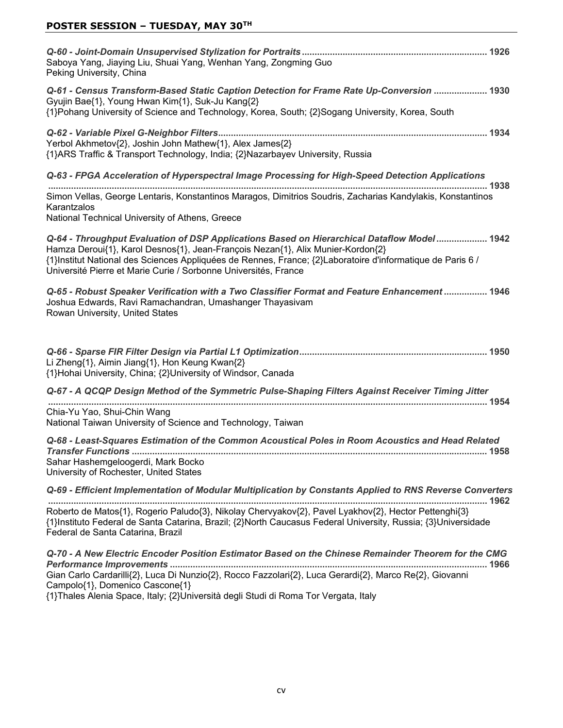| Saboya Yang, Jiaying Liu, Shuai Yang, Wenhan Yang, Zongming Guo<br>Peking University, China                                                                                                                                                                                                                                                                      |
|------------------------------------------------------------------------------------------------------------------------------------------------------------------------------------------------------------------------------------------------------------------------------------------------------------------------------------------------------------------|
| Q-61 - Census Transform-Based Static Caption Detection for Frame Rate Up-Conversion  1930<br>Gyujin Bae{1}, Young Hwan Kim{1}, Suk-Ju Kang{2}<br>{1}Pohang University of Science and Technology, Korea, South; {2}Sogang University, Korea, South                                                                                                                |
| Yerbol Akhmetov{2}, Joshin John Mathew{1}, Alex James{2}<br>{1}ARS Traffic & Transport Technology, India; {2}Nazarbayev University, Russia                                                                                                                                                                                                                       |
| Q-63 - FPGA Acceleration of Hyperspectral Image Processing for High-Speed Detection Applications                                                                                                                                                                                                                                                                 |
| Simon Vellas, George Lentaris, Konstantinos Maragos, Dimitrios Soudris, Zacharias Kandylakis, Konstantinos<br>Karantzalos<br>National Technical University of Athens, Greece                                                                                                                                                                                     |
| Q-64 - Throughput Evaluation of DSP Applications Based on Hierarchical Dataflow Model 1942<br>Hamza Deroui{1}, Karol Desnos{1}, Jean-François Nezan{1}, Alix Munier-Kordon{2}<br>{1} Institut National des Sciences Appliquées de Rennes, France; {2} Laboratoire d'informatique de Paris 6 /<br>Université Pierre et Marie Curie / Sorbonne Universités, France |
| Q-65 - Robust Speaker Verification with a Two Classifier Format and Feature Enhancement  1946<br>Joshua Edwards, Ravi Ramachandran, Umashanger Thayasivam<br>Rowan University, United States                                                                                                                                                                     |
| Li Zheng{1}, Aimin Jiang{1}, Hon Keung Kwan{2}<br>{1}Hohai University, China; {2}University of Windsor, Canada                                                                                                                                                                                                                                                   |
| Q-67 - A QCQP Design Method of the Symmetric Pulse-Shaping Filters Against Receiver Timing Jitter                                                                                                                                                                                                                                                                |
| Chia-Yu Yao, Shui-Chin Wang<br>National Taiwan University of Science and Technology, Taiwan                                                                                                                                                                                                                                                                      |
| Q-68 - Least-Squares Estimation of the Common Acoustical Poles in Room Acoustics and Head Related<br>Sahar Hashemgeloogerdi, Mark Bocko<br>University of Rochester, United States                                                                                                                                                                                |
| Q-69 - Efficient Implementation of Modular Multiplication by Constants Applied to RNS Reverse Converters                                                                                                                                                                                                                                                         |
| Roberto de Matos{1}, Rogerio Paludo{3}, Nikolay Chervyakov{2}, Pavel Lyakhov{2}, Hector Pettenghi{3}<br>{1}Instituto Federal de Santa Catarina, Brazil; {2}North Caucasus Federal University, Russia; {3}Universidade<br>Federal de Santa Catarina, Brazil                                                                                                       |
| Q-70 - A New Electric Encoder Position Estimator Based on the Chinese Remainder Theorem for the CMG<br>Gian Carlo Cardarilli{2}, Luca Di Nunzio{2}, Rocco Fazzolari{2}, Luca Gerardi{2}, Marco Re{2}, Giovanni<br>Campolo{1}, Domenico Cascone{1}                                                                                                                |

{1}Thales Alenia Space, Italy; {2}Università degli Studi di Roma Tor Vergata, Italy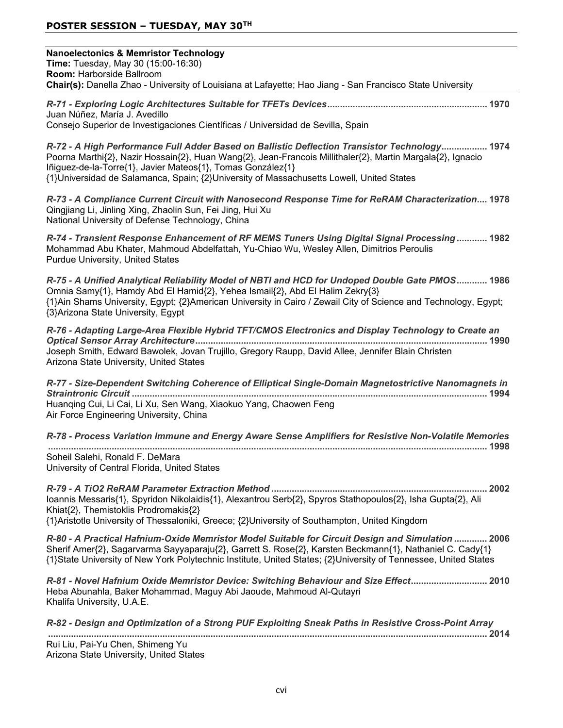| <b>Nanoelectonics &amp; Memristor Technology</b><br>Time: Tuesday, May 30 (15:00-16:30)<br>Room: Harborside Ballroom<br>Chair(s): Danella Zhao - University of Louisiana at Lafayette; Hao Jiang - San Francisco State University                                                                                                                                      |
|------------------------------------------------------------------------------------------------------------------------------------------------------------------------------------------------------------------------------------------------------------------------------------------------------------------------------------------------------------------------|
| Juan Núñez, María J. Avedillo<br>Consejo Superior de Investigaciones Científicas / Universidad de Sevilla, Spain                                                                                                                                                                                                                                                       |
| R-72 - A High Performance Full Adder Based on Ballistic Deflection Transistor Technology 1974<br>Poorna Marthi{2}, Nazir Hossain{2}, Huan Wang{2}, Jean-Francois Millithaler{2}, Martin Margala{2}, Ignacio<br>lñiguez-de-la-Torre{1}, Javier Mateos{1}, Tomas González{1}<br>{1}Universidad de Salamanca, Spain; {2}University of Massachusetts Lowell, United States |
| R-73 - A Compliance Current Circuit with Nanosecond Response Time for ReRAM Characterization 1978<br>Qingjiang Li, Jinling Xing, Zhaolin Sun, Fei Jing, Hui Xu<br>National University of Defense Technology, China                                                                                                                                                     |
| R-74 - Transient Response Enhancement of RF MEMS Tuners Using Digital Signal Processing 1982<br>Mohammad Abu Khater, Mahmoud Abdelfattah, Yu-Chiao Wu, Wesley Allen, Dimitrios Peroulis<br>Purdue University, United States                                                                                                                                            |
| R-75 - A Unified Analytical Reliability Model of NBTI and HCD for Undoped Double Gate PMOS 1986<br>Omnia Samy{1}, Hamdy Abd El Hamid{2}, Yehea Ismail{2}, Abd El Halim Zekry{3}<br>{1}Ain Shams University, Egypt; {2}American University in Cairo / Zewail City of Science and Technology, Egypt;<br>{3}Arizona State University, Egypt                               |
| R-76 - Adapting Large-Area Flexible Hybrid TFT/CMOS Electronics and Display Technology to Create an<br>Joseph Smith, Edward Bawolek, Jovan Trujillo, Gregory Raupp, David Allee, Jennifer Blain Christen<br>Arizona State University, United States                                                                                                                    |
| R-77 - Size-Dependent Switching Coherence of Elliptical Single-Domain Magnetostrictive Nanomagnets in<br>Huanqing Cui, Li Cai, Li Xu, Sen Wang, Xiaokuo Yang, Chaowen Feng<br>Air Force Engineering University, China                                                                                                                                                  |
| R-78 - Process Variation Immune and Energy Aware Sense Amplifiers for Resistive Non-Volatile Memories                                                                                                                                                                                                                                                                  |
| Soheil Salehi, Ronald F. DeMara<br>University of Central Florida, United States                                                                                                                                                                                                                                                                                        |
| Ioannis Messaris{1}, Spyridon Nikolaidis{1}, Alexantrou Serb{2}, Spyros Stathopoulos{2}, Isha Gupta{2}, Ali<br>Khiat{2}, Themistoklis Prodromakis{2}<br>{1}Aristotle University of Thessaloniki, Greece; {2}University of Southampton, United Kingdom                                                                                                                  |
| R-80 - A Practical Hafnium-Oxide Memristor Model Suitable for Circuit Design and Simulation  2006<br>Sherif Amer{2}, Sagarvarma Sayyaparaju{2}, Garrett S. Rose{2}, Karsten Beckmann{1}, Nathaniel C. Cady{1}<br>{1}State University of New York Polytechnic Institute, United States; {2}University of Tennessee, United States                                       |
| R-81 - Novel Hafnium Oxide Memristor Device: Switching Behaviour and Size Effect 2010<br>Heba Abunahla, Baker Mohammad, Maguy Abi Jaoude, Mahmoud Al-Qutayri<br>Khalifa University, U.A.E.                                                                                                                                                                             |
| R-82 - Design and Optimization of a Strong PUF Exploiting Sneak Paths in Resistive Cross-Point Array                                                                                                                                                                                                                                                                   |
| Rui Liu, Pai-Yu Chen, Shimeng Yu<br>Arizona State University, United States                                                                                                                                                                                                                                                                                            |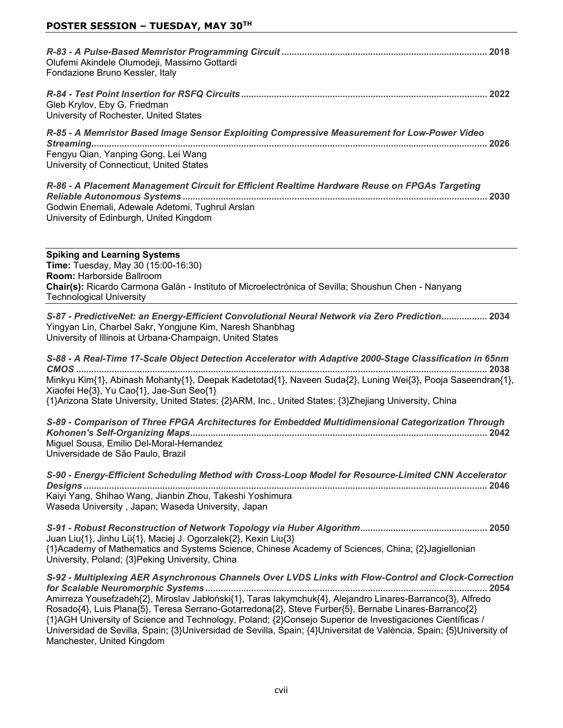| Olufemi Akindele Olumodeji, Massimo Gottardi<br>Fondazione Bruno Kessler, Italy                                                                                                                      |
|------------------------------------------------------------------------------------------------------------------------------------------------------------------------------------------------------|
| Gleb Krylov, Eby G. Friedman<br>University of Rochester, United States                                                                                                                               |
| R-85 - A Memristor Based Image Sensor Exploiting Compressive Measurement for Low-Power Video<br>2026<br>Fengyu Qian, Yanping Gong, Lei Wang<br>University of Connecticut, United States              |
| R-86 - A Placement Management Circuit for Efficient Realtime Hardware Reuse on FPGAs Targeting<br>2030<br>Godwin Enemali, Adewale Adetomi, Tughrul Arslan<br>University of Edinburgh, United Kingdom |

**Spiking and Learning Systems Time:** Tuesday, May 30 (15:00-16:30) **Room: Harborside Ballroom Chair(s):** Ricardo Carmona Galán - Instituto of Microelectrónica of Sevilla; Shoushun Chen - Nanyang Technological University

*S-87 - PredictiveNet: an Energy-Efficient Convolutional Neural Network via Zero Prediction* Yingyan Lin, Charbel Sakr, Yongjune Kim, Naresh Shanbhag. University of Illinois at Urbana-Champaign, United States

*S-88 - A Real-Time 17-Scale Object Detection Accelerator with Adaptive 2000-Stage Classification in 65nm CMOS*  Minkyu Kim{1}, Abinash Mohanty{1}, Deepak Kadetotad{1}, Naveen Suda{2}, Luning Wei{3}, Pooja Saseendran{1},  $Xi$ ofei He $\{3\}$ , Yu Cao $\{1\}$ , Jae-Sun Seo $\{1\}$  $\{1\}$ Arizona State University, United States:  $\{2\}$ ARM, Inc., United States:  $\{3\}$ Zhejiang University, China

*S-89 - Comparison of Three FPGA Architectures for Embedded Multidimensional Categorization Through Kohonen's Self-Organizing Maps* Miquel Sousa, Emilio Del-Moral-Hernandez Universidade de São Paulo, Brazil

*S-90 - Energy-Efficient Scheduling Method with Cross-Loop Model for Resource-Limited CNN Accelerator Designs*  Kaiyi Yang, Shihao Wang, Jianbin Zhou, Takeshi Yoshimura Waseda University, Japan: Waseda University, Japan

*S-91 - Robust Reconstruction of Network Topology via Huber Algorithm* Juan Liu{1}, Jinhu Lü{1}, Maciej J. Ogorzalek{2}, Kexin Liu{3} {1}Academy of Mathematics and Systems Science, Chinese Academy of Sciences, China; {2}Jagiellonian University, Poland; {3}Peking University, China

*S-92 - Multiplexing AER Asynchronous Channels Over LVDS Links with Flow-Control and Clock-Correction for Scalable Neuromorphic Systems*  Amirreza Yousefzadeh{2}, Miroslav Jabłoński{1}, Taras lakymchuk{4}, Alejandro Linares-Barranco{3}, Alfredo Rosado{4}, Luis Plana{5}, Teresa Serrano-Gotarredona{2}, Steve Furber{5}, Bernabe Linares-Barranco{2} {1}AGH University of Science and Technology, Poland; {2}Consejo Superior de Investigaciones Científicas / Universidad de Sevilla, Spain; {3}Universidad de Sevilla, Spain; {4}Universitat de València, Spain; {5}University of Manchester, United Kingdom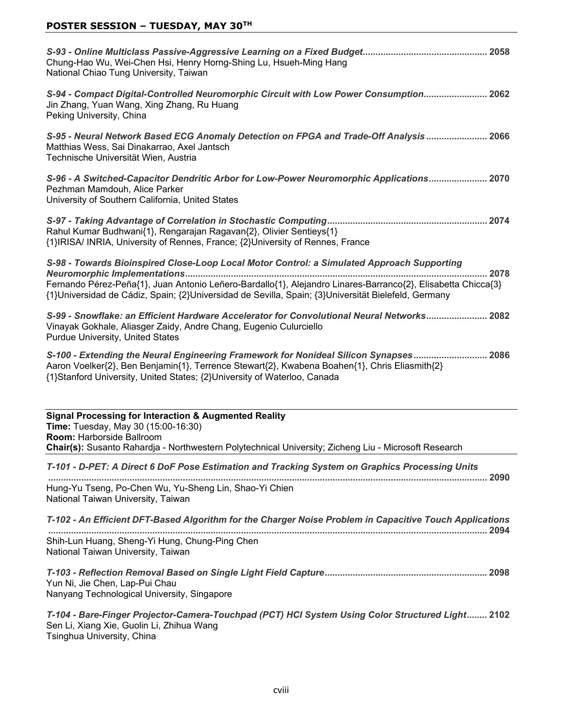| Chung-Hao Wu, Wei-Chen Hsi, Henry Horng-Shing Lu, Hsueh-Ming Hang<br>National Chiao Tung University, Taiwan                                                                                                                                                                                                               |
|---------------------------------------------------------------------------------------------------------------------------------------------------------------------------------------------------------------------------------------------------------------------------------------------------------------------------|
| S-94 - Compact Digital-Controlled Neuromorphic Circuit with Low Power Consumption 2062<br>Jin Zhang, Yuan Wang, Xing Zhang, Ru Huang<br>Peking University, China                                                                                                                                                          |
| S-95 - Neural Network Based ECG Anomaly Detection on FPGA and Trade-Off Analysis  2066<br>Matthias Wess, Sai Dinakarrao, Axel Jantsch<br>Technische Universität Wien, Austria                                                                                                                                             |
| S-96 - A Switched-Capacitor Dendritic Arbor for Low-Power Neuromorphic Applications 2070<br>Pezhman Mamdouh, Alice Parker<br>University of Southern California, United States                                                                                                                                             |
| Rahul Kumar Budhwani{1}, Rengarajan Ragavan{2}, Olivier Sentieys{1}<br>{1}IRISA/ INRIA, University of Rennes, France; {2}University of Rennes, France                                                                                                                                                                     |
| S-98 - Towards Bioinspired Close-Loop Local Motor Control: a Simulated Approach Supporting<br>2078<br>Fernando Pérez-Peña{1}, Juan Antonio Leñero-Bardallo{1}, Alejandro Linares-Barranco{2}, Elisabetta Chicca{3}<br>{1}Universidad de Cádiz, Spain; {2}Universidad de Sevilla, Spain; {3}Universität Bielefeld, Germany |
| S-99 - Snowflake: an Efficient Hardware Accelerator for Convolutional Neural Networks 2082<br>Vinayak Gokhale, Aliasger Zaidy, Andre Chang, Eugenio Culurciello<br>Purdue University, United States                                                                                                                       |
| S-100 - Extending the Neural Engineering Framework for Nonideal Silicon Synapses 2086<br>Aaron Voelker{2}, Ben Benjamin{1}, Terrence Stewart{2}, Kwabena Boahen{1}, Chris Eliasmith{2}<br>{1}Stanford University, United States; {2}University of Waterloo, Canada                                                        |
| <b>Signal Processing for Interaction &amp; Augmented Reality</b>                                                                                                                                                                                                                                                          |
| Time: Tuesday, May 30 (15:00-16:30)                                                                                                                                                                                                                                                                                       |
| Room: Harborside Ballroom<br>Chair(s): Susanto Rahardja - Northwestern Polytechnical University; Zicheng Liu - Microsoft Research                                                                                                                                                                                         |
| T-101 - D-PET: A Direct 6 DoF Pose Estimation and Tracking System on Graphics Processing Units                                                                                                                                                                                                                            |
| Hung-Yu Tseng, Po-Chen Wu, Yu-Sheng Lin, Shao-Yi Chien<br>National Taiwan University, Taiwan                                                                                                                                                                                                                              |
| T-102 - An Efficient DFT-Based Algorithm for the Charger Noise Problem in Capacitive Touch Applications                                                                                                                                                                                                                   |
| Shih-Lun Huang, Sheng-Yi Hung, Chung-Ping Chen<br>National Taiwan University, Taiwan                                                                                                                                                                                                                                      |
| Yun Ni, Jie Chen, Lap-Pui Chau<br>Nanyang Technological University, Singapore                                                                                                                                                                                                                                             |
| T-104 - Bare-Finger Projector-Camera-Touchpad (PCT) HCI System Using Color Structured Light 2102<br>Sen Li, Xiang Xie, Guolin Li, Zhihua Wang<br>Tsinghua University, China                                                                                                                                               |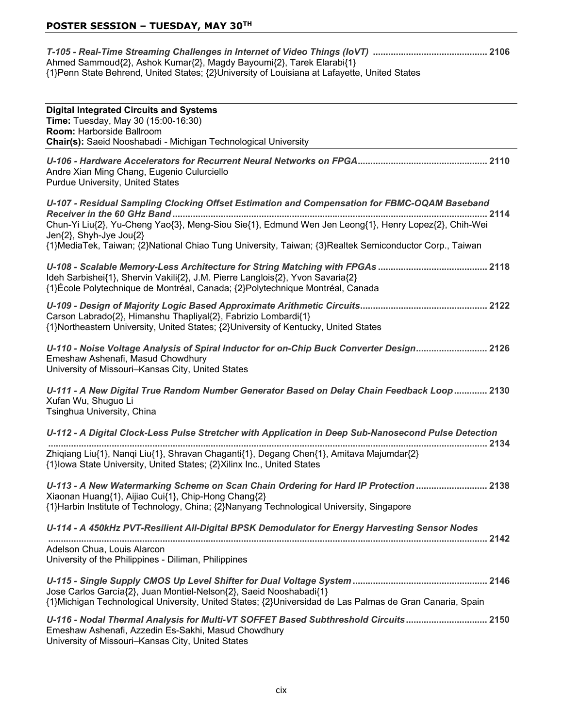| Ahmed Sammoud{2}, Ashok Kumar{2}, Magdy Bayoumi{2}, Tarek Elarabi{1}                         |  |
|----------------------------------------------------------------------------------------------|--|
| {1}Penn State Behrend, United States; {2}University of Louisiana at Lafayette, United States |  |

| <b>Digital Integrated Circuits and Systems</b>                                                                                                                                                                                           |
|------------------------------------------------------------------------------------------------------------------------------------------------------------------------------------------------------------------------------------------|
| Time: Tuesday, May 30 (15:00-16:30)                                                                                                                                                                                                      |
| Room: Harborside Ballroom                                                                                                                                                                                                                |
| Chair(s): Saeid Nooshabadi - Michigan Technological University                                                                                                                                                                           |
| Andre Xian Ming Chang, Eugenio Culurciello<br><b>Purdue University, United States</b>                                                                                                                                                    |
| U-107 - Residual Sampling Clocking Offset Estimation and Compensation for FBMC-OQAM Baseband                                                                                                                                             |
| Chun-Yi Liu{2}, Yu-Cheng Yao{3}, Meng-Siou Sie{1}, Edmund Wen Jen Leong{1}, Henry Lopez{2}, Chih-Wei<br>Jen{2}, Shyh-Jye Jou{2}                                                                                                          |
| {1}MediaTek, Taiwan; {2}National Chiao Tung University, Taiwan; {3}Realtek Semiconductor Corp., Taiwan                                                                                                                                   |
| Ideh Sarbishei{1}, Shervin Vakili{2}, J.M. Pierre Langlois{2}, Yvon Savaria{2}<br>{1}École Polytechnique de Montréal, Canada; {2}Polytechnique Montréal, Canada                                                                          |
| Carson Labrado{2}, Himanshu Thapliyal{2}, Fabrizio Lombardi{1}<br>{1}Northeastern University, United States; {2}University of Kentucky, United States                                                                                    |
| U-110 - Noise Voltage Analysis of Spiral Inductor for on-Chip Buck Converter Design 2126<br>Emeshaw Ashenafi, Masud Chowdhury<br>University of Missouri-Kansas City, United States                                                       |
| U-111 - A New Digital True Random Number Generator Based on Delay Chain Feedback Loop 2130<br>Xufan Wu, Shuguo Li<br>Tsinghua University, China                                                                                          |
| U-112 - A Digital Clock-Less Pulse Stretcher with Application in Deep Sub-Nanosecond Pulse Detection                                                                                                                                     |
| Zhiqiang Liu{1}, Nanqi Liu{1}, Shravan Chaganti{1}, Degang Chen{1}, Amitava Majumdar{2}<br>{1} lowa State University, United States; {2} Xilinx Inc., United States                                                                      |
| U-113 - A New Watermarking Scheme on Scan Chain Ordering for Hard IP Protection  2138<br>Xiaonan Huang{1}, Aijiao Cui{1}, Chip-Hong Chang{2}<br>{1}Harbin Institute of Technology, China; {2}Nanyang Technological University, Singapore |
| U-114 - A 450kHz PVT-Resilient All-Digital BPSK Demodulator for Energy Harvesting Sensor Nodes                                                                                                                                           |
| Adelson Chua, Louis Alarcon<br>University of the Philippines - Diliman, Philippines                                                                                                                                                      |
| Jose Carlos García{2}, Juan Montiel-Nelson{2}, Saeid Nooshabadi{1}<br>{1}Michigan Technological University, United States; {2}Universidad de Las Palmas de Gran Canaria, Spain                                                           |
| U-116 - Nodal Thermal Analysis for Multi-VT SOFFET Based Subthreshold Circuits 2150<br>Emeshaw Ashenafi, Azzedin Es-Sakhi, Masud Chowdhury<br>University of Missouri-Kansas City, United States                                          |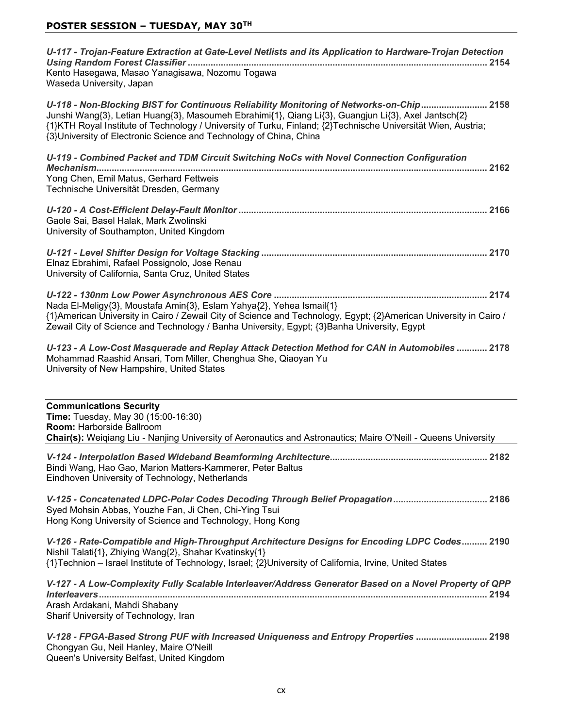| U-117 - Trojan-Feature Extraction at Gate-Level Netlists and its Application to Hardware-Trojan Detection<br>Kento Hasegawa, Masao Yanagisawa, Nozomu Togawa                                                                                                                                                                                                                           |
|----------------------------------------------------------------------------------------------------------------------------------------------------------------------------------------------------------------------------------------------------------------------------------------------------------------------------------------------------------------------------------------|
| Waseda University, Japan                                                                                                                                                                                                                                                                                                                                                               |
| U-118 - Non-Blocking BIST for Continuous Reliability Monitoring of Networks-on-Chip 2158<br>Junshi Wang{3}, Letian Huang{3}, Masoumeh Ebrahimi{1}, Qiang Li{3}, Guangjun Li{3}, Axel Jantsch{2}<br>{1}KTH Royal Institute of Technology / University of Turku, Finland; {2}Technische Universität Wien, Austria;<br>{3}University of Electronic Science and Technology of China, China |
| U-119 - Combined Packet and TDM Circuit Switching NoCs with Novel Connection Configuration<br>Yong Chen, Emil Matus, Gerhard Fettweis<br>Technische Universität Dresden, Germany                                                                                                                                                                                                       |
| Gaole Sai, Basel Halak, Mark Zwolinski<br>University of Southampton, United Kingdom                                                                                                                                                                                                                                                                                                    |
| Elnaz Ebrahimi, Rafael Possignolo, Jose Renau<br>University of California, Santa Cruz, United States                                                                                                                                                                                                                                                                                   |
| Nada El-Meligy{3}, Moustafa Amin{3}, Eslam Yahya{2}, Yehea Ismail{1}<br>{1}American University in Cairo / Zewail City of Science and Technology, Egypt; {2}American University in Cairo /<br>Zewail City of Science and Technology / Banha University, Egypt; {3}Banha University, Egypt                                                                                               |
| U-123 - A Low-Cost Masquerade and Replay Attack Detection Method for CAN in Automobiles  2178<br>Mohammad Raashid Ansari, Tom Miller, Chenghua She, Qiaoyan Yu<br>University of New Hampshire, United States                                                                                                                                                                           |
| <b>Communications Security</b><br>Time: Tuesday, May 30 (15:00-16:30)<br>Room: Harborside Ballroom<br>Chair(s): Weigiang Liu - Nanjing University of Aeronautics and Astronautics; Maire O'Neill - Queens University                                                                                                                                                                   |
| Bindi Wang, Hao Gao, Marion Matters-Kammerer, Peter Baltus<br>Eindhoven University of Technology, Netherlands                                                                                                                                                                                                                                                                          |
| Syed Mohsin Abbas, Youzhe Fan, Ji Chen, Chi-Ying Tsui<br>Hong Kong University of Science and Technology, Hong Kong                                                                                                                                                                                                                                                                     |
| V-126 - Rate-Compatible and High-Throughput Architecture Designs for Encoding LDPC Codes 2190<br>Nishil Talati{1}, Zhiying Wang{2}, Shahar Kvatinsky{1}<br>{1}Technion - Israel Institute of Technology, Israel; {2}University of California, Irvine, United States                                                                                                                    |
| V-127 - A Low-Complexity Fully Scalable Interleaver/Address Generator Based on a Novel Property of QPP<br>Arash Ardakani, Mahdi Shabany<br>Sharif University of Technology, Iran                                                                                                                                                                                                       |

*V-128 - FPGA-Based Strong PUF with Increased Uniqueness and Entropy Properties*  Chongyan Gu, Neil Hanley, Maire O'Neill Queen's University Belfast, United Kingdom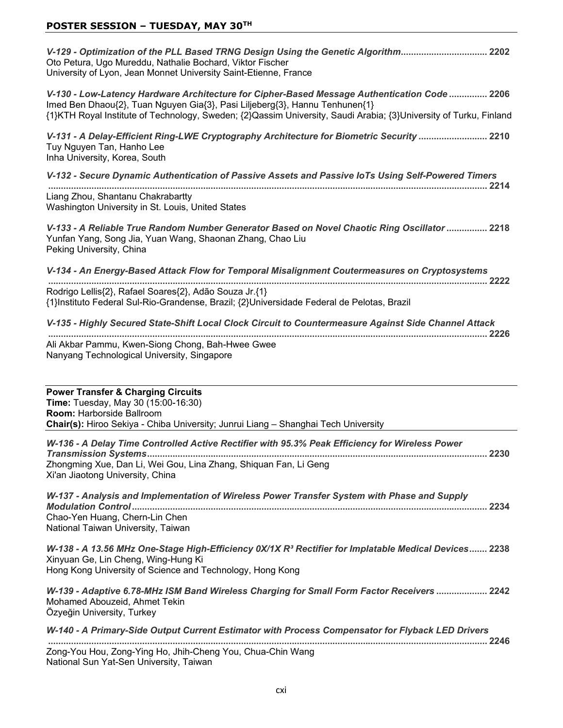### **POSTER SESSION – TUESDAY, MAY 30TH**

*V-129 - Optimization of the PLL Based TRNG Design Using the Genetic Algorithm* Oto Petura, Ugo Mureddu, Nathalie Bochard, Viktor Fischer University of Lyon, Jean Monnet University Saint-Etienne, France

*V-130 - Low-Latency Hardware Architecture for Cipher-Based Message Authentication Code*  Imed Ben Dhaou{2}, Tuan Nguyen Gia{3}, Pasi Liljeberg{3}, Hannu Tenhunen{1} {1}KTH Royal Institute of Technology, Sweden; {2}Qassim University, Saudi Arabia; {3}University of Turku, Finland

*V-131 - A Delay-Efficient Ring-LWE Cryptography Architecture for Biometric Security*  Tuy Nguyen Tan, Hanho Lee Inha University, Korea, South

*V-132 - Secure Dynamic Authentication of Passive Assets and Passive IoTs Using Self-Powered Timers*  Liang Zhou, Shantanu Chakrabartty

Washington University in St. Louis, United States

*V-133 - A Reliable True Random Number Generator Based on Novel Chaotic Ring Oscillator*  Yunfan Yang, Song Jia, Yuan Wang, Shaonan Zhang, Chao Liu Peking University, China

*V-134 - An Energy-Based Attack Flow for Temporal Misalignment Coutermeasures on Cryptosystems*  Rodrigo Lellis{2}, Rafael Soares{2}, Adão Souza Jr.{1} {1}Instituto Federal Sul-Rio-Grandense, Brazil; {2}Universidade Federal de Pelotas, Brazil

*V-135 - Highly Secured State-Shift Local Clock Circuit to Countermeasure Against Side Channel Attack*  Ali Akbar Pammu, Kwen-Siong Chong, Bah-Hwee Gwee Nanyang Technological University, Singapore

| <b>Power Transfer &amp; Charging Circuits</b><br><b>Time:</b> Tuesday, May 30 (15:00-16:30)<br><b>Room: Harborside Ballroom</b><br>Chair(s): Hiroo Sekiya - Chiba University; Junrui Liang - Shanghai Tech University |
|-----------------------------------------------------------------------------------------------------------------------------------------------------------------------------------------------------------------------|
| W-136 - A Delay Time Controlled Active Rectifier with 95.3% Peak Efficiency for Wireless Power<br>Zhongming Xue, Dan Li, Wei Gou, Lina Zhang, Shiquan Fan, Li Geng<br>Xi'an Jiaotong University, China                |
| W-137 - Analysis and Implementation of Wireless Power Transfer System with Phase and Supply<br>Chao-Yen Huang, Chern-Lin Chen<br>National Taiwan University, Taiwan                                                   |
| W-138 - A 13.56 MHz One-Stage High-Efficiency 0X/1X $R^3$ Rectifier for Implatable Medical Devices 2238<br>Xinyuan Ge, Lin Cheng, Wing-Hung Ki<br>Hong Kong University of Science and Technology, Hong Kong           |
| W-139 - Adaptive 6.78-MHz ISM Band Wireless Charging for Small Form Factor Receivers  2242<br>Mohamed Abouzeid, Ahmet Tekin<br>Özyeğin University, Turkey                                                             |
| W-140 - A Primary-Side Output Current Estimator with Process Compensator for Flyback LED Drivers<br>2246                                                                                                              |
| Zong-You Hou, Zong-Ying Ho, Jhih-Cheng You, Chua-Chin Wang<br>National Sun Yat-Sen University, Taiwan                                                                                                                 |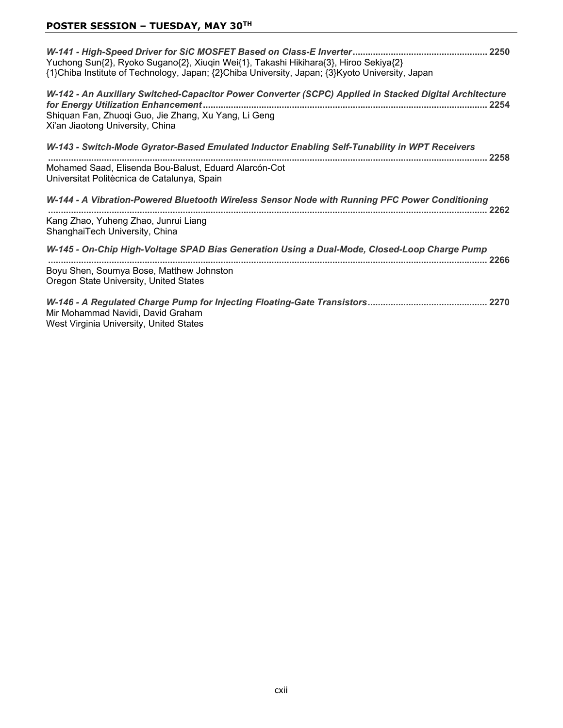## **POSTER SESSION – TUESDAY, MAY 30TH**

| Yuchong Sun{2}, Ryoko Sugano{2}, Xiuqin Wei{1}, Takashi Hikihara{3}, Hiroo Sekiya{2}<br>{1}Chiba Institute of Technology, Japan; {2}Chiba University, Japan; {3}Kyoto University, Japan            |
|----------------------------------------------------------------------------------------------------------------------------------------------------------------------------------------------------|
| W-142 - An Auxiliary Switched-Capacitor Power Converter (SCPC) Applied in Stacked Digital Architecture<br>Shiquan Fan, Zhuoqi Guo, Jie Zhang, Xu Yang, Li Geng<br>Xi'an Jiaotong University, China |
| W-143 - Switch-Mode Gyrator-Based Emulated Inductor Enabling Self-Tunability in WPT Receivers<br>$\ldots$ 2258                                                                                     |
| Mohamed Saad, Elisenda Bou-Balust, Eduard Alarcón-Cot<br>Universitat Politècnica de Catalunya, Spain                                                                                               |
| W-144 - A Vibration-Powered Bluetooth Wireless Sensor Node with Running PFC Power Conditioning<br>2262                                                                                             |
| Kang Zhao, Yuheng Zhao, Junrui Liang<br>ShanghaiTech University, China                                                                                                                             |
| W-145 - On-Chip High-Voltage SPAD Bias Generation Using a Dual-Mode, Closed-Loop Charge Pump                                                                                                       |
| Boyu Shen, Soumya Bose, Matthew Johnston<br>Oregon State University, United States                                                                                                                 |
| Mir Mohammad Navidi, David Graham<br>West Virginia University, United States                                                                                                                       |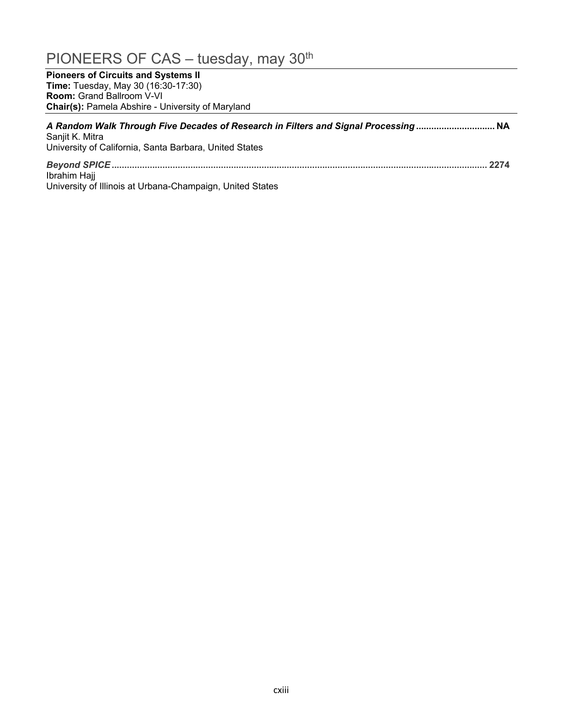## PIONEERS OF CAS - tuesday, may 30<sup>th</sup>

**Pioneers of Circuits and Systems II Time:** Tuesday, May 30 (16:30-17:30) **Room: Grand Ballroom V-VI Chair(s):** Pamela Abshire - University of Maryland

| A Random Walk Through Five Decades of Research in Filters and Signal Processing<br>Sanjit K. Mitra<br>University of California, Santa Barbara, United States |  |
|--------------------------------------------------------------------------------------------------------------------------------------------------------------|--|
| Ibrahim Hajj                                                                                                                                                 |  |

University of Illinois at Urbana-Champaign, United States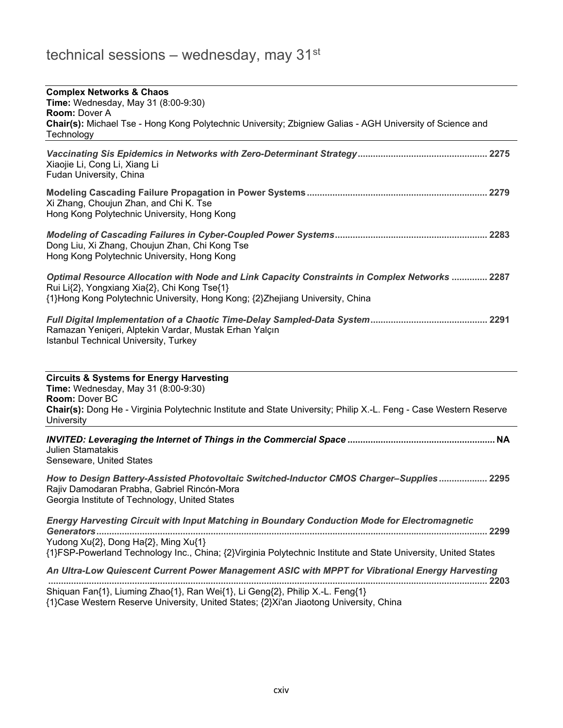| <b>Complex Networks &amp; Chaos</b><br>Time: Wednesday, May 31 (8:00-9:30)<br><b>Room: Dover A</b><br>Chair(s): Michael Tse - Hong Kong Polytechnic University; Zbigniew Galias - AGH University of Science and<br>Technology                   |
|-------------------------------------------------------------------------------------------------------------------------------------------------------------------------------------------------------------------------------------------------|
| Xiaojie Li, Cong Li, Xiang Li<br>Fudan University, China                                                                                                                                                                                        |
| Xi Zhang, Choujun Zhan, and Chi K. Tse<br>Hong Kong Polytechnic University, Hong Kong                                                                                                                                                           |
| Dong Liu, Xi Zhang, Choujun Zhan, Chi Kong Tse<br>Hong Kong Polytechnic University, Hong Kong                                                                                                                                                   |
| <b>Optimal Resource Allocation with Node and Link Capacity Constraints in Complex Networks  2287</b><br>Rui Li{2}, Yongxiang Xia{2}, Chi Kong Tse{1}<br>{1}Hong Kong Polytechnic University, Hong Kong; {2}Zhejiang University, China           |
| Ramazan Yeniçeri, Alptekin Vardar, Mustak Erhan Yalçın<br>Istanbul Technical University, Turkey                                                                                                                                                 |
| <b>Circuits &amp; Systems for Energy Harvesting</b><br>Time: Wednesday, May 31 (8:00-9:30)<br>Room: Dover BC<br>Chair(s): Dong He - Virginia Polytechnic Institute and State University; Philip X.-L. Feng - Case Western Reserve<br>University |
| <b>Julien Stamatakis</b><br>Senseware, United States                                                                                                                                                                                            |
| How to Design Battery-Assisted Photovoltaic Switched-Inductor CMOS Charger-Supplies 2295<br>Rajiv Damodaran Prabha, Gabriel Rincón-Mora<br>Georgia Institute of Technology, United States                                                       |
| Energy Harvesting Circuit with Input Matching in Boundary Conduction Mode for Electromagnetic                                                                                                                                                   |
| Yudong Xu{2}, Dong Ha{2}, Ming Xu{1}<br>{1}FSP-Powerland Technology Inc., China; {2}Virginia Polytechnic Institute and State University, United States                                                                                          |
| An Ultra-Low Quiescent Current Power Management ASIC with MPPT for Vibrational Energy Harvesting                                                                                                                                                |
| Shiquan Fan{1}, Liuming Zhao{1}, Ran Wei{1}, Li Geng{2}, Philip X.-L. Feng{1}<br>{1}Case Western Reserve University, United States; {2}Xi'an Jiaotong University, China                                                                         |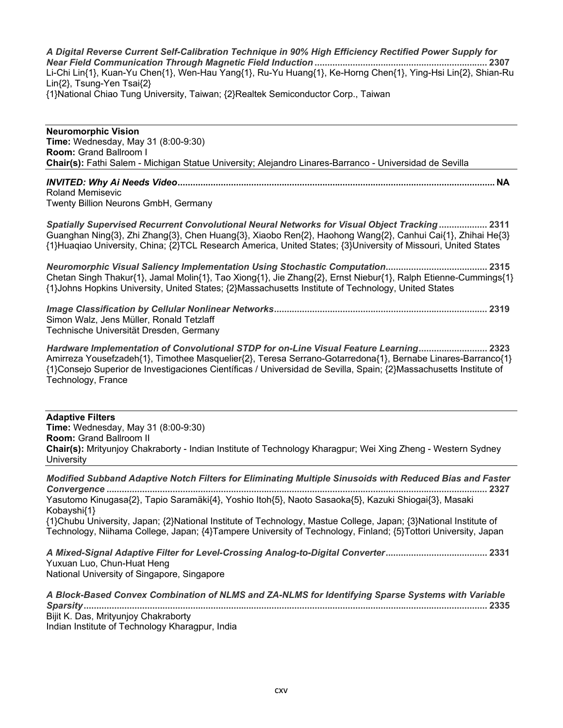*A Digital Reverse Current Self-Calibration Technique in 90% High Efficiency Rectified Power Supply for Near Field Communication Through Magnetic Field Induction*  Li-Chi Lin{1}, Kuan-Yu Chen{1}, Wen-Hau Yang{1}, Ru-Yu Huang{1}, Ke-Horng Chen{1}, Ying-Hsi Lin{2}, Shian-Ru Lin{2}, Tsung-Yen Tsai{2} {1}National Chiao Tung University, Taiwan; {2}Realtek Semiconductor Corp., Taiwan

**Neuromorphic Vision Time:** Wednesday, May 31 (8:00-9:30) **Room: Grand Ballroom I Chair(s):** Fathi Salem - Michigan Statue University; Alejandro Linares-Barranco - Universidad de Sevilla

## *INVITED: Why Ai Needs Video* **1\$** Roland Memisevic

Twenty Billion Neurons GmbH, Germany

*Spatially Supervised Recurrent Convolutional Neural Networks for Visual Object Tracking* Guanghan Ning{3}, Zhi Zhang{3}, Chen Huang{3}, Xiaobo Ren{2}, Haohong Wang{2}, Canhui Cai{1}, Zhihai He{3} {1}Huaqiao University, China; {2}TCL Research America, United States; {3}University of Missouri, United States

*Neuromorphic Visual Saliency Implementation Using Stochastic Computation* Chetan Singh Thakur{1}, Jamal Molin{1}, Tao Xiong{1}, Jie Zhang{2}, Ernst Niebur{1}, Ralph Etienne-Cummings{1} {1}Johns Hopkins University, United States; {2}Massachusetts Institute of Technology, United States

*Image Classification by Cellular Nonlinear Networks* Simon Walz, Jens Müller, Ronald Tetzlaff Technische Universität Dresden, Germany

*Hardware Implementation of Convolutional STDP for on-Line Visual Feature Learning*  $Amirreza Yousefzadeh{1}$ , Timothee Masquelier{2}, Teresa Serrano-Gotarredona{1}, Bernabe Linares-Barranco{1}  $\{1\}$ Consejo Superior de Investigaciones Científicas / Universidad de Sevilla, Spain;  $\{2\}$ Massachusetts Institute of Technology, France

**Adaptive Filters Time:** Wednesday, May 31 (8:00-9:30) **Room: Grand Ballroom II Chair(s):** Mrityunjoy Chakraborty - Indian Institute of Technology Kharagpur; Wei Xing Zheng - Western Sydney University

*Modified Subband Adaptive Notch Filters for Eliminating Multiple Sinusoids with Reduced Bias and Faster Convergence*  Yasutomo Kinugasa{2}, Tapio Saramäki{4}, Yoshio Itoh{5}, Naoto Sasaoka{5}, Kazuki Shiogai{3}, Masaki Kobayshi{1} {1}Chubu University, Japan; {2}National Institute of Technology, Mastue College, Japan; {3}National Institute of Technology, Niihama College, Japan; {4}Tampere University of Technology, Finland; {5}Tottori University, Japan *A Mixed-Signal Adaptive Filter for Level-Crossing Analog-to-Digital Converter*

Yuxuan Luo, Chun-Huat Heng National University of Singapore, Singapore

| A Block-Based Convex Combination of NLMS and ZA-NLMS for Identifying Sparse Systems with Variable |
|---------------------------------------------------------------------------------------------------|
|                                                                                                   |
| Bijit K. Das, Mrityunjoy Chakraborty                                                              |
| Indian Institute of Technology Kharagpur, India                                                   |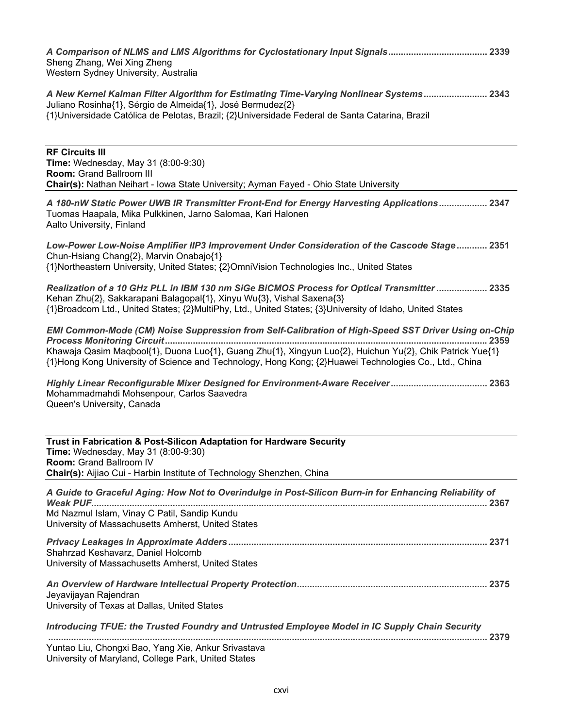| Sheng Zhang, Wei Xing Zheng<br>Western Sydney University, Australia                                                                                                                                                                                                                                                      |
|--------------------------------------------------------------------------------------------------------------------------------------------------------------------------------------------------------------------------------------------------------------------------------------------------------------------------|
| A New Kernel Kalman Filter Algorithm for Estimating Time-Varying Nonlinear Systems 2343<br>Juliano Rosinha{1}, Sérgio de Almeida{1}, José Bermudez{2}<br>{1}Universidade Católica de Pelotas, Brazil; {2}Universidade Federal de Santa Catarina, Brazil                                                                  |
| <b>RF Circuits III</b><br><b>Time:</b> Wednesday, May 31 (8:00-9:30)<br>Room: Grand Ballroom III<br>Chair(s): Nathan Neihart - Iowa State University; Ayman Fayed - Ohio State University                                                                                                                                |
| A 180-nW Static Power UWB IR Transmitter Front-End for Energy Harvesting Applications 2347<br>Tuomas Haapala, Mika Pulkkinen, Jarno Salomaa, Kari Halonen<br>Aalto University, Finland                                                                                                                                   |
| Low-Power Low-Noise Amplifier IIP3 Improvement Under Consideration of the Cascode Stage 2351<br>Chun-Hsiang Chang{2}, Marvin Onabajo{1}<br>{1}Northeastern University, United States; {2}OmniVision Technologies Inc., United States                                                                                     |
| Realization of a 10 GHz PLL in IBM 130 nm SiGe BiCMOS Process for Optical Transmitter  2335<br>Kehan Zhu{2}, Sakkarapani Balagopal{1}, Xinyu Wu{3}, Vishal Saxena{3}<br>{1}Broadcom Ltd., United States; {2}MultiPhy, Ltd., United States; {3}University of Idaho, United States                                         |
| EMI Common-Mode (CM) Noise Suppression from Self-Calibration of High-Speed SST Driver Using on-Chip<br>Khawaja Qasim Maqbool{1}, Duona Luo{1}, Guang Zhu{1}, Xingyun Luo{2}, Huichun Yu{2}, Chik Patrick Yue{1}<br>{1}Hong Kong University of Science and Technology, Hong Kong; {2}Huawei Technologies Co., Ltd., China |
| Mohammadmahdi Mohsenpour, Carlos Saavedra<br>Queen's University, Canada                                                                                                                                                                                                                                                  |
| Trust in Fabrication & Post-Silicon Adaptation for Hardware Security<br>Time: Wednesday, May 31 (8:00-9:30)<br><b>Room: Grand Ballroom IV</b><br>Chair(s): Aijiao Cui - Harbin Institute of Technology Shenzhen, China                                                                                                   |
| A Guide to Graceful Aging: How Not to Overindulge in Post-Silicon Burn-in for Enhancing Reliability of<br>Md Nazmul Islam, Vinay C Patil, Sandip Kundu<br>University of Massachusetts Amherst, United States                                                                                                             |
| Shahrzad Keshavarz, Daniel Holcomb<br>University of Massachusetts Amherst, United States                                                                                                                                                                                                                                 |
| Jeyavijayan Rajendran<br>University of Texas at Dallas, United States                                                                                                                                                                                                                                                    |
| Introducing TFUE: the Trusted Foundry and Untrusted Employee Model in IC Supply Chain Security                                                                                                                                                                                                                           |
| Yuntao Liu, Chongxi Bao, Yang Xie, Ankur Srivastava                                                                                                                                                                                                                                                                      |

University of Maryland, College Park, United States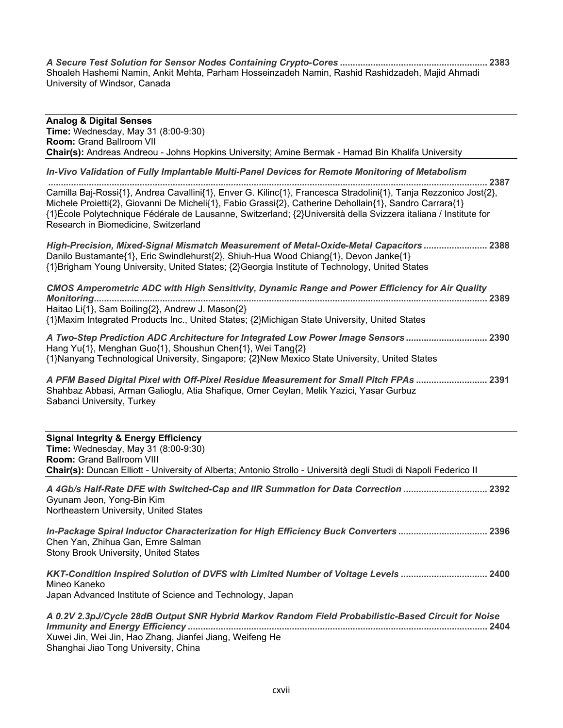*A Secure Test Solution for Sensor Nodes Containing Crypto-Cores*  Shoaleh Hashemi Namin, Ankit Mehta, Parham Hosseinzadeh Namin, Rashid Rashidzadeh, Majid Ahmadi University of Windsor, Canada

| <b>Analog &amp; Digital Senses</b><br><b>Time:</b> Wednesday, May 31 (8:00-9:30)                                                                                                                                                                                                                                                                                                       |
|----------------------------------------------------------------------------------------------------------------------------------------------------------------------------------------------------------------------------------------------------------------------------------------------------------------------------------------------------------------------------------------|
| <b>Room: Grand Ballroom VII</b>                                                                                                                                                                                                                                                                                                                                                        |
| Chair(s): Andreas Andreou - Johns Hopkins University; Amine Bermak - Hamad Bin Khalifa University                                                                                                                                                                                                                                                                                      |
| In-Vivo Validation of Fully Implantable Multi-Panel Devices for Remote Monitoring of Metabolism<br>2387                                                                                                                                                                                                                                                                                |
| Camilla Baj-Rossi{1}, Andrea Cavallini{1}, Enver G. Kilinc{1}, Francesca Stradolini{1}, Tanja Rezzonico Jost{2},<br>Michele Proietti{2}, Giovanni De Micheli{1}, Fabio Grassi{2}, Catherine Dehollain{1}, Sandro Carrara{1}<br>{1}École Polytechnique Fédérale de Lausanne, Switzerland; {2}Università della Svizzera italiana / Institute for<br>Research in Biomedicine, Switzerland |
| High-Precision, Mixed-Signal Mismatch Measurement of Metal-Oxide-Metal Capacitors  2388<br>Danilo Bustamante{1}, Eric Swindlehurst{2}, Shiuh-Hua Wood Chiang{1}, Devon Janke{1}<br>{1}Brigham Young University, United States; {2}Georgia Institute of Technology, United States                                                                                                       |
| CMOS Amperometric ADC with High Sensitivity, Dynamic Range and Power Efficiency for Air Quality                                                                                                                                                                                                                                                                                        |
| Haitao Li{1}, Sam Boiling{2}, Andrew J. Mason{2}<br>{1} Maxim Integrated Products Inc., United States; {2} Michigan State University, United States                                                                                                                                                                                                                                    |
| A Two-Step Prediction ADC Architecture for Integrated Low Power Image Sensors 2390<br>Hang Yu{1}, Menghan Guo{1}, Shoushun Chen{1}, Wei Tang{2}<br>{1}Nanyang Technological University, Singapore; {2}New Mexico State University, United States                                                                                                                                       |
| A PFM Based Digital Pixel with Off-Pixel Residue Measurement for Small Pitch FPAs  2391<br>Shahbaz Abbasi, Arman Galioglu, Atia Shafique, Omer Ceylan, Melik Yazici, Yasar Gurbuz<br>Sabanci University, Turkey                                                                                                                                                                        |

| <b>Signal Integrity &amp; Energy Efficiency</b><br><b>Time:</b> Wednesday, May 31 (8:00-9:30)<br><b>Room: Grand Ballroom VIII</b><br><b>Chair(s):</b> Duncan Elliott - University of Alberta; Antonio Strollo - Università degli Studi di Napoli Federico II |
|--------------------------------------------------------------------------------------------------------------------------------------------------------------------------------------------------------------------------------------------------------------|
| A 4Gb/s Half-Rate DFE with Switched-Cap and IIR Summation for Data Correction  2392<br>Gyunam Jeon, Yong-Bin Kim<br>Northeastern University, United States                                                                                                   |
| In-Package Spiral Inductor Characterization for High Efficiency Buck Converters  2396<br>Chen Yan, Zhihua Gan, Emre Salman<br>Stony Brook University, United States                                                                                          |
| KKT-Condition Inspired Solution of DVFS with Limited Number of Voltage Levels  2400<br>Mineo Kaneko<br>Japan Advanced Institute of Science and Technology, Japan                                                                                             |
| A 0.2V 2.3pJ/Cycle 28dB Output SNR Hybrid Markov Random Field Probabilistic-Based Circuit for Noise<br>2404<br>Xuwei Jin, Wei Jin, Hao Zhang, Jianfei Jiang, Weifeng He<br>Shanghai Jiao Tong University, China                                              |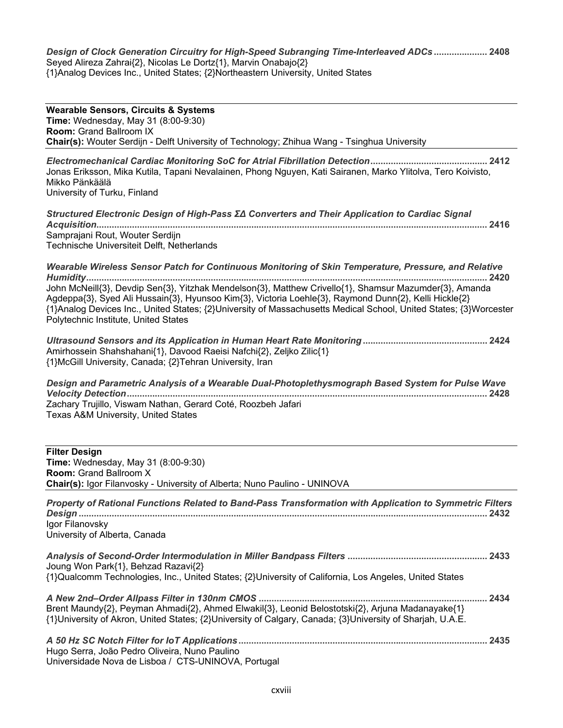*Design of Clock Generation Circuitry for High-Speed Subranging Time-Interleaved ADCs*  Seyed Alireza Zahrai{2}, Nicolas Le Dortz{1}, Marvin Onabajo{2} {1}Analog Devices Inc., United States; {2}Northeastern University, United States

**Wearable Sensors, Circuits & Systems Time:** Wednesday, May 31 (8:00-9:30) **Room: Grand Ballroom IX Chair(s):** Wouter Serdijn - Delft University of Technology; Zhihua Wang - Tsinghua University *Electromechanical Cardiac Monitoring SoC for Atrial Fibrillation Detection* Jonas Eriksson, Mika Kutila, Tapani Nevalainen, Phong Nguyen, Kati Sairanen, Marko Ylitolva, Tero Koivisto, Mikko Pänkäälä University of Turku, Finland *Structured Electronic Design of High-Pass ΣΔ Converters and Their Application to Cardiac Signal Acquisition* Samprajani Rout, Wouter Serdijn Technische Universiteit Delft. Netherlands *Wearable Wireless Sensor Patch for Continuous Monitoring of Skin Temperature, Pressure, and Relative Humidity* John McNeill{3}, Devdip Sen{3}, Yitzhak Mendelson{3}, Matthew Crivello{1}, Shamsur Mazumder{3}, Amanda Agdeppa{3}, Syed Ali Hussain{3}, Hyunsoo Kim{3}, Victoria Loehle{3}, Raymond Dunn{2}, Kelli Hickle{2}  $\{1\}$ Analog Devices Inc., United States;  $\{2\}$ University of Massachusetts Medical School, United States;  $\{3\}$ Worcester Polytechnic Institute, United States *Ultrasound Sensors and its Application in Human Heart Rate Monitoring* Amirhossein Shahshahani{1}, Davood Raeisi Nafchi{2}, Zeljko Zilic{1} {1}McGill University, Canada; {2}Tehran University, Iran *Design and Parametric Analysis of a Wearable Dual-Photoplethysmograph Based System for Pulse Wave Velocity Detection* Zachary Trujillo, Viswam Nathan, Gerard Coté, Roozbeh Jafari Texas A&M University, United States **Filter Desian** 

**Time:** Wednesday, May 31 (8:00-9:30) **Room:** Grand Ballroom X **Chair(s):** Igor Filanvosky - University of Alberta; Nuno Paulino - UNINOVA

| Property of Rational Functions Related to Band-Pass Transformation with Application to Symmetric Filters                                                                                                      | 2432 |
|---------------------------------------------------------------------------------------------------------------------------------------------------------------------------------------------------------------|------|
| Igor Filanovsky<br>University of Alberta, Canada                                                                                                                                                              |      |
| Joung Won Park{1}, Behzad Razavi{2}<br>{1}Qualcomm Technologies, Inc., United States; {2}University of California, Los Angeles, United States                                                                 |      |
| Brent Maundy{2}, Peyman Ahmadi{2}, Ahmed Elwakil{3}, Leonid Belostotski{2}, Arjuna Madanayake{1}<br>{1}University of Akron, United States; {2}University of Calgary, Canada; {3}University of Sharjah, U.A.E. |      |
| Hugo Serra, João Pedro Oliveira, Nuno Paulino                                                                                                                                                                 |      |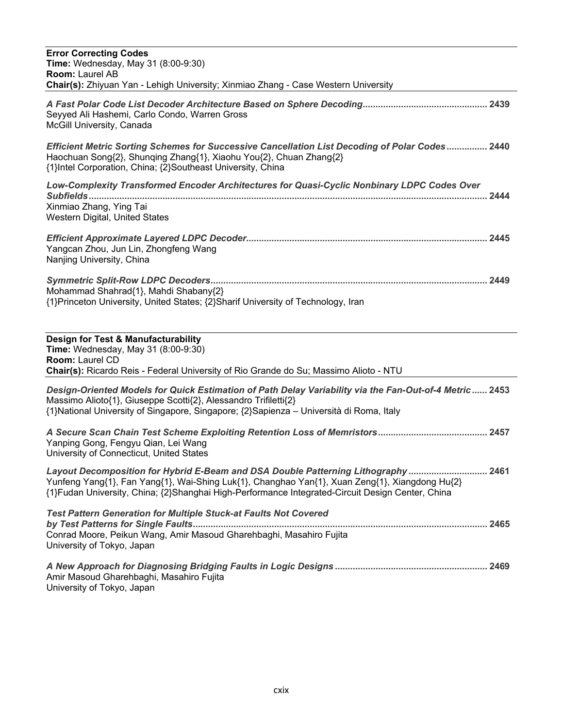| <b>Error Correcting Codes</b><br><b>Time:</b> Wednesday, May 31 (8:00-9:30)<br>Room: Laurel AB<br>Chair(s): Zhiyuan Yan - Lehigh University; Xinmiao Zhang - Case Western University                                                                                                     |
|------------------------------------------------------------------------------------------------------------------------------------------------------------------------------------------------------------------------------------------------------------------------------------------|
|                                                                                                                                                                                                                                                                                          |
| Seyyed Ali Hashemi, Carlo Condo, Warren Gross<br>McGill University, Canada                                                                                                                                                                                                               |
| Efficient Metric Sorting Schemes for Successive Cancellation List Decoding of Polar Codes 2440<br>Haochuan Song{2}, Shunqing Zhang{1}, Xiaohu You{2}, Chuan Zhang{2}<br>{1}Intel Corporation, China; {2}Southeast University, China                                                      |
| Low-Complexity Transformed Encoder Architectures for Quasi-Cyclic Nonbinary LDPC Codes Over<br>Xinmiao Zhang, Ying Tai<br>Western Digital, United States                                                                                                                                 |
| Yangcan Zhou, Jun Lin, Zhongfeng Wang<br>Nanjing University, China                                                                                                                                                                                                                       |
| Mohammad Shahrad{1}, Mahdi Shabany{2}<br>{1}Princeton University, United States; {2}Sharif University of Technology, Iran                                                                                                                                                                |
| Design for Test & Manufacturability<br>Time: Wednesday, May 31 (8:00-9:30)<br>Room: Laurel CD<br>Chair(s): Ricardo Reis - Federal University of Rio Grande do Su; Massimo Alioto - NTU                                                                                                   |
| Design-Oriented Models for Quick Estimation of Path Delay Variability via the Fan-Out-of-4 Metric 2453<br>Massimo Alioto{1}, Giuseppe Scotti{2}, Alessandro Trifiletti{2}<br>{1}National University of Singapore, Singapore; {2}Sapienza - Università di Roma, Italy                     |
| Yanping Gong, Fengyu Qian, Lei Wang<br>University of Connecticut, United States                                                                                                                                                                                                          |
| Layout Decomposition for Hybrid E-Beam and DSA Double Patterning Lithography  2461<br>Yunfeng Yang{1}, Fan Yang{1}, Wai-Shing Luk{1}, Changhao Yan{1}, Xuan Zeng{1}, Xiangdong Hu{2}<br>{1}Fudan University, China; {2}Shanghai High-Performance Integrated-Circuit Design Center, China |
| <b>Test Pattern Generation for Multiple Stuck-at Faults Not Covered</b><br>Conrad Moore, Peikun Wang, Amir Masoud Gharehbaghi, Masahiro Fujita<br>University of Tokyo, Japan                                                                                                             |
| Amir Masoud Gharehbaghi, Masahiro Fujita                                                                                                                                                                                                                                                 |

University of Tokyo, Japan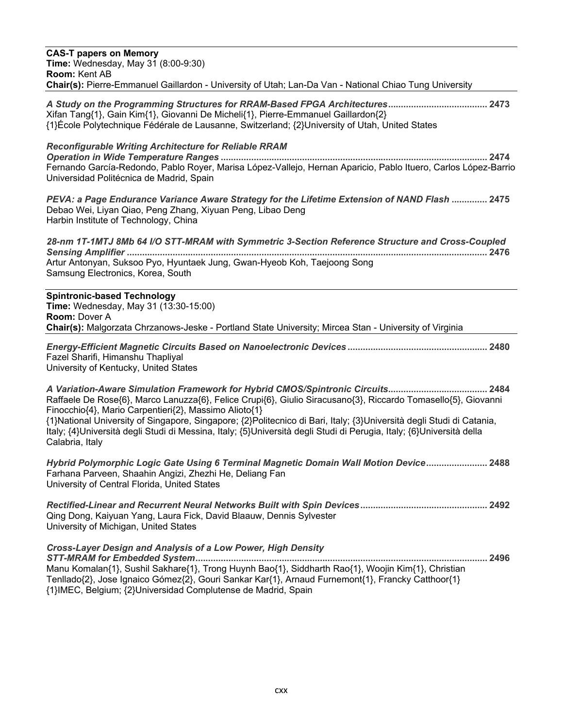| <b>CAS-T papers on Memory</b>                                                                                                                                                                                                                                                                                                                                                                                                             |
|-------------------------------------------------------------------------------------------------------------------------------------------------------------------------------------------------------------------------------------------------------------------------------------------------------------------------------------------------------------------------------------------------------------------------------------------|
| Time: Wednesday, May 31 (8:00-9:30)<br><b>Room: Kent AB</b>                                                                                                                                                                                                                                                                                                                                                                               |
| Chair(s): Pierre-Emmanuel Gaillardon - University of Utah; Lan-Da Van - National Chiao Tung University                                                                                                                                                                                                                                                                                                                                    |
| A Study on the Programming Structures for RRAM-Based FPGA Architectures 2473<br>Xifan Tang{1}, Gain Kim{1}, Giovanni De Micheli{1}, Pierre-Emmanuel Gaillardon{2}<br>{1}École Polytechnique Fédérale de Lausanne, Switzerland; {2}University of Utah, United States                                                                                                                                                                       |
| <b>Reconfigurable Writing Architecture for Reliable RRAM</b><br>Fernando García-Redondo, Pablo Royer, Marisa López-Vallejo, Hernan Aparicio, Pablo Ituero, Carlos López-Barrio<br>Universidad Politécnica de Madrid, Spain                                                                                                                                                                                                                |
| PEVA: a Page Endurance Variance Aware Strategy for the Lifetime Extension of NAND Flash  2475<br>Debao Wei, Liyan Qiao, Peng Zhang, Xiyuan Peng, Libao Deng<br>Harbin Institute of Technology, China                                                                                                                                                                                                                                      |
| 28-nm 1T-1MTJ 8Mb 64 I/O STT-MRAM with Symmetric 3-Section Reference Structure and Cross-Coupled                                                                                                                                                                                                                                                                                                                                          |
| Artur Antonyan, Suksoo Pyo, Hyuntaek Jung, Gwan-Hyeob Koh, Taejoong Song<br>Samsung Electronics, Korea, South                                                                                                                                                                                                                                                                                                                             |
| <b>Spintronic-based Technology</b><br>Time: Wednesday, May 31 (13:30-15:00)<br><b>Room: Dover A</b><br>Chair(s): Malgorzata Chrzanows-Jeske - Portland State University; Mircea Stan - University of Virginia                                                                                                                                                                                                                             |
| Fazel Sharifi, Himanshu Thapliyal<br>University of Kentucky, United States                                                                                                                                                                                                                                                                                                                                                                |
| Raffaele De Rose{6}, Marco Lanuzza{6}, Felice Crupi{6}, Giulio Siracusano{3}, Riccardo Tomasello{5}, Giovanni<br>Finocchio{4}, Mario Carpentieri{2}, Massimo Alioto{1}<br>{1}National University of Singapore, Singapore; {2}Politecnico di Bari, Italy; {3}Università degli Studi di Catania,<br>Italy; {4}Università degli Studi di Messina, Italy; {5}Università degli Studi di Perugia, Italy; {6}Università della<br>Calabria, Italy |
| Hybrid Polymorphic Logic Gate Using 6 Terminal Magnetic Domain Wall Motion Device 2488<br>Farhana Parveen, Shaahin Angizi, Zhezhi He, Deliang Fan<br>University of Central Florida, United States                                                                                                                                                                                                                                         |
| Qing Dong, Kaiyuan Yang, Laura Fick, David Blaauw, Dennis Sylvester<br>University of Michigan, United States                                                                                                                                                                                                                                                                                                                              |
| <b>Cross-Layer Design and Analysis of a Low Power, High Density</b><br>Manu Komalan{1}, Sushil Sakhare{1}, Trong Huynh Bao{1}, Siddharth Rao{1}, Woojin Kim{1}, Christian<br>Tenllado{2}, Jose Ignaico Gómez{2}, Gouri Sankar Kar{1}, Arnaud Furnemont{1}, Francky Catthoor{1}<br>{1}IMEC, Belgium; {2}Universidad Complutense de Madrid, Spain                                                                                           |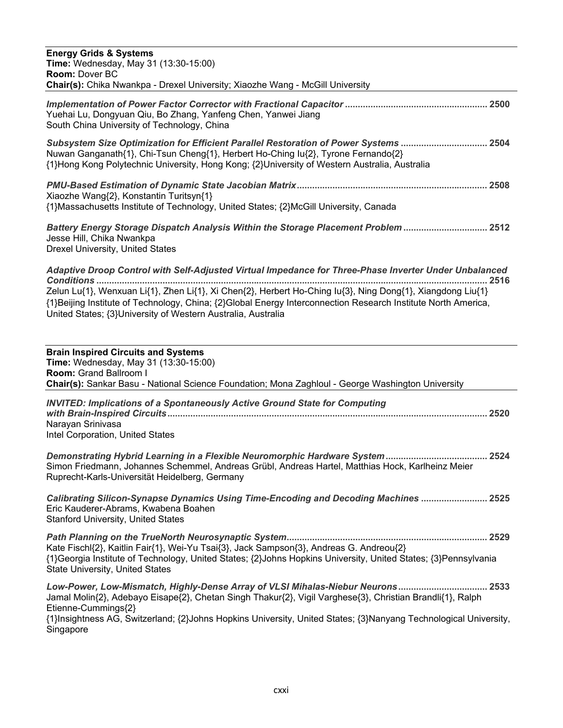| <b>Energy Grids &amp; Systems</b><br>Time: Wednesday, May 31 (13:30-15:00)<br>Room: Dover BC<br>Chair(s): Chika Nwankpa - Drexel University; Xiaozhe Wang - McGill University                                                                                                                                                                                                                                   |
|-----------------------------------------------------------------------------------------------------------------------------------------------------------------------------------------------------------------------------------------------------------------------------------------------------------------------------------------------------------------------------------------------------------------|
| Yuehai Lu, Dongyuan Qiu, Bo Zhang, Yanfeng Chen, Yanwei Jiang<br>South China University of Technology, China                                                                                                                                                                                                                                                                                                    |
| Subsystem Size Optimization for Efficient Parallel Restoration of Power Systems  2504<br>Nuwan Ganganath{1}, Chi-Tsun Cheng{1}, Herbert Ho-Ching Iu{2}, Tyrone Fernando{2}<br>{1}Hong Kong Polytechnic University, Hong Kong; {2}University of Western Australia, Australia                                                                                                                                     |
| Xiaozhe Wang{2}, Konstantin Turitsyn{1}<br>{1}Massachusetts Institute of Technology, United States; {2}McGill University, Canada                                                                                                                                                                                                                                                                                |
| Battery Energy Storage Dispatch Analysis Within the Storage Placement Problem  2512<br>Jesse Hill, Chika Nwankpa<br>Drexel University, United States                                                                                                                                                                                                                                                            |
| Adaptive Droop Control with Self-Adjusted Virtual Impedance for Three-Phase Inverter Under Unbalanced<br>…. 2516<br>Zelun Lu{1}, Wenxuan Li{1}, Zhen Li{1}, Xi Chen{2}, Herbert Ho-Ching lu{3}, Ning Dong{1}, Xiangdong Liu{1}<br>{1}Beijing Institute of Technology, China; {2}Global Energy Interconnection Research Institute North America,<br>United States; {3}University of Western Australia, Australia |
| <b>Brain Inspired Circuits and Systems</b><br>Time: Wednesday, May 31 (13:30-15:00)<br>Room: Grand Ballroom I<br>Chair(s): Sankar Basu - National Science Foundation; Mona Zaghloul - George Washington University                                                                                                                                                                                              |
| <b>INVITED: Implications of a Spontaneously Active Ground State for Computing</b><br>Narayan Srinivasa<br>Intel Corporation, United States                                                                                                                                                                                                                                                                      |
| Simon Friedmann, Johannes Schemmel, Andreas Grübl, Andreas Hartel, Matthias Hock, Karlheinz Meier<br>Ruprecht-Karls-Universität Heidelberg, Germany                                                                                                                                                                                                                                                             |
| <b>Calibrating Silicon-Synapse Dynamics Using Time-Encoding and Decoding Machines  2525</b><br>Eric Kauderer-Abrams, Kwabena Boahen<br><b>Stanford University, United States</b>                                                                                                                                                                                                                                |
| Kate Fischl{2}, Kaitlin Fair{1}, Wei-Yu Tsai{3}, Jack Sampson{3}, Andreas G. Andreou{2}<br>{1}Georgia Institute of Technology, United States; {2}Johns Hopkins University, United States; {3}Pennsylvania<br><b>State University, United States</b>                                                                                                                                                             |
| Low-Power, Low-Mismatch, Highly-Dense Array of VLSI Mihalas-Niebur Neurons 2533<br>Jamal Molin{2}, Adebayo Eisape{2}, Chetan Singh Thakur{2}, Vigil Varghese{3}, Christian Brandli{1}, Ralph<br>Etienne-Cummings{2}<br>{1}Insightness AG, Switzerland; {2}Johns Hopkins University, United States; {3}Nanyang Technological University,<br>Singapore                                                            |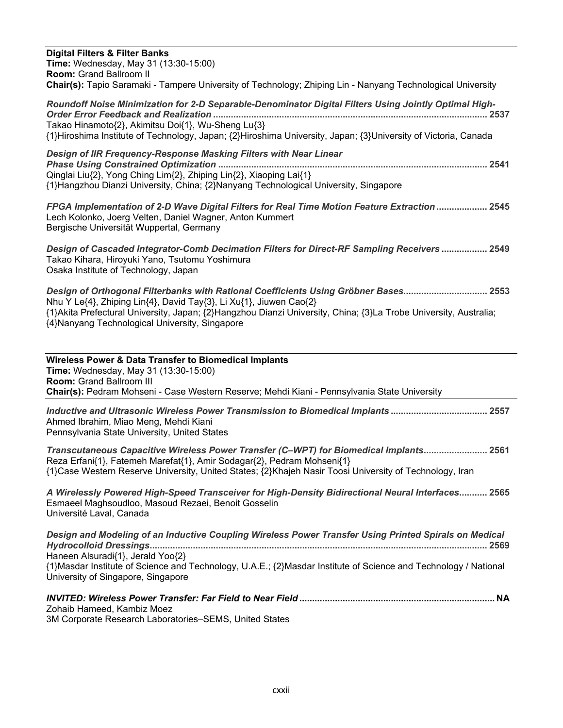| <b>Digital Filters &amp; Filter Banks</b><br><b>Time:</b> Wednesday, May 31 (13:30-15:00)<br><b>Room: Grand Ballroom II</b><br>Chair(s): Tapio Saramaki - Tampere University of Technology; Zhiping Lin - Nanyang Technological University                                                                                       |
|----------------------------------------------------------------------------------------------------------------------------------------------------------------------------------------------------------------------------------------------------------------------------------------------------------------------------------|
| Roundoff Noise Minimization for 2-D Separable-Denominator Digital Filters Using Jointly Optimal High-<br>Takao Hinamoto{2}, Akimitsu Doi{1}, Wu-Sheng Lu{3}<br>{1}Hiroshima Institute of Technology, Japan; {2}Hiroshima University, Japan; {3}University of Victoria, Canada                                                    |
| Design of IIR Frequency-Response Masking Filters with Near Linear<br>Qinglai Liu{2}, Yong Ching Lim{2}, Zhiping Lin{2}, Xiaoping Lai{1}<br>{1}Hangzhou Dianzi University, China; {2}Nanyang Technological University, Singapore                                                                                                  |
| PPGA Implementation of 2-D Wave Digital Filters for Real Time Motion Feature Extraction  2545<br>Lech Kolonko, Joerg Velten, Daniel Wagner, Anton Kummert<br>Bergische Universität Wuppertal, Germany                                                                                                                            |
| Design of Cascaded Integrator-Comb Decimation Filters for Direct-RF Sampling Receivers  2549<br>Takao Kihara, Hiroyuki Yano, Tsutomu Yoshimura<br>Osaka Institute of Technology, Japan                                                                                                                                           |
| Design of Orthogonal Filterbanks with Rational Coefficients Using Gröbner Bases 2553<br>Nhu Y Le{4}, Zhiping Lin{4}, David Tay{3}, Li Xu{1}, Jiuwen Cao{2}<br>{1}Akita Prefectural University, Japan; {2}Hangzhou Dianzi University, China; {3}La Trobe University, Australia;<br>{4}Nanyang Technological University, Singapore |
| <b>Wireless Power &amp; Data Transfer to Biomedical Implants</b><br>Time: Wednesday, May 31 (13:30-15:00)<br>Room: Grand Ballroom III<br>Chair(s): Pedram Mohseni - Case Western Reserve; Mehdi Kiani - Pennsylvania State University                                                                                            |
| Inductive and Ultrasonic Wireless Power Transmission to Biomedical Implants 2557<br>Ahmed Ibrahim, Miao Meng, Mehdi Kiani<br>Pennsylvania State University, United States                                                                                                                                                        |
| Transcutaneous Capacitive Wireless Power Transfer (C-WPT) for Biomedical Implants 2561<br>Reza Erfani{1}, Fatemeh Marefat{1}, Amir Sodagar{2}, Pedram Mohseni{1}<br>{1}Case Western Reserve University, United States; {2}Khajeh Nasir Toosi University of Technology, Iran                                                      |
| A Wirelessly Powered High-Speed Transceiver for High-Density Bidirectional Neural Interfaces 2565<br>Esmaeel Maghsoudloo, Masoud Rezaei, Benoit Gosselin<br>Université Laval, Canada                                                                                                                                             |
| Design and Modeling of an Inductive Coupling Wireless Power Transfer Using Printed Spirals on Medical<br>Haneen Alsuradi{1}, Jerald Yoo{2}<br>{1}Masdar Institute of Science and Technology, U.A.E.; {2}Masdar Institute of Science and Technology / National                                                                    |

University of Singapore, Singapore

| Zohaib Hameed, Kambiz Moez                             |  |
|--------------------------------------------------------|--|
| 3M Corporate Research Laboratories-SEMS, United States |  |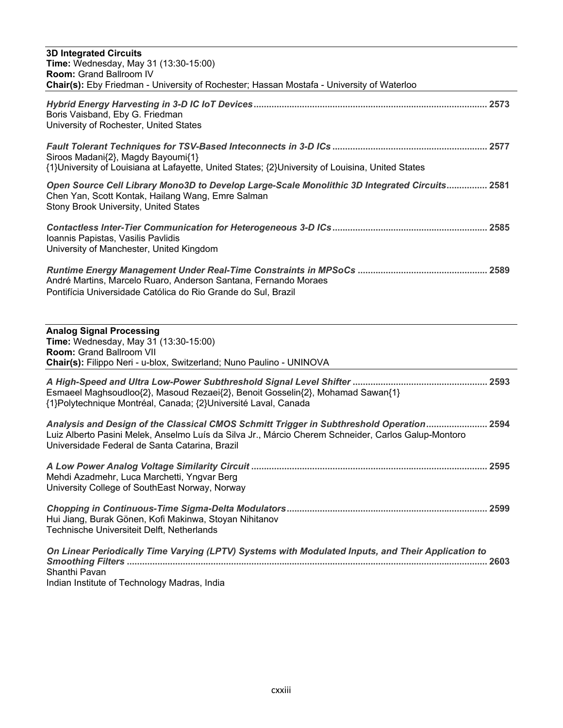| <b>3D Integrated Circuits</b><br><b>Time:</b> Wednesday, May 31 (13:30-15:00)<br><b>Room: Grand Ballroom IV</b><br>Chair(s): Eby Friedman - University of Rochester; Hassan Mostafa - University of Waterloo                                      |
|---------------------------------------------------------------------------------------------------------------------------------------------------------------------------------------------------------------------------------------------------|
| Boris Vaisband, Eby G. Friedman<br>University of Rochester, United States                                                                                                                                                                         |
| Siroos Madani{2}, Magdy Bayoumi{1}<br>{1}University of Louisiana at Lafayette, United States; {2}University of Louisina, United States                                                                                                            |
| Open Source Cell Library Mono3D to Develop Large-Scale Monolithic 3D Integrated Circuits 2581<br>Chen Yan, Scott Kontak, Hailang Wang, Emre Salman<br>Stony Brook University, United States                                                       |
| Ioannis Papistas, Vasilis Pavlidis<br>University of Manchester, United Kingdom                                                                                                                                                                    |
| André Martins, Marcelo Ruaro, Anderson Santana, Fernando Moraes<br>Pontifícia Universidade Católica do Rio Grande do Sul, Brazil                                                                                                                  |
| <b>Analog Signal Processing</b><br>Time: Wednesday, May 31 (13:30-15:00)<br>Room: Grand Ballroom VII<br>Chair(s): Filippo Neri - u-blox, Switzerland; Nuno Paulino - UNINOVA                                                                      |
| Esmaeel Maghsoudloo{2}, Masoud Rezaei{2}, Benoit Gosselin{2}, Mohamad Sawan{1}<br>{1}Polytechnique Montréal, Canada; {2}Université Laval, Canada                                                                                                  |
| Analysis and Design of the Classical CMOS Schmitt Trigger in Subthreshold Operation 2594<br>Luiz Alberto Pasini Melek, Anselmo Luís da Silva Jr., Márcio Cherem Schneider, Carlos Galup-Montoro<br>Universidade Federal de Santa Catarina, Brazil |
| Mehdi Azadmehr, Luca Marchetti, Yngvar Berg<br>University College of SouthEast Norway, Norway                                                                                                                                                     |
| Hui Jiang, Burak Gönen, Kofi Makinwa, Stoyan Nihitanov<br>Technische Universiteit Delft, Netherlands                                                                                                                                              |
| On Linear Periodically Time Varying (LPTV) Systems with Modulated Inputs, and Their Application to<br>Shanthi Pavan<br>Indian Institute of Technology Madras, India                                                                               |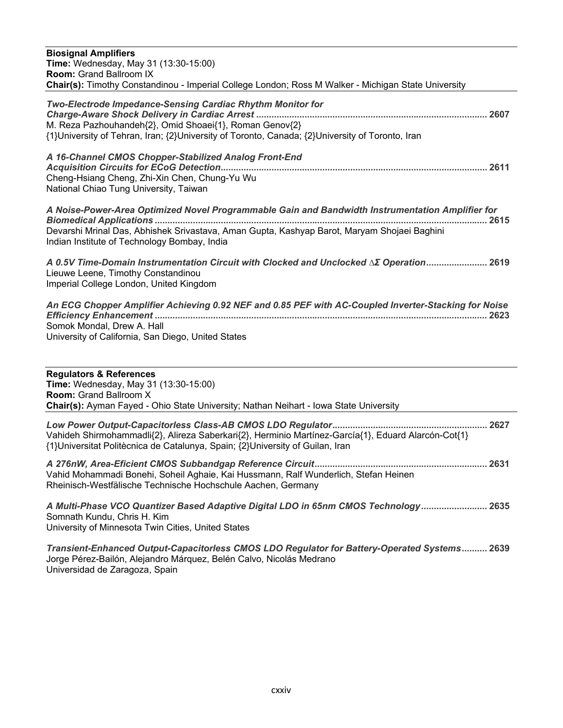| <b>Biosignal Amplifiers</b><br>Time: Wednesday, May 31 (13:30-15:00)<br><b>Room: Grand Ballroom IX</b><br>Chair(s): Timothy Constandinou - Imperial College London; Ross M Walker - Michigan State University                                   |
|-------------------------------------------------------------------------------------------------------------------------------------------------------------------------------------------------------------------------------------------------|
| Two-Electrode Impedance-Sensing Cardiac Rhythm Monitor for<br>M. Reza Pazhouhandeh{2}, Omid Shoaei{1}, Roman Genov{2}<br>{1}University of Tehran, Iran; {2}University of Toronto, Canada; {2}University of Toronto, Iran                        |
| A 16-Channel CMOS Chopper-Stabilized Analog Front-End<br>Cheng-Hsiang Cheng, Zhi-Xin Chen, Chung-Yu Wu<br>National Chiao Tung University, Taiwan                                                                                                |
| A Noise-Power-Area Optimized Novel Programmable Gain and Bandwidth Instrumentation Amplifier for<br>Devarshi Mrinal Das, Abhishek Srivastava, Aman Gupta, Kashyap Barot, Maryam Shojaei Baghini<br>Indian Institute of Technology Bombay, India |
| A 0.5V Time-Domain Instrumentation Circuit with Clocked and Unclocked ΔΣ Operation 2619<br>Lieuwe Leene, Timothy Constandinou<br>Imperial College London, United Kingdom                                                                        |
| An ECG Chopper Amplifier Achieving 0.92 NEF and 0.85 PEF with AC-Coupled Inverter-Stacking for Noise<br>Somok Mondal, Drew A. Hall<br>University of California, San Diego, United States                                                        |
| <b>Regulators &amp; References</b><br>Time: Wednesday, May 31 (13:30-15:00)<br><b>Room: Grand Ballroom X</b><br>Chair(s): Ayman Fayed - Ohio State University; Nathan Neihart - Iowa State University                                           |
|                                                                                                                                                                                                                                                 |

Vahideh Shirmohammadli{2}, Alireza Saberkari{2}, Herminio Martínez-García{1}, Eduard Alarcón-Cot{1} {1}Universitat Politècnica de Catalunya, Spain; {2}University of Guilan, Iran

*A 276nW, Area-Eficient CMOS Subbandgap Reference Circuit* Vahid Mohammadi Bonehi, Soheil Aghaie, Kai Hussmann, Ralf Wunderlich, Stefan Heinen Rheinisch-Westfälische Technische Hochschule Aachen, Germany

*A Multi-Phase VCO Quantizer Based Adaptive Digital LDO in 65nm CMOS Technology* Somnath Kundu, Chris H. Kim University of Minnesota Twin Cities, United States

*Transient-Enhanced Output-Capacitorless CMOS LDO Regulator for Battery-Operated Systems* Jorge Pérez-Bailón, Alejandro Márquez, Belén Calvo, Nicolás Medrano Universidad de Zaragoza, Spain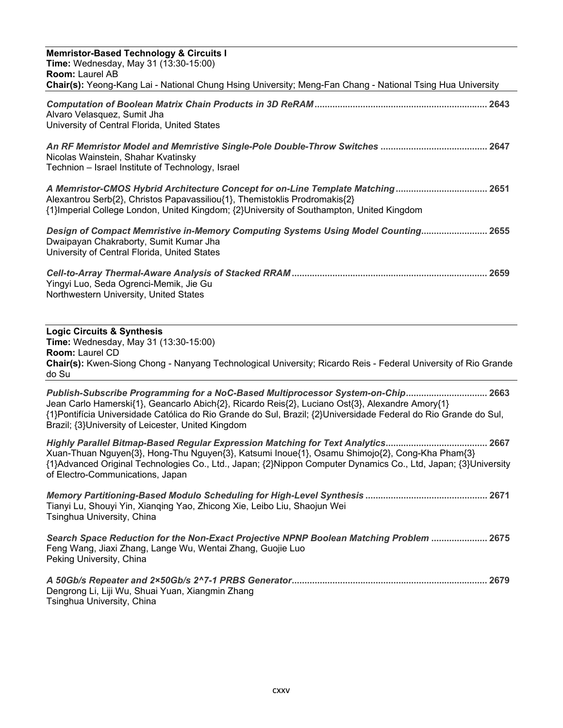| <b>Memristor-Based Technology &amp; Circuits I</b><br><b>Time:</b> Wednesday, May 31 (13:30-15:00)<br><b>Room: Laurel AB</b><br>Chair(s): Yeong-Kang Lai - National Chung Hsing University; Meng-Fan Chang - National Tsing Hua University                                                                                                                   |
|--------------------------------------------------------------------------------------------------------------------------------------------------------------------------------------------------------------------------------------------------------------------------------------------------------------------------------------------------------------|
| Alvaro Velasquez, Sumit Jha<br>University of Central Florida, United States                                                                                                                                                                                                                                                                                  |
| Nicolas Wainstein, Shahar Kvatinsky<br>Technion - Israel Institute of Technology, Israel                                                                                                                                                                                                                                                                     |
| A Memristor-CMOS Hybrid Architecture Concept for on-Line Template Matching 2651<br>Alexantrou Serb{2}, Christos Papavassiliou{1}, Themistoklis Prodromakis{2}<br>{1}Imperial College London, United Kingdom; {2}University of Southampton, United Kingdom                                                                                                    |
| Design of Compact Memristive in-Memory Computing Systems Using Model Counting 2655<br>Dwaipayan Chakraborty, Sumit Kumar Jha<br>University of Central Florida, United States                                                                                                                                                                                 |
| Yingyi Luo, Seda Ogrenci-Memik, Jie Gu<br>Northwestern University, United States                                                                                                                                                                                                                                                                             |
| <b>Logic Circuits &amp; Synthesis</b><br>Time: Wednesday, May 31 (13:30-15:00)<br><b>Room: Laurel CD</b><br>Chair(s): Kwen-Siong Chong - Nanyang Technological University; Ricardo Reis - Federal University of Rio Grande<br>do Su                                                                                                                          |
| Publish-Subscribe Programming for a NoC-Based Multiprocessor System-on-Chip 2663<br>Jean Carlo Hamerski{1}, Geancarlo Abich{2}, Ricardo Reis{2}, Luciano Ost{3}, Alexandre Amory{1}<br>{1}Pontifícia Universidade Católica do Rio Grande do Sul, Brazil; {2}Universidade Federal do Rio Grande do Sul,<br>Brazil; {3}University of Leicester, United Kingdom |
| Highly Parallel Bitmap-Based Regular Expression Matching for Text Analytics 2667<br>Xuan-Thuan Nguyen{3}, Hong-Thu Nguyen{3}, Katsumi Inoue{1}, Osamu Shimojo{2}, Cong-Kha Pham{3}<br>{1}Advanced Original Technologies Co., Ltd., Japan; {2}Nippon Computer Dynamics Co., Ltd, Japan; {3}University<br>of Electro-Communications, Japan                     |
| Tianyi Lu, Shouyi Yin, Xianqing Yao, Zhicong Xie, Leibo Liu, Shaojun Wei<br>Tsinghua University, China                                                                                                                                                                                                                                                       |
| Feng Wang, Jiaxi Zhang, Lange Wu, Wentai Zhang, Guojie Luo<br>Peking University, China                                                                                                                                                                                                                                                                       |
| Dengrong Li, Liji Wu, Shuai Yuan, Xiangmin Zhang<br>Tsinghua University, China                                                                                                                                                                                                                                                                               |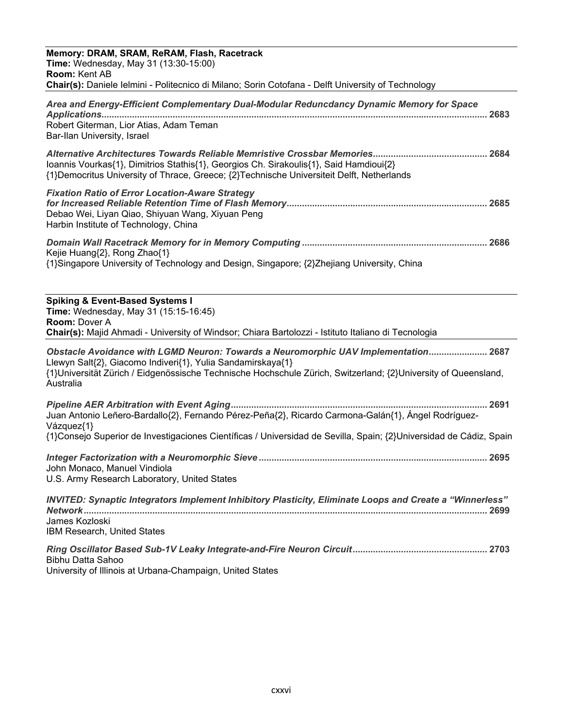| Memory: DRAM, SRAM, ReRAM, Flash, Racetrack                                                                                                                                         |
|-------------------------------------------------------------------------------------------------------------------------------------------------------------------------------------|
| Time: Wednesday, May 31 (13:30-15:00)                                                                                                                                               |
| Room: Kent AB<br>Chair(s): Daniele lelmini - Politecnico di Milano; Sorin Cotofana - Delft University of Technology                                                                 |
| Area and Energy-Efficient Complementary Dual-Modular Reduncdancy Dynamic Memory for Space                                                                                           |
|                                                                                                                                                                                     |
| Robert Giterman, Lior Atias, Adam Teman<br>Bar-Ilan University, Israel                                                                                                              |
|                                                                                                                                                                                     |
| Ioannis Vourkas{1}, Dimitrios Stathis{1}, Georgios Ch. Sirakoulis{1}, Said Hamdioui{2}<br>{1}Democritus University of Thrace, Greece; {2}Technische Universiteit Delft, Netherlands |
| <b>Fixation Ratio of Error Location-Aware Strategy</b>                                                                                                                              |
| Debao Wei, Liyan Qiao, Shiyuan Wang, Xiyuan Peng                                                                                                                                    |
| Harbin Institute of Technology, China                                                                                                                                               |
| Kejie Huang{2}, Rong Zhao{1}                                                                                                                                                        |
| {1}Singapore University of Technology and Design, Singapore; {2}Zhejiang University, China                                                                                          |
|                                                                                                                                                                                     |
| <b>Spiking &amp; Event-Based Systems I</b><br>Time: Wednesday, May 31 (15:15-16:45)                                                                                                 |
| <b>Room: Dover A</b>                                                                                                                                                                |
| Chair(s): Majid Ahmadi - University of Windsor; Chiara Bartolozzi - Istituto Italiano di Tecnologia                                                                                 |
| Obstacle Avoidance with LGMD Neuron: Towards a Neuromorphic UAV Implementation 2687                                                                                                 |
| Llewyn Salt{2}, Giacomo Indiveri{1}, Yulia Sandamirskaya{1}<br>{1}Universität Zürich / Eidgenössische Technische Hochschule Zürich, Switzerland; {2}University of Queensland,       |
| Australia                                                                                                                                                                           |
|                                                                                                                                                                                     |
| Juan Antonio Leñero-Bardallo{2}, Fernando Pérez-Peña{2}, Ricardo Carmona-Galán{1}, Ángel Rodríguez-<br>Vázquez{1}                                                                   |
| {1}Consejo Superior de Investigaciones Científicas / Universidad de Sevilla, Spain; {2}Universidad de Cádiz, Spain                                                                  |
|                                                                                                                                                                                     |
| John Monaco, Manuel Vindiola<br>U.S. Army Research Laboratory, United States                                                                                                        |
|                                                                                                                                                                                     |
| INVITED: Synaptic Integrators Implement Inhibitory Plasticity, Eliminate Loops and Create a "Winnerless"                                                                            |
| James Kozloski<br><b>IBM Research, United States</b>                                                                                                                                |
|                                                                                                                                                                                     |
| Bibhu Datta Sahoo                                                                                                                                                                   |
| University of Illinois at Urbana-Champaign, United States                                                                                                                           |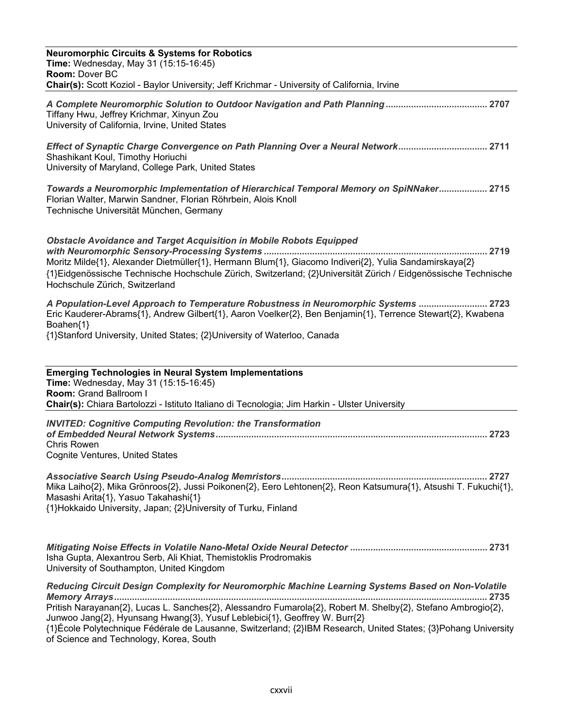| <b>Neuromorphic Circuits &amp; Systems for Robotics</b><br>Time: Wednesday, May 31 (15:15-16:45)<br>Room: Dover BC<br>Chair(s): Scott Koziol - Baylor University; Jeff Krichmar - University of California, Irvine                                                                                                                       |
|------------------------------------------------------------------------------------------------------------------------------------------------------------------------------------------------------------------------------------------------------------------------------------------------------------------------------------------|
| Tiffany Hwu, Jeffrey Krichmar, Xinyun Zou<br>University of California, Irvine, United States                                                                                                                                                                                                                                             |
| Effect of Synaptic Charge Convergence on Path Planning Over a Neural Network 2711<br>Shashikant Koul, Timothy Horiuchi<br>University of Maryland, College Park, United States                                                                                                                                                            |
| Towards a Neuromorphic Implementation of Hierarchical Temporal Memory on SpiNNaker 2715<br>Florian Walter, Marwin Sandner, Florian Röhrbein, Alois Knoll<br>Technische Universität München, Germany                                                                                                                                      |
| <b>Obstacle Avoidance and Target Acquisition in Mobile Robots Equipped</b><br>Moritz Milde{1}, Alexander Dietmüller{1}, Hermann Blum{1}, Giacomo Indiveri{2}, Yulia Sandamirskaya{2}<br>{1}Eidgenössische Technische Hochschule Zürich, Switzerland; {2}Universität Zürich / Eidgenössische Technische<br>Hochschule Zürich, Switzerland |
| A Population-Level Approach to Temperature Robustness in Neuromorphic Systems  2723<br>Eric Kauderer-Abrams{1}, Andrew Gilbert{1}, Aaron Voelker{2}, Ben Benjamin{1}, Terrence Stewart{2}, Kwabena<br>Boahen{1}<br>{1}Stanford University, United States; {2}University of Waterloo, Canada                                              |
| <b>Emerging Technologies in Neural System Implementations</b><br>Time: Wednesday, May 31 (15:15-16:45)<br>Room: Grand Ballroom I<br>Chair(s): Chiara Bartolozzi - Istituto Italiano di Tecnologia; Jim Harkin - Ulster University                                                                                                        |
| <b>INVITED: Cognitive Computing Revolution: the Transformation</b><br><b>Chris Rowen</b><br>Cognite Ventures, United States                                                                                                                                                                                                              |
| Mika Laiho{2}, Mika Grönroos{2}, Jussi Poikonen{2}, Eero Lehtonen{2}, Reon Katsumura{1}, Atsushi T. Fukuchi{1},<br>Masashi Arita{1}, Yasuo Takahashi{1}<br>{1}Hokkaido University, Japan; {2}University of Turku, Finland                                                                                                                |
|                                                                                                                                                                                                                                                                                                                                          |
| Isha Gupta, Alexantrou Serb, Ali Khiat, Themistoklis Prodromakis<br>University of Southampton, United Kingdom                                                                                                                                                                                                                            |

of Science and Technology, Korea, South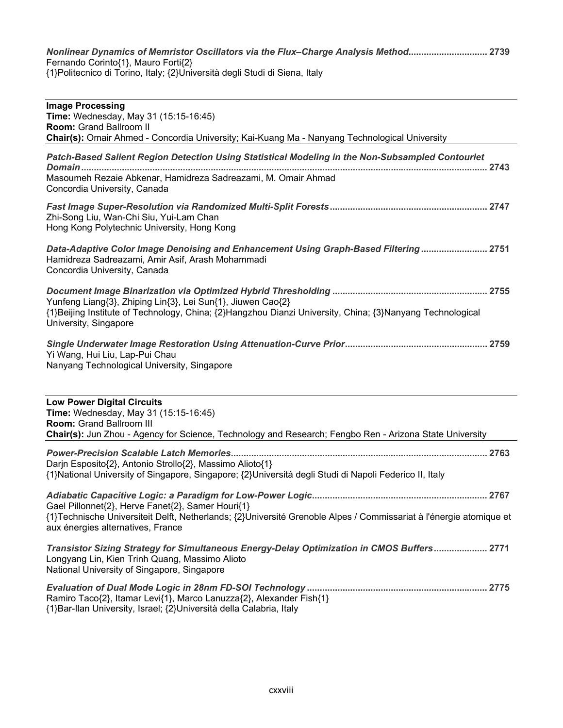*Nonlinear Dynamics of Memristor Oscillators via the Flux–Charge Analysis Method.............................. 2739* Fernando Corinto{1}, Mauro Forti{2} {1}Politecnico di Torino, Italy; {2}Università degli Studi di Siena, Italy

| <b>Image Processing</b><br>Time: Wednesday, May 31 (15:15-16:45)<br>Room: Grand Ballroom II<br>Chair(s): Omair Ahmed - Concordia University; Kai-Kuang Ma - Nanyang Technological University                             |
|--------------------------------------------------------------------------------------------------------------------------------------------------------------------------------------------------------------------------|
| Patch-Based Salient Region Detection Using Statistical Modeling in the Non-Subsampled Contourlet<br>Masoumeh Rezaie Abkenar, Hamidreza Sadreazami, M. Omair Ahmad<br>Concordia University, Canada                        |
| Zhi-Song Liu, Wan-Chi Siu, Yui-Lam Chan<br>Hong Kong Polytechnic University, Hong Kong                                                                                                                                   |
| Data-Adaptive Color Image Denoising and Enhancement Using Graph-Based Filtering  2751<br>Hamidreza Sadreazami, Amir Asif, Arash Mohammadi<br>Concordia University, Canada                                                |
| Yunfeng Liang{3}, Zhiping Lin{3}, Lei Sun{1}, Jiuwen Cao{2}<br>{1}Beijing Institute of Technology, China; {2}Hangzhou Dianzi University, China; {3}Nanyang Technological<br>University, Singapore                        |
| Yi Wang, Hui Liu, Lap-Pui Chau<br>Nanyang Technological University, Singapore                                                                                                                                            |
| <b>Low Power Digital Circuits</b><br>Time: Wednesday, May 31 (15:15-16:45)<br><b>Room: Grand Ballroom III</b><br>Chair(s): Jun Zhou - Agency for Science, Technology and Research; Fengbo Ren - Arizona State University |
| Darjn Esposito{2}, Antonio Strollo{2}, Massimo Alioto{1}<br>{1}National University of Singapore, Singapore; {2}Università degli Studi di Napoli Federico II, Italy                                                       |

*Adiabatic Capacitive Logic: a Paradigm for Low-Power Logic* Gael Pillonnet{2}, Herve Fanet{2}, Samer Houri{1} {1}Technische Universiteit Delft, Netherlands; {2}Université Grenoble Alpes / Commissariat à l'énergie atomique et aux énergies alternatives, France

*Transistor Sizing Strategy for Simultaneous Energy-Delay Optimization in CMOS Buffers* Longyang Lin, Kien Trinh Quang, Massimo Alioto National University of Singapore, Singapore

*Evaluation of Dual Mode Logic in 28nm FD-SOI Technology*  Ramiro Taco{2}, Itamar Levi{1}, Marco Lanuzza{2}, Alexander Fish{1} {1}Bar-Ilan University, Israel; {2}Università della Calabria, Italy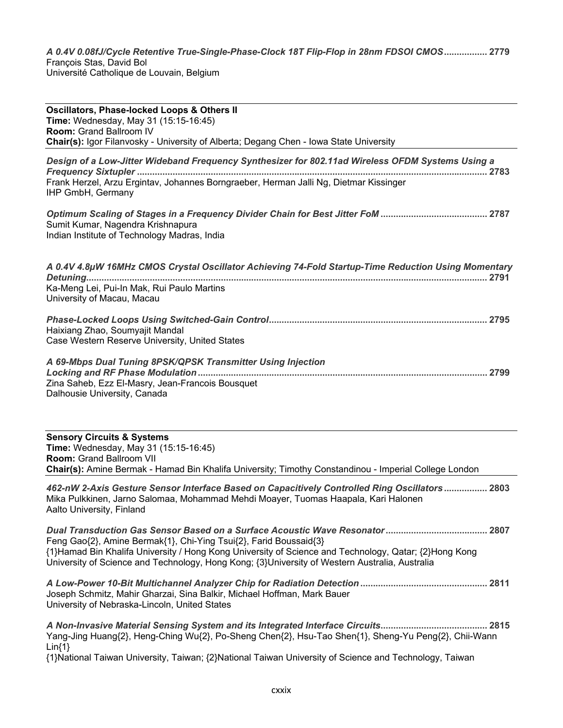*A 0.4V 0.08fJ/Cycle Retentive True-Single-Phase-Clock 18T Flip-Flop in 28nm FDSOI CMOS* François Stas, David Bol Université Catholique de Louvain, Belgium

| <b>Oscillators, Phase-locked Loops &amp; Others II</b><br>Time: Wednesday, May 31 (15:15-16:45)<br>Room: Grand Ballroom IV<br>Chair(s): Igor Filanvosky - University of Alberta; Degang Chen - Iowa State University                                                         |
|------------------------------------------------------------------------------------------------------------------------------------------------------------------------------------------------------------------------------------------------------------------------------|
| Design of a Low-Jitter Wideband Frequency Synthesizer for 802.11ad Wireless OFDM Systems Using a<br>Frank Herzel, Arzu Ergintav, Johannes Borngraeber, Herman Jalli Ng, Dietmar Kissinger<br>IHP GmbH, Germany                                                               |
| Sumit Kumar, Nagendra Krishnapura<br>Indian Institute of Technology Madras, India                                                                                                                                                                                            |
| A 0.4V 4.8µW 16MHz CMOS Crystal Oscillator Achieving 74-Fold Startup-Time Reduction Using Momentary<br>Ka-Meng Lei, Pui-In Mak, Rui Paulo Martins<br>University of Macau, Macau                                                                                              |
| Haixiang Zhao, Soumyajit Mandal<br>Case Western Reserve University, United States                                                                                                                                                                                            |
| A 69-Mbps Dual Tuning 8PSK/QPSK Transmitter Using Injection<br>Zina Saheb, Ezz El-Masry, Jean-Francois Bousquet<br>Dalhousie University, Canada                                                                                                                              |
| <b>Sensory Circuits &amp; Systems</b><br>Time: Wednesday, May 31 (15:15-16:45)<br><b>Room: Grand Ballroom VII</b><br>Chair(s): Amine Bermak - Hamad Bin Khalifa University; Timothy Constandinou - Imperial College London                                                   |
| 462-nW 2-Axis Gesture Sensor Interface Based on Capacitively Controlled Ring Oscillators 2803<br>Mika Pulkkinen, Jarno Salomaa, Mohammad Mehdi Moayer, Tuomas Haapala, Kari Halonen<br>Aalto University, Finland                                                             |
| Feng Gao{2}, Amine Bermak{1}, Chi-Ying Tsui{2}, Farid Boussaid{3}<br>{1}Hamad Bin Khalifa University / Hong Kong University of Science and Technology, Qatar; {2}Hong Kong<br>University of Science and Technology, Hong Kong; {3}University of Western Australia, Australia |
| Joseph Schmitz, Mahir Gharzai, Sina Balkir, Michael Hoffman, Mark Bauer<br>University of Nebraska-Lincoln, United States                                                                                                                                                     |
| Yang-Jing Huang{2}, Heng-Ching Wu{2}, Po-Sheng Chen{2}, Hsu-Tao Shen{1}, Sheng-Yu Peng{2}, Chii-Wann<br>$Lin{1}$<br>{1}National Taiwan University, Taiwan; {2}National Taiwan University of Science and Technology, Taiwan                                                   |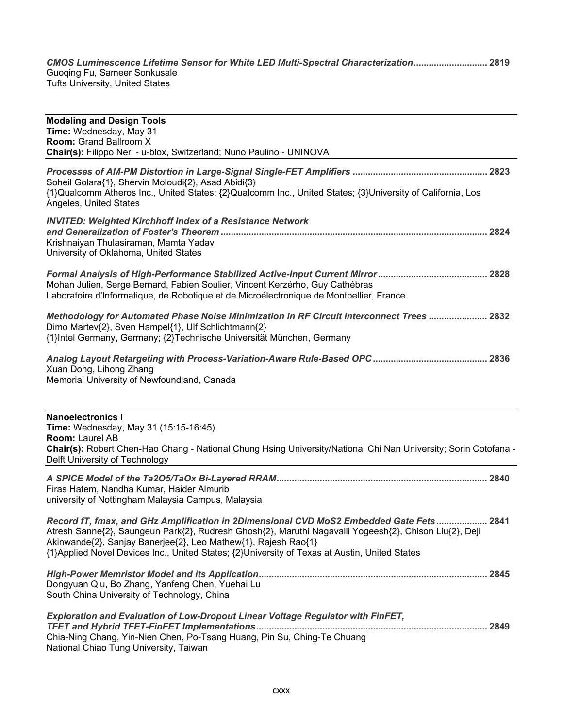*CMOS Luminescence Lifetime Sensor for White LED Multi-Spectral Characterization* Since Eumineeeshee Encanne Tufts University, United States

| <b>Modeling and Design Tools</b><br>Time: Wednesday, May 31<br><b>Room: Grand Ballroom X</b><br>Chair(s): Filippo Neri - u-blox, Switzerland; Nuno Paulino - UNINOVA                                                                                                                                                                                                    |  |
|-------------------------------------------------------------------------------------------------------------------------------------------------------------------------------------------------------------------------------------------------------------------------------------------------------------------------------------------------------------------------|--|
| Soheil Golara{1}, Shervin Moloudi{2}, Asad Abidi{3}<br>{1}Qualcomm Atheros Inc., United States; {2}Qualcomm Inc., United States; {3}University of California, Los<br>Angeles, United States                                                                                                                                                                             |  |
| <b>INVITED: Weighted Kirchhoff Index of a Resistance Network</b><br>Krishnaiyan Thulasiraman, Mamta Yadav<br>University of Oklahoma, United States                                                                                                                                                                                                                      |  |
| Mohan Julien, Serge Bernard, Fabien Soulier, Vincent Kerzérho, Guy Cathébras<br>Laboratoire d'Informatique, de Robotique et de Microélectronique de Montpellier, France                                                                                                                                                                                                 |  |
| Dimo Martev{2}, Sven Hampel{1}, Ulf Schlichtmann{2}<br>{1}Intel Germany, Germany; {2}Technische Universität München, Germany                                                                                                                                                                                                                                            |  |
| Xuan Dong, Lihong Zhang<br>Memorial University of Newfoundland, Canada                                                                                                                                                                                                                                                                                                  |  |
| <b>Nanoelectronics I</b><br>Time: Wednesday, May 31 (15:15-16:45)<br>Room: Laurel AB<br>Chair(s): Robert Chen-Hao Chang - National Chung Hsing University/National Chi Nan University; Sorin Cotofana -<br>Delft University of Technology                                                                                                                               |  |
| Firas Hatem, Nandha Kumar, Haider Almurib<br>university of Nottingham Malaysia Campus, Malaysia                                                                                                                                                                                                                                                                         |  |
| Record fT, fmax, and GHz Amplification in 2Dimensional CVD MoS2 Embedded Gate Fets<br>2841<br>Atresh Sanne{2}, Saungeun Park{2}, Rudresh Ghosh{2}, Maruthi Nagavalli Yogeesh{2}, Chison Liu{2}, Deji<br>Akinwande{2}, Sanjay Banerjee{2}, Leo Mathew{1}, Rajesh Rao{1}<br>{1}Applied Novel Devices Inc., United States; {2}University of Texas at Austin, United States |  |
| Dongyuan Qiu, Bo Zhang, Yanfeng Chen, Yuehai Lu<br>South China University of Technology, China                                                                                                                                                                                                                                                                          |  |
| <b>Exploration and Evaluation of Low-Dropout Linear Voltage Regulator with FinFET,</b><br>Chia-Ning Chang, Yin-Nien Chen, Po-Tsang Huang, Pin Su, Ching-Te Chuang<br>National Chiao Tung University, Taiwan                                                                                                                                                             |  |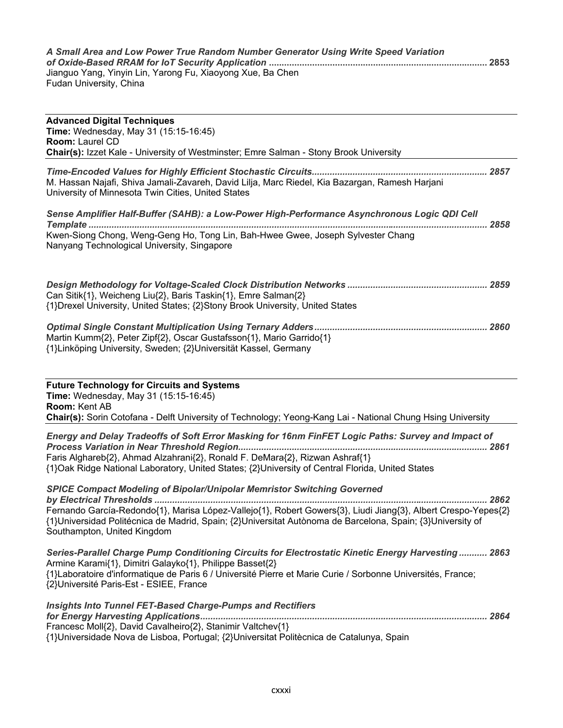| A Small Area and Low Power True Random Number Generator Using Write Speed Variation |  |  |  |
|-------------------------------------------------------------------------------------|--|--|--|
| Jianguo Yang, Yinyin Lin, Yarong Fu, Xiaoyong Xue, Ba Chen                          |  |  |  |
| Fudan University, China                                                             |  |  |  |
|                                                                                     |  |  |  |
| <b>Advanced Digital Techniques</b>                                                  |  |  |  |
| <b>Time:</b> Wednesday, May 31 $(15.15-16.45)$                                      |  |  |  |

| <b>Room: Laurel CD</b><br><b>Chair(s):</b> Izzet Kale - University of Westminster; Emre Salman - Stony Brook University                                                                                                        |      |  |
|--------------------------------------------------------------------------------------------------------------------------------------------------------------------------------------------------------------------------------|------|--|
| M. Hassan Najafi, Shiva Jamali-Zavareh, David Lilja, Marc Riedel, Kia Bazargan, Ramesh Harjani<br>University of Minnesota Twin Cities, United States                                                                           |      |  |
| Sense Amplifier Half-Buffer (SAHB): a Low-Power High-Performance Asynchronous Logic QDI Cell<br>Kwen-Siong Chong, Weng-Geng Ho, Tong Lin, Bah-Hwee Gwee, Joseph Sylvester Chang<br>Nanyang Technological University, Singapore | 2858 |  |
| Can Sitik{1}, Weicheng Liu{2}, Baris Taskin{1}, Emre Salman{2}<br>{1} Drexel University, United States; {2} Stony Brook University, United States                                                                              | 2859 |  |
| Martin Kumm{2}, Peter Zipf{2}, Oscar Gustafsson{1}, Mario Garrido{1}<br>{1}Linköping University, Sweden; {2}Universität Kassel, Germany                                                                                        | 2860 |  |

| <b>Future Technology for Circuits and Systems</b> |  |
|---------------------------------------------------|--|
|---------------------------------------------------|--|

**Time:** Wednesday, May 31 (15:15-16:45) **Room:** Kent AB **Chair(s):** Sorin Cotofana - Delft University of Technology; Yeong-Kang Lai - National Chung Hsing University

*Energy and Delay Tradeoffs of Soft Error Masking for 16nm FinFET Logic Paths: Survey and Impact of Process Variation in Near Threshold Region.................................................................................................. 2861* Faris Alghareb{2}, Ahmad Alzahrani{2}, Ronald F. DeMara{2}, Rizwan Ashraf{1} {1}Oak Ridge National Laboratory, United States; {2}University of Central Florida, United States

*SPICE Compact Modeling of Bipolar/Unipolar Memristor Switching Governed by Electrical Thresholds ................................................................................................................................... 2862* Fernando García-Redondo{1}, Marisa López-Vallejo{1}, Robert Gowers{3}, Liudi Jiang{3}, Albert Crespo-Yepes{2} {1}Universidad Politécnica de Madrid, Spain; {2}Universitat Autònoma de Barcelona, Spain; {3}University of Southampton, United Kingdom

| 2863  Series-Parallel Charge Pump Conditioning Circuits for Electrostatic Kinetic Energy Harvesting  2863   |  |
|-------------------------------------------------------------------------------------------------------------|--|
| Armine Karami{1}, Dimitri Galayko{1}, Philippe Basset{2}                                                    |  |
| {1}Laboratoire d'informatique de Paris 6 / Université Pierre et Marie Curie / Sorbonne Universités, France; |  |
| {2}Université Paris-Est - ESIEE, France                                                                     |  |

*Insights Into Tunnel FET-Based Charge-Pumps and Rectifiers for Energy Harvesting Applications................................................................................................................. 2864* Francesc Moll{2}, David Cavalheiro{2}, Stanimir Valtchev{1} {1}Universidade Nova de Lisboa, Portugal; {2}Universitat Politècnica de Catalunya, Spain